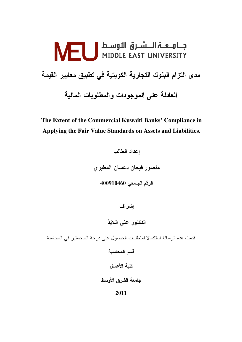# جــامــعــة الــــشــرق الأوســط | NEU<br>MIDDLE EAST UNIVERSITY مدى التزام البنوك التجارية الكويتية في تطبيق معايير القيمة العادلة على الموجودات والمطلوبات المالية

The Extent of the Commercial Kuwaiti Banks' Compliance in Applying the Fair Value Standards on Assets and Liabilities.

> إعداد الطالب منصور فيحان دعسان المطيرى الرقم الجامعي 400910460

> > إشراف

الدكتور على اللايذ

قدمت هذه الرسالة استكمالا لمتطلبات الحصول على درجة الماجستير في المحاسبة

قسم المحاسبة

كلبة الأعمال

جامعة الشرق الأوسط

2011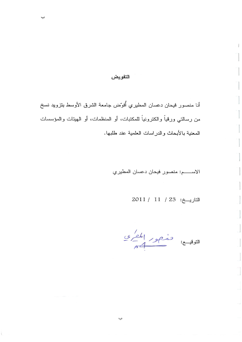#### التفويض

أنا منصور فيحان دعسان المطيري أفوّض جامعة الشرق الأوسط بتزويد نسخ من رسالتي ورقياً والكترونياً للمكتبات، أو المنظمات، أو الهيئات والمؤسسات المعنية بالأبحاث والدراسات العلمية عند طلبها.

ب

الاسعة: منصور فيحان دعسان المطيري

التاريخ: 23 / 11 / 2011

 $\frac{e^{\prime}e^{\prime}}{4}$ التوقيـــع: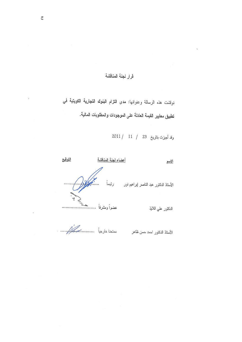# قرار لجنة المناقشة

نوقشت هذه الرسالة وعنوانها: مدى التزام البنوك التجارية الكويتية في تطبيق معايير القيمة العادلة على الموجودات والمطلوبات المالية.

وقد أجيزت بتاريخ 23 / 11 / 2011

 $\Delta$ 

| الاسم                                  | أعضاء لجنة المناقشة | التوقيع |
|----------------------------------------|---------------------|---------|
| الأستاذ الدكتور عبد الناصر إبراهيم نور |                     |         |
| الدكتور على اللايذ                     |                     |         |
| الأستاذ الدكتور احمد حسن ظاهر          |                     |         |

 $\bar{z}$ 

 $\ddot{\phantom{1}}$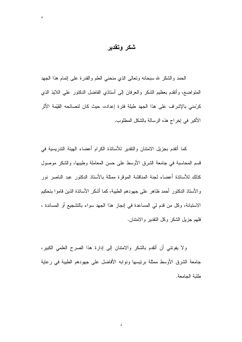شكر وتقدير

د

الحمد والشكر لله سبحانه ونعالى الذي منحنى العلم والقدرة على إنمام هذا الجهد المنواضع، وأنقدم بعظيم الشكر والعرفان إلى أستاذي الفاضل الدكتور علي اللايذ الذي كرِّمني بالإشراف على هذا الجهد طبِلة فترة إعداده، حيث كان لنصائحه القبِّمة الأثر الأكبر في إخراج هذه الرسالة بالشكل المطلوب.

كما أتقدم بجزيل الامتنان والنقدير للأساتذة الكرام أعضاء الهيئة التدريسية في قسم المحاسبة في جامعة الشرق الأوسط على حسن المعاملة وطيبها، والشكر موصول كذلك للأساتذة أعضاء لجنة المناقشة الموقرة ممثلة بالأستاذ الدكتور عبد الناصر نور والأستاذ الدكتور أحمد ظاهر على جهودهم الطيبة، كما أشكر الأساتذة الذين قاموا بتحكيم الاستبانة، وكل من قدم لي المساعدة في إنجاز هذا الجهد سواء بالتشجيع أو المساندة ، فلهم جزيل الشكر وكل النقدير والامنتان.

ولا يفونني أن أنقدم بالشكر والامتنان إلى إدارة هذا الصرح العلمي الكبير، جامعة الشرق الأوسط ممثلة برئيسها ونوابه الأفاضل على جهودهم الطيبة في رعاية طلبة الجامعة.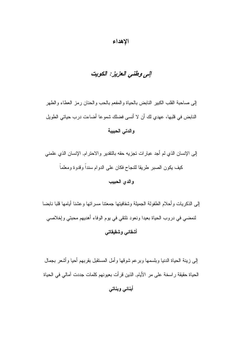#### الإهداء

# إلى وطني العزيز: الكويت

إلى صاحبة القلب الكبير النابض بالحياة والمفعم بالحب والحنان رمز العطاء والطهر النابض في قلبها، عهدي لك أن لا أنسى فضلك شموعا أضاءت درب حياتي الطويل والدتى الحبيبة

إلى الإنسان الذي لم أجد عبارات تجزيه حقه بالنقدير والاحترام, الإنسان الذي علمني كيف يكون الصبر طريقا للنجاح فكان على الدوام سنداً وقدوة ومعلماً

#### والدى الحبيب

إلىي الذكريات وأحلام الطفولة الجميلة وشفافيتها جمعتنا مسراتها وعشنا أيامها قلبا نابضا لنمضي في دروب الحياة بعيدا ونعود نلتقي في يوم الوفاء أهديهم محبتي وإخلاصي أشقائي وشقيقاتي

إلىي زينة الحياة الدنيا وبلسمها وبرعم شوقها وأمل المستقبل بقربهم أحيا وأشعر بجمال الحياة حقيقة راسخة على مر الأيام, الذين قرأت بعيونهم كلمات جددت آمالي في الحياة

```
أبنائي وبناتى
```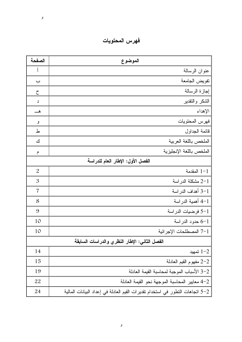| الصفحة                            | الموضوع                                                                       |  |
|-----------------------------------|-------------------------------------------------------------------------------|--|
| $\int$                            | عنوان الرسالة                                                                 |  |
| <u>ب</u>                          | نفويض الجامعة                                                                 |  |
| $\zeta$                           | إجازة الرسالة                                                                 |  |
| د                                 | الشكر والنقدير                                                                |  |
|                                   | الإهداء                                                                       |  |
| و                                 | فهرس المحتويات                                                                |  |
| ط                                 | قائمة الجداول                                                                 |  |
| ك                                 | الملخص باللغة العربية                                                         |  |
| م                                 | الملخص باللغة الإنجليزية                                                      |  |
| الفصل الأول: الإطار العام للدراسة |                                                                               |  |
| $\overline{2}$                    | $1 - 1$ المقدمة                                                               |  |
| $\mathfrak{B}$                    | 2-1 مشكلة الدراسة                                                             |  |
| 7                                 | 1–3 أهداف الدراسة                                                             |  |
| 8                                 | 1–4 أهمية الدراسة                                                             |  |
| 9                                 | 5-1 فرضيات الدراسة                                                            |  |
| 10                                | 6-1 حدود الدراسة                                                              |  |
| 10                                | 7-1 المصطلحات الإجرائية                                                       |  |
|                                   | الفصل الثاني: الإطار النظري والدراسات السابقة                                 |  |
| 14                                | تمهيد $1 - 2$                                                                 |  |
| 15                                | 2-2 مفهوم القيم العادلة                                                       |  |
| 19                                | 2-3 الأسباب الموجبة لمحاسبة القيمة العادلة                                    |  |
| 22                                | 2–4 معايير المحاسبة الموجهة نحو القيمة العادلة                                |  |
| 24                                | 5–5 انجاهات النطور في استخدام نقديرات القيم العادلة في إعداد البيانات المالية |  |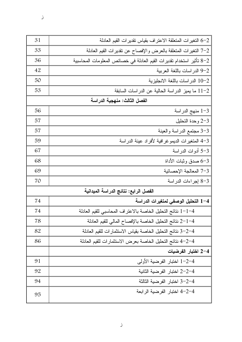$\mathcal{L}$ 

| 31 | 6-2 التغيرات المتعلقة الاعتراف بقياس تقديرات القيم العادلة           |  |  |
|----|----------------------------------------------------------------------|--|--|
| 33 | 7-2 التغيرات المتعلقة بالعرض والإفصاح عن نقديرات القيم العادلة       |  |  |
| 36 | 8–8 تأثير استخدام تقديرات القيم العادلة في خصائص المعلومات المحاسبية |  |  |
| 42 | 9-2 الدراسات باللغة العربية                                          |  |  |
| 50 | 10-2 الدر اسات باللغة الانجليزية                                     |  |  |
| 53 | 11-2 ما يميز الدراسة الحالية عن الدراسات السابقة                     |  |  |
|    | الفصل الثالث: منهجية الدراسة                                         |  |  |
| 56 | 1-3 منهج الدراسة                                                     |  |  |
| 57 | 2-3 وحدة التحليل                                                     |  |  |
| 57 | 3-3 مجتمع الدراسة والعينة                                            |  |  |
| 59 | 3-4 المتغيرات الديمو غرافية لأفراد عينة الدراسة                      |  |  |
| 67 | 3-5 أدوات الدراسة                                                    |  |  |
| 68 | 3–6 صدق وثبات الأداة                                                 |  |  |
| 69 | 7-3 المعالجة الإحصائية                                               |  |  |
| 70 | 3-8 إجراءات الدراسة                                                  |  |  |
|    | الفصل الرابع: نتائج الدراسة الميدانية                                |  |  |
| 74 | 1–4 التحليل الوصفى لمتغيرات الدراسة                                  |  |  |
| 74 | 1-1-4 نتائج التحليل الخاصة بالاعتراف المحاسبي للقيم العادلة          |  |  |
| 78 | 4–2−1 نتائج التحليل الخاصة بالإفصاح المالي للقيم العادلة             |  |  |
| 82 | 3-2-4 نتائج التحليل الخاصة بقياس الاستثمارات للقيم العادلة           |  |  |
| 86 | 4–2–4 نتائج التحليل الخاصة بعرض الاستثمارات للقيم العادلة            |  |  |
|    | 4–2 اختبار الفرضيات                                                  |  |  |
| 91 | 1–2–4 اختبار الفرضية الأولى                                          |  |  |
| 92 | 4–2−2 اختبار الفرضية الثانية                                         |  |  |
| 94 | 4–2–3 اختبار الفرضية الثالثة                                         |  |  |
| 95 | 4–2–4 اختبار الفرضية الرابعة                                         |  |  |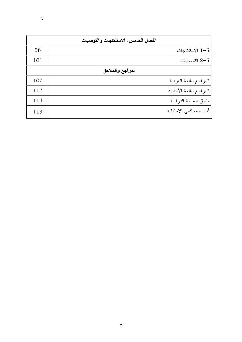| الفصل الخامس: الاستنتاجات والتوصيات |  |                         |  |  |
|-------------------------------------|--|-------------------------|--|--|
| 98                                  |  | 1-5 الاستتاجات          |  |  |
| 101                                 |  | التوصيات $2-5$          |  |  |
| المراجع والملاحق                    |  |                         |  |  |
| 107                                 |  | المراجع باللغة العربية  |  |  |
| 112                                 |  | المراجع باللغة الأجنبية |  |  |
| 114                                 |  | ملحق استبانة الدراسة    |  |  |
| 119                                 |  | أسماء محكمي الاستبانة   |  |  |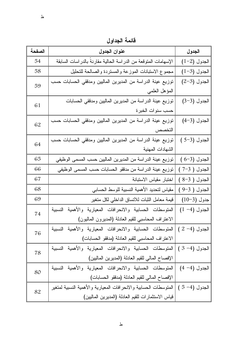قائمة الجداول

| الصفحة | عنوان الجدول                                                     | الجدول          |
|--------|------------------------------------------------------------------|-----------------|
| 54     | الإسهامات المنوقعة من الدراسة الحالية مقارنةً بالدراسات السابقة  | $(1-2)$ الجدول  |
| 58     | مجموع الاستبانات الموزعة والمستردة والصالحة للتحليل              | $(1-3)$ الجدول  |
| 59     | نوزيع عينة الدراسة من المديرين الماليين ومدققي الحسابات حسب      | $(2-3)$ الجدول  |
|        | المؤهل العلمي                                                    |                 |
| 61     | نوزيع عينة الدراسة من المديرين الماليين ومدفقي الحسابات          | الجدول (3-3)    |
|        | حسب سنوات الخبرة                                                 |                 |
| 62     | نوزيع عينة الدراسة من المديرين الماليين ومدققي الحسابات حسب      | الجدول (3-4)    |
|        | التخصص                                                           |                 |
| 64     | نوزيع عينة الدراسة من المديرين الماليين ومدققي الحسابات حسب      | الجدول (3-5)    |
|        | الشهادات المهنية                                                 |                 |
| 65     | توزيع عينة الدراسة من المديرين الماليين حسب المسمى الوظيفي       | $(6-3)$ الجدول  |
| 66     | توزيع عينة الدراسة من مدققو الحسابات حسب المسمى الوظيفي          | الجدول ( 3–7 )  |
| 67     | اختبار مقياس الاستبانة                                           | الجدول ( 3-8 )  |
| 68     | مقياس لتحديد الأهمية النسبية للوسط الحسابي                       | الجدول ( 3-9 )  |
| 69     | قيمة معامل الثبات للاتساق الداخلي لكل متغير                      | جدول (3–10)     |
| 74     | المتوسطات الحسابية والانحرافات المعيارية والأهمية النسبية        | $(1 -4)$ الجدول |
|        | الاعتراف المحاسبي للقيم العادلة (المديرون الماليون)              |                 |
|        | المتوسطات الحسابية والانحرافات المعيارية والأهمية النسبية        | الجدول (4– 2 )  |
| 76     | الاعتراف المحاسبي للقيم العادلة (مدققو الحسابات)                 |                 |
| 78     | المتوسطات الحسابية والانحرافات المعيارية والأهمية النسبية        | الجدول (4- 3 )  |
|        | الإفصاح المالي للقيم العادلة (المديرين الماليين)                 |                 |
| 80     | المنوسطات الحسابية والانحرافات المعيارية والأهمية النسبية        | الجدول (4 – 4)  |
|        | الإفصاح المالي للقيم العادلة (مدققو الحسابات)                    |                 |
| 82     | المنوسطات الحسابية والانحرافات المعيارية والأهمية النسبية لمنغير | الجدول (4- 5)   |
|        | قياس الاستثمارات للقيم العادلة (المديرين الماليين)               |                 |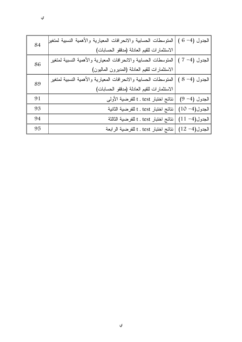| 84 | المتوسطات الحسابية والانحرافات المعيارية والأهمية النسبية لمتغير | الجدول (4- 6 )    |
|----|------------------------------------------------------------------|-------------------|
|    | الاستثمارات للقيم العادلة (مدققو الحسابات)                       |                   |
| 86 | المتوسطات الحسابية والانحرافات المعيارية والأهمية النسبية لمتغير | الجدول (4– 7 )    |
|    | الاستثمارات للقيم العادلة (المديرون الماليون)                    |                   |
| 89 | المتوسطات الحسابية والانحرافات المعيارية والأهمية النسبية لمتغير | الجدول (4- 8 )    |
|    | الاستثمارات للقيم العادلة (مدققو الحسابات)                       |                   |
| 91 | نتائج اختبار t . test للفرضية الأولى                             | الجدول (4- 9)     |
| 93 | نتائج اختبار t . test للفرضية الثانية                            | $(10 - 4)$ الجدول |
| 94 | نتائج اختبار t . test للفرضية الثالثة                            | $(11 - 4)$ الجدول |
| 95 | نتائج اختبار t . test للفرضية الرابعة                            | $(12 - 4)$ الجدول |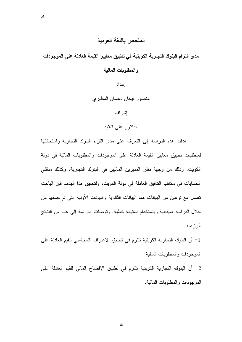#### الملخص باللغة العربية

مدى التزام البنوك التجارية الكويتية في تطبيق معايير القيمة العادلة على الموجودات والمطلوبات المالية

إعداد

منصور فيحان دعسان المطيري

إشراف

الدكتور على اللايذ

هدفت هذه الدراسة إلى النعرف على مدى النزام البنوك النجارية واستجابتها لمنطلبات نطبيق معابير القيمة العادلة على الموجودات والمطلوبات المالية في دولة الكويت، وذلك من وجهة نظر المديرين الماليين في البنوك التجارية، وكذلك مدققي الحسابات في مكانب التدقيق العاملة في دولة الكويت، ولتحقيق هذا الهدف فإن الباحث نعامل مع نوعين من البيانات هما البيانات الثانوية والبيانات الأولية التي تم جمعها من خلال الدراسة الميدانية وباستخدام استبانة خطية. وتوصلت الدراسة إلى عدد من النتائج أبر ز ها:

1– أن البنوك التجارية الكويتية تلتزم في تطبيق الاعتراف المحاسبي للقيم العادلة على الموجودات والمطلوبات المالية.

2– أن البنوك التجارية الكويتية تلتزم في تطبيق الإفصاح المالي للقيم العادلة على الموجودات والمطلوبات المالية.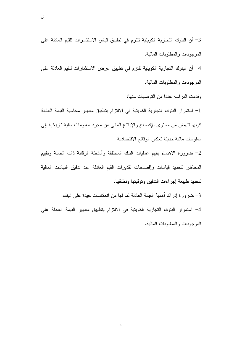3– أن البنوك التجارية الكويتية تلتزم في تطبيق قياس الاستثمارات للقيم العادلة على الموجودات والمطلوبات المالية. 4– أن البنوك التجارية الكويتية تلتزم في تطبيق عرض الاستثمارات للقيم العادلة على

الموجودات والمطلوبات المالبة.

وقدمت الدر اسة عددا من التوصيات منها:

1- استمرار البنوك التجارية الكويتية في الالتزام بتطبيق معايير محاسبة القيمة العادلة كونها نتهض من مستوى الإفصاح والإبلاغ المالي من مجرد معلومات مالية تاريخية إلى معلومات مالية حديثة نعكس الوقائع الاقتصادية

2– ضرورة الاهتمام بفهم عمليات البنك المختلفة وأنشطة الرقابة ذات الصلة وتقييم المخاطر لتحديد قياسات وإفصاحات تقديرات القيم العادلة عند تدقيق البيانات المالية لتحديد طبيعة إجراءات الندقيق وتوقيتها ونطاقها.

3– ضرورة إدراك أهمية القيمة العادلة لما لها من انعكاسات جيدة على البنك. 4– استمرار البنوك التجارية الكويتية في الالتزام بتطبيق معايير القيمة العادلة على الموجودات والمطلوبات المالية.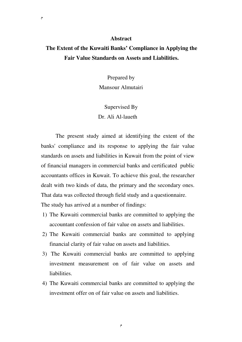#### **Abstract**

# **The Extent of the Kuwaiti Banks' Compliance in Applying the Fair Value Standards on Assets and Liabilities.**

Prepared by Mansour Almutairi

Supervised By Dr. Ali Al-laueth

The present study aimed at identifying the extent of the banks' compliance and its response to applying the fair value standards on assets and liabilities in Kuwait from the point of view of financial managers in commercial banks and certificated public accountants offices in Kuwait. To achieve this goal, the researcher dealt with two kinds of data, the primary and the secondary ones. That data was collected through field study and a questionnaire. The study has arrived at a number of findings:

- 1) The Kuwaiti commercial banks are committed to applying the accountant confession of fair value on assets and liabilities.
- 2) The Kuwaiti commercial banks are committed to applying financial clarity of fair value on assets and liabilities.
- 3) The Kuwaiti commercial banks are committed to applying investment measurement on of fair value on assets and liabilities.
- 4) The Kuwaiti commercial banks are committed to applying the investment offer on of fair value on assets and liabilities.

م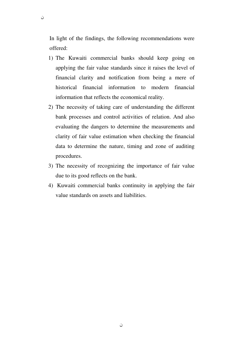In light of the findings, the following recommendations were offered:

ن

- 1) The Kuwaiti commercial banks should keep going on applying the fair value standards since it raises the level of financial clarity and notification from being a mere of historical financial information to modern financial information that reflects the economical reality.
- 2) The necessity of taking care of understanding the different bank processes and control activities of relation. And also evaluating the dangers to determine the measurements and clarity of fair value estimation when checking the financial data to determine the nature, timing and zone of auditing procedures.
- 3) The necessity of recognizing the importance of fair value due to its good reflects on the bank.
- 4) Kuwaiti commercial banks continuity in applying the fair value standards on assets and liabilities.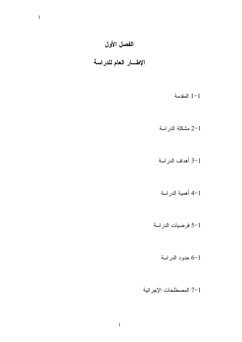# الفصل الأول

الإطسار العام للدراسة

 $1 - 1$ المقدمة

2-1 مشكلة الدراسة

3-1 أهداف الدراسة

أهمية الدراسة

5-1 فرضيات الدراسة

6-1 حدود الدراسة

7-1 المصطلحات الإجرائية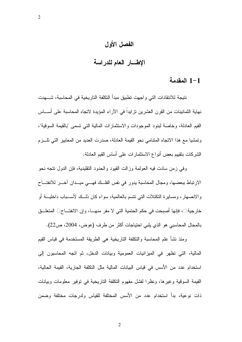# الفصل الأول

## الإطسار العام للدراسة

#### 1-1 المقدمة

نتيجة للانتقادات التي واجهت تطبيق مبدأ التكلفة التاريخية في المحاسبة، شــــهدت نهاية الثمانينات من القرن العشرين نزايداً في الآراء المؤيدة لاتجاه المحاسبة على أســـاس القيم العادلة، وخاصة لبنود الموجودات والاستثمارات المالية التي تسمى "بالقيمة السوقية"، وتمشيا مع هذا الاتجاه المتنامي نحو القيمة العادلة، صدرت العديد من المعابير التي تلـــزم الشركات بنقييم بعض أنواع الاستثمارات علىي أساس القيم العادلة.

وفي زمن سادت فيه العولمة وزالت القيود والحدود النقليدية، فإن الدول نتجه نحو الارنباط ببعضها، ومجال المحاسبة يدور في نفس الفلك فهــي ميــدان أخــر للانفتــاح والانصهار ، ومساير ة التكتلات التي تتسم بالعالمية، سواء كان ذلــك لأســـباب داخليـــة أو خارجية ، فإنها أصبحت في حكم الحتمية التي لا مفر منهــا، وإن الانفتــاح المتعلـــق بالمجال المحاسبي هو الذي يلبي احتياجات أكثر من طرف (عوض، 2004، ص22).

ومنذ نشأ علم المحاسبة والنكلفة الناريخية هي الطريقة المستخدمة في قياس القيم المالية، التي نظهر في الميزانيات العمومية وبيانات الدخل، ثم اتجه المحاسبون إلى استخدام عدد من الأسس في قياس البيانات المالية مثل التكلفة الجارية، القيمة الحالية، القيمة السوقية وغيرها، ونظرًا لفشل مفهوم النكلفة الناريخية في نوفير معلومات وبيانات ذات نوعية، بدأ استخدام عدد من الأسس المختلفة للقياس ولدرجات مختلفة وضمن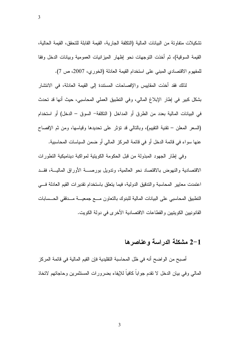تشكيلات متفاوتة من البيانات المالية (التكلفة الجارية، القيمة القابلة للتحقق، القيمة الحالية، القيمة السوقية)، ثم أخذت التوجهات نحو إظهار الميزانيات العمومية وبيانات الدخل وفقا للمفهوم الاقتصادي المبني على استخدام القيمة العادلة (الخوري، 2007، ص 7).

لذلك فقد أخذت المقاييس والإفصاحات المسنندة إلى القيمة العادلة، في الانتشار بشكل كبير في إطار الإبلاغ المالي، وفي النطبيق العملي المحاسبي، حيث أنها قد تحدث في البيانات المالية بعدد من الطرق أو المداخل ( التكلفة– السوق – الدخل) أو استخدام (السعر المعلن – نقنية النقييم)، وبالنالي قد نؤثر على نحديدها وقياسها، ومن ثم الإفصاح عنها سواء في قائمة الدخل أو في قائمة المركز المالي أو ضمن السياسات المحاسبية.

وفي إطار الجهود المبذولة من قبل الحكومة الكويتية لمواكبة ديناميكية التطورات الاقتصادية والنهوض بالاقتصاد نحو العالمية، وتدويل بورصـــة الأوراق الماليـــة، فقـــد اعتمدت معايير المحاسبة والتدقيق الدولية، فيما يتعلق باستخدام تقديرات القيم العادلة فسي النطبيق المحاسبي على البيانات المالية للبنوك بالتعاون مسع جمعيسة مسدققي المسسابات القانو نبين الكويتيين والقطاعات الاقتصادية الأخر ي في دولة الكويت.

#### 2-1 مشكلة الدر اسة وعناصر ها

أصبح من الواضح أنه في ظل المحاسبة النقليدية فإن القيم المالية في قائمة المركز المالي وفي بيان الدخل لا نقدم جواباً كافياً للإيفاء بضرورات المستثمرين وحاجاتهم لاتخاذ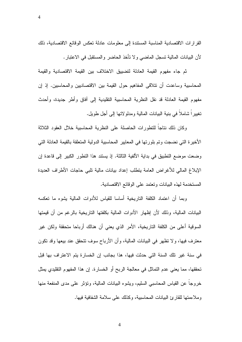القرارات الاقتصادية المناسبة المستندة إلى معلومات عادلة تعكس الوفائع الاقتصادية، ذلك لأن البيانات المالية تسجل الماضيي ولا تأخذ الحاضر والمستقبل في الاعتبار .

ثم جاء مفهوم القيمة العادلة لتضييق الاختلاف بين القيمة الاقتصادية والقيمة المحاسبية وساعدت أن نتلاقى المفاهيم حول القيمة بين الاقتصاديين والمحاسبين. إذ إن مفهوم القيمة العادلة قد نقل النظرية المحاسبية النقليدية إلى أفاق وأطر جديدة، وأحدث تغييرا شاملاً في بنية البيانات المالية ومدلوٍ لاتها إلى أجل طويل.

وكان ذلك نتاجاً للنطورات الحاصلة على النظرية المحاسبية خلال العقود الثلاثة الأخيرة التي نضجت وتم بلورتها في المعايير المحاسبية الدولية المتعلقة بالقيمة العادلة التي وضعت موضع النطبيق في بداية الألفية الثالثة. إذ يستند هذا النطور الكبير إلى قاعدة إن الإبلاغ المالي للأغراض العامة يتطلب إعداد بيانات مالية تلبى حاجات الأطراف العديدة المستخدمة لهذه البيانات وتعتمد على الوقائع الاقتصادية.

وبما أن اعتماد الكلفة التاريخية أساسا للقياس للأدوات المالية يشوه ما تعكسه البيانات المالية، وذلك لأن إظهار الأدوات المالية بكلفتها التاريخية بالرغم من أن قيمتها السوقية أعلى من الكلفة التاريخية، الأمر الذي يعني أن هنالك أرباحا متحققة ولكن غير معترف فيها، ولا نظهر في البيانات المالية، وأن الأرباح سوف نتحقق عند بيعها وقد نكون في سنة غير تلك السنة التي حدثت فيها، هذا بجانب إن الخسارة يتم الاعتراف بها قبل تحققها، مما يعني عدم النمائل في معالجة الربح أو الخسارة. إن هذا المفهوم النقليدي يمثل خروجاً عن القياس المحاسبي السليم، ويشوه البيانات المالية، وتؤثَّر على مدى المنفعة منها وملاءمتها للقارئ البيانات المحاسبية، وكذلك على سلامة الشفافية فيها.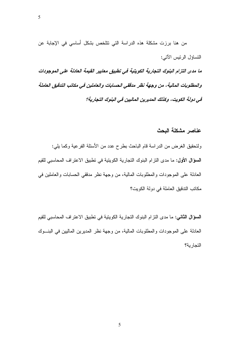5

من هنا برزت مشكلة هذه الدراسة التي نتلخص بشكل أساسي في الإجابة عن النساؤل الرئيس الآتي:

ما مدى التزام البنوك التجارية الكويتية في تطبيق معايير القيمة العادلة على الموجودات والمطلوبات المالية، من وجهة نظر مدققي الحسابات والعاملين في مكاتب التدقيق العاملة في دولة الكويت، وكذلك المديرين الماليين في البنوك التجارية؟

#### عناصر مشكلة البحث

ولتحقيق الغرض من الدراسة قام الباحث بطرح عدد من الأسئلة الفرعية وكما يلي: السوَّال الأول: ما مدى النزام البنوك النجارية الكويتية في نطبيق الاعتراف المحاسبي للقيم العادلة على الموجودات والمطلوبات المالية، من وجهة نظر مدققي الحسابات والعاملين في مكاتب التدقيق العاملة في دولة الكويت؟

السوَّال الثاني: ما مدى التزام البنوك التجارية الكويتية في تطبيق الاعتراف المحاسبي للقيم العادلة على الموجودات والمطلوبات المالية، من وجهة نظر المديرين الماليين في البنـــوك التجار ية؟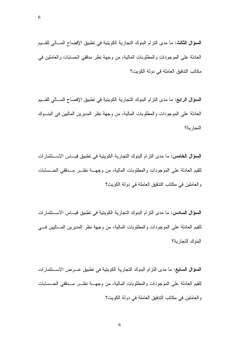**السؤال الثالث:** ما مدى التزام البنوك التجارية الكويتية في تطبيق الإفصاح المسالي للقسيم العادلة على الموجودات والمطلوبات المالية، من وجهة نظر مدققي الحسابات والعاملين في مكانب الندفيق العاملة في دولة الكويت؟

**السؤال الرابع:** ما مدى التزام البنوك التجارية الكويتية في تطبيق الإفصاح المسالي للقسيم العادلة على الموجودات والمطلوبات المالية، من وجهة نظر المديرين الماليين في البنسوك التجار بة؟

السوؤال الخامس: ما مدى النزام البنوك النجارية الكويتية في نطبيق فيساس الاستثمارات للقيم العادلة على الموجودات والمطلوبات المالية، من وجهـــة نظــــر مـــدققي الـمـــسابات و العاملين في مكاتب التدقيق العاملة في دولة الكويت؟

السوَّال السادس: ما مدى النزام البنوك النجارية الكويتية في نطبيق فيـــاس الاســـنثمارات للقيم العادلة على الموجودات والمطلوبات المالية، من وجهة نظر المديرين المساليين فسي البنوك التجار بة؟

السؤال السابع: ما مدى النزام البنوك النجارية الكويتية في نطبيق عـــرض الاســـنثمارات للقيم العادلة على الموجودات والمطلوبات المالية، من وجهــة نظـــر مـــدققي الحـــسابات و العاملين في مكاتب التدقيق العاملة في دولة الكويت؟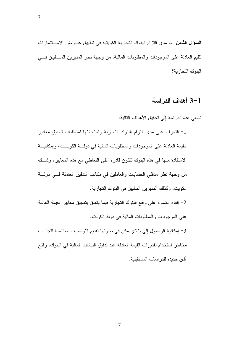السوَّال الثّامن: ما مدى النّزام البنوك النجارية الكويتية في نطبيق عـــرض الاســـنثمارات للقيم العادلة على الموجودات والمطلوبات المالية، من وجهة نظر المديرين المساليين فسي البنوك التجار بة؟

# 3-1 أهداف الدراسة

تسعى هذه الدر اسة إلى تحقيق الأهداف التالية:

أفاق جديدة للدر اسات المستقبلية.

1– النعرف على مدى النزام البنوك النجارية واستجابتها لمنطلبات نطبيق معايير القيمة العادلة على الموجودات والمطلوبات المالية في دولـــة الكويـــت، وإمكانيـــة الاستفادة منها في هذه البنوك لتكون قادرة على التعاطي مع هذه المعايير، وذلــك من وجهة نظر مدققي الحسابات والعاملين في مكانب الندقيق العاملة فسي دولسة الكويت، وكذلك المديرين الماليين في البنوك النجارية. 2- إلقاء الضوء على واقع البنوك التجارية فيما يتعلق بتطبيق معايير القيمة العادلة على الموجودات والمطلوبات المالية في دولة الكويت. 3- إمكانية الوصول إلى نتائج يمكن في ضوئها نقديم التوصيات المناسبة لتجنسب مخاطر استخدام تقديرات القيمة العادلة عند ندقيق البيانات المالية في البنوك، وفتح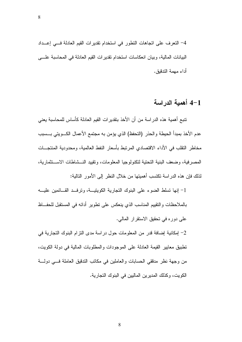4– النعرف على اتجاهات النطور في استخدام نقديرات القيم العادلة فسي إعــداد البيانات المالية، وبيان انعكاسات استخدام نقديرات القيم العادلة في المحاسبة علـــي أداء مهمة التدقيق.

8

# 4-1 أهمية الدراسة

نتبع أهمية هذه الدراسة من أن الأخذ بتقديرات القيم العادلة كأساس للمحاسبة يعني عدم الأخذ بمبدأ الحيطة والحذر (التحفظ) الذي يؤمن به مجتمع الأعمال الكـــويتي بـــسبب مخاطر النقلب في الأداء الاقتصادي المرتبط بأسعار النفط العالمية، ومحدودية المنتجـــات المصر فية، وضعف البنية التحتية لتكنولوجيا المعلومات، وتقييد النسشاطات الاسستثمارية، لذلك فإن هذه الدر اسة تكتسب أهميتها من خلال النظر إلى الأمور التالية:

1- إنها تسلط الضوء على البنوك التجارية الكويتيــة، وترفــد القــائمين عليـــه بالملاحظات والنقييم المناسب الذي ينعكس على نطوير أدائه في المستقبل للحفاظ على دوره في تحقيق الاستقرار المالي.

2– إمكانية إضافة قدر من المعلومات حول در اسة مدى النز ام البنوك النجارية في نطبيق معايير القيمة العادلة على الموجودات والمطلوبات المالية في دولة الكويت، من وجهة نظر مدققي الحسابات والعاملين في مكانب الندقيق العاملة فسي دولة الكويت، وكذلك المديرين الماليين في البنوك التجارية.

8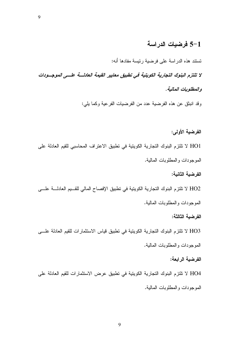# 5-1 فرضيات الدراسة

تستند هذه الدراسة على فرضية رئيسة مفادها أنه:

لا تلتزم البنوك التجارية الكويتية في تطبيق معايير القيمة العادلسة علسى الموجسودات والمطلوبات المالية.

وقد انبثق عن هذه الفرضية عدد من الفرضيات الفرعية وكما يلي:

الفرضية الأولى: HO1 لا تلتزم البنوك التجارية الكويتية في تطبيق الاعتراف المحاسبي للقيم العادلة على الموجودات والمطلوبات المالية.

الفرضبة الثانبة:

HO2 لا تلتزم البنوك التجارية الكويتية في تطبيق الإفصاح المالي للقــيم العادلـــة علـــي الموجودات والمطلوبات المالية.

الفرضبة الثالثة:

HO3 لا تلتزم البنوك التجارية الكويتية في تطبيق قياس الاستثمارات للقيم العادلة علـــي الموجودات والمطلوبات المالية.

الفرضية الرابعة:

HO4 لا تلتزم البنوك التجارية الكويتية في تطبيق عرض الاستثمارات للقيم العادلة على الموجودات والمطلوبات المالية.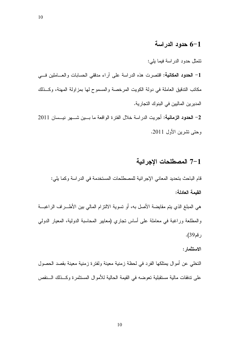#### 6-1 حدود الدراسة

# نتمثل حدود الدراسة فيما يلي: 1- الحدود المكانية: اقتصرت هذه الدراسة على آراء مدفقي الحسابات والعــاملين فـــي مكانب الندقيق العاملة في دولة الكويت المرخصة والمسموح لها بمزاولة المهنة، وكــذلك المديرين الماليين في البنوك التجارية. 2– الحدود الزمانية: أجريت الدراسة خلال الفترة الواقعة ما بسين شسهر نيسمان 2011

وحتى نشرين الأول 2011.

#### 7-1 المصطلحات الإجرائية

قام الباحث بتحديد المعاني الإجر ائية للمصطلحات المستخدمة في الدر اسة وكما يلي: القيمة العادلة:

هي المبلغ الذي يتم مقايضة الأصل به، أو تسوية الالتزام المالي بين الأطـــراف الراغبـــة والمطلعة وراغبة في معاملة على أساس نجاري (معايير المحاسبة الدولية، المعيار الدولي رقم39).

الاستثمار :

التخلَّى عن أموال يمتلكها الفرد في لحظة زمنية معينة ولفترة زمنية معينة بقصد الحصول على ندفقات مالية مستقبلية نعوضه في القيمة الحالية للأموال المستثمرة وكــذلك الـــنقص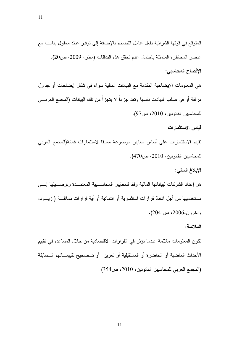11

المتوقع في قوتها الشرائية بفعل عامل التضخم بالإضافة إلى توفير عائد معقول يناسب مع عنصر المخاطرة المتمثلة باحتمال عدم تحقق هذه التدفقات (مطر، 2009، ص20). الافصاح المحاسبي:

هي المعلومات الإيضاحية المقدمة مع البيانات المالية سواء في شكل إيضاحات أو جداول مرفقة أو في صلب البيانات نفسها ونعد جزءاً لا يتجزاً من نلك البيانات (المجمع العربـــي للمحاسبين القانونين، 2010، ص97).

قباس الاستثمارات:

تقييم الاستثمارات على أساس معايير موضوعة مسبقا لاستثمارات فعالة(المجمع العرببي للمحاسبين القانونين، 2010، ص470).

الإبلاغ المالي:

هو إعداد الشركات لبباناتها المالية وفقا للمعابير المحاسـبية المعتمــدة وتوصـــيلها إلــــي مستخدميها من أجل اتخاذ قرارات استثمارية أو ائتمانية أو أية قرارات مماثلــــة ( زيــــود، و آخرون،2006، ص 204).

الملائمة:

نكون المعلومات ملائمة عندما نؤثر في القرارات الاقتصادية من خلال المساعدة في نقييم الأحداث الماضية أو الحاضرة أو المستقبلية أو تعزيز أو تــصحيح تقييمـــاتهم الـــسابقة (المجمع العربي للمحاسبين القانونين، 2010، ص354)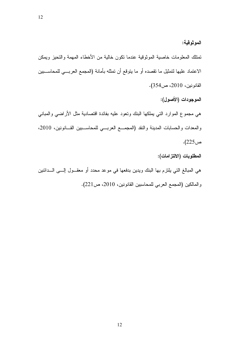تمتلك المعلومات خاصية الموثوقية عندما نكون خالية من الأخطاء المهمة والتحيز ويمكن الاعتماد عليها لتمثيل ما نقصده أو ما يتوقع أن تمثله بأمانة (المجمع العربـــي للمحاســـبين القانونين، 2010، ص354).

الموجودات (الأصول):

الموثوقية:

هي مجموع الموارد التبي بملكها البنك ونعود عليه بفائدة اقتصادية مثل الأراضبي والمبانبي والمعدات والحسابات المدينة والنقد (المجمع العربي للمحاسـبين القـانونين، 2010، ص225).

المطلوبات (الالتزامات):

هي المبالغ التي يلتزم بها البنك ويدين بدفعها في موعد محدد أو معقـــول إلـــــى الــــدائنين

والمالكين (المجمع العربي للمحاسبين القانونين، 2010، ص221).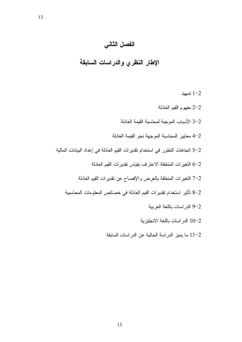# الفصل الثاني

الإطار النظري والدراسات السابقة

- $1 2$ نمهيد
- 2-2 مفهوم القيم العادلة
- 2–3 الأسباب الموجبة لمحاسبة القيمة العادلة
- 2–4 معايير المحاسبة الموجهة نحو القيمة العادلة
- 5–2 اتجاهات النطور في استخدام نقديرات القيم العادلة في إعداد البيانات المالية
	- 6-2 النغيرات المتعلقة الاعتراف بقياس تقديرات القيم العادلة
	- 7-2 التغيرات المتعلقة بالعرض والإفصاح عن تقديرات القيم العادلة
	- 2–8 تأثير استخدام نقديرات القيم العادلة في خصائص المعلومات المحاسبية
		- 9-2 الدر اسات باللغة العربية
		- 10-2 الدراسات باللغة الانجليزية
		- 11-2 ما يميز الدراسة الحالية عن الدراسات السابقة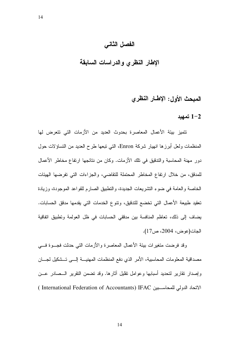### الفصل الثاني

# الإطار النظرى والدراسات السابقة

# المبحث الأول: الإطار النظري

#### $1 - 2$

نتميز بيئة الأعمال المعاصرة بحدوث العديد من الأزمات التي نتعرض لها المنظمات ولعل أبرزها انهيار شركة Enron، التي تبعها طرح العديد من التساؤلات حول دور مهنة المحاسبة والتدقيق في تلك الأزمات. وكان من نتائجها ارتفاع مخاطر الأعمال للمدقق، من خلال ارتفاع المخاطر المحتملة للتقاضي، والجزاءات التي تفرضها الهيئات الخاصة والعامة في ضوء التشريعات الجديدة، والتطبيق الصارم للقواعد الموجودة، وزيادة تعقيد طبيعة الأعمال التي تخضع للتدقيق، ونتوع الخدمات التي يقدمها مدقق الحسابات. يضاف إلى ذلك، تعاظم المنافسة بين مدققي الحسابات في ظل العولمة وتطبيق اتفاقية الجات(عوض، 2004، ص17).

وقد فرضت متغيرات بيئة الأعمال المعاصرة والأزمات التي حدثت فجسوة فسي مصداقية المعلومات المحاسبية، الأمر الذي دفع المنظمات المهنيسة إلسي تسشكيل لجسان وإصدار نقارير لتحديد أسبابها وعوامل نقليل أثارها. وقد نضمن النقرير السصادر عسن الاتحاد الدولي للمحاسبين IFAC ( International Federation of Accountants ) IFAC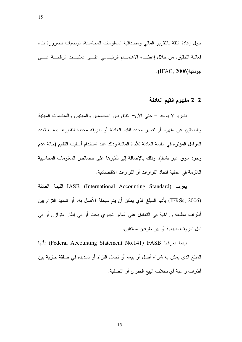حول إعادة الثقة بالنقرير المالي ومصداقية المعلومات المحاسبية، توصيات بضرورة بناء فعالية الندقيق، من خلال إعطـــاء الاهتمـــام الرئيـــسى علـــى عمليـــات الرقابـــة علــــى

جودتها(IFAC, 2006).

#### 2–2 مفهوم القيم العادلة

نظريا لا يوجد – حتى الآن– اتفاق بين المحاسبين والمهنيين والمنظمات المهنية والباحثين عن مفهوم أو نفسير محدد للقيم العادلة أو طريقة محددة لنقديرها بسبب تعدد العو امل المؤثر ة في القيمة العادلة للأداة المالية وذلك عند استخدام أساليب النقييم (حالة عدم وجود سوق غير نشط)، وذلك بالإضافة إلى نأثيرها على خصائص المعلومات المحاسبية اللاز مة في عملية اتخاذ القر ار ات أو القر ار ات الاقتصادية.

يعرف IASB (International Accounting Standard) القيمة العادلة (IFRSs, 2006) بأنها المبلغ الذي يمكن أن يتم مبادلة الأصل به، أو تسديد التزام بين أطراف مطلعة وراغبة في النعامل على أساس نجاري بحت أو في إطار متوازن أو في ظل ظر و ف طبيعية أو بين طر فين مستقلين.

بينما يعرفها Federal Accounting Statement No.141) FASB) بأنها المبلغ الذي يمكن به شراء أصل أو بيعه أو تحمل التزام أو تسديده في صفقة جارية بين أطراف راغبة أي بخلاف البيع الجبري أو التصفية.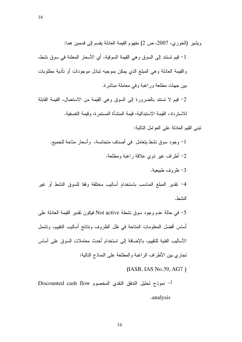ويشير (الخوري، 2007، ص 2) مفهوم القيمة العادلة يقسم إلى قسمين هما:

1– قيم نستند إلى السوق وهي القيمة السوقية، أي الأسعار المعلنة في سوق نشط، والقيمة العادلة وهي المبلغ الذي يمكن بموجبه نبادل موجودات أو نأدية مطلوبات بين جهات مطلعة وراغبة وفي معاملة مباشرة.

2– قيم لا تستند بالضرورة إلى السوق وهي القيمة من الاستعمال، القيمة القابلة للاسترداد، القيمة الاستبدالية، قيمة المنشأة المستمر ة، وقيمة التصفية.

نِّبني القبِم العادلة على العوامل التالبة:

1– وجود سوق نشط بتعامل ًفي أصناف متجانسة، ۖ وأسعار متاحة للجميع. 2– أطراف غير ذوي علاقة راغبة ومطلعة. 3– ظر وف طبيعية.

4– نقدير المبلغ المناسب باستخدام أساليب مختلفة وفقا للسوق النشط أو غير النشط

5– في حالة عدم وجود سوق نشطة Not active فيكون تقدير القيمة العادلة على أساس أفضل المعلومات المتاحة في ظل الظروف ونتائج أساليب التقييم، وتشمل الأساليب الفنية للتقييم، بالإضافة إلى استخدام أحدث معاملات السوق على أساس تجار ي بين الأطر اف الر اغبة و المطلعة على النماذج التالبة:

(IASB, IAS No.39, AG7)

أ– نموذج تحليل التدفق النقدى المخصوم Discounted cash flow .analysis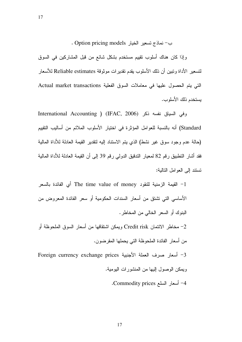ب – نماذج تسعير الخيار Option pricing models .

17

وإذا كان هناك أسلوب تقييم مستخدم بشكل شائع من قبل المشاركين في السوق لتسعير الأداة وتبين أن ذلك الأسلوب يقدم تقديرات موثوقة Reliable estimates للأسعار التي يتم الحصول عليها في معاملات السوق الفعلية Actual market transactions يستخدم ذلك الأسلوب.

وفي السياق نفسه ذكر (IFAC, 2006) (International Accounting Standard) أنه بالنسبة للعوامل المؤثرة في اختيار الأسلوب الملائم من أساليب التقييم (حالة عدم وجود سوق غير نشط) الذي يتم الاستناد إليه لنقدير القيمة العادلة للاداة المالية فقد أشار النطبيق رقم 82 لمعيار الندقيق الدولي رقم 39 إلى أن القيمة العادلة للأداة المالية نسنند إلى الـعوامل النالبة:

−1 القيمة الزمنية للنقود The time value of money أي الفائدة بالسعر الأساسي التي تشتق من أسعار السندات الحكومية أو سعر الفائدة المعروض من البنوك أو السعر الخالبي من المخاطر . − مخاطر الائتمان Credit risk ويمكن اشتقاقها من أسعار السوق الملحوظة أو من أسعار الفائدة الملحوظة التي يحملها المقرضون.

3– أسعار صرف العملة الأجنبية Foreign currency exchange prices ويمكن الوصول إليها من المنشور ات اليومية. .Commodity prices أسعار السلع Commodity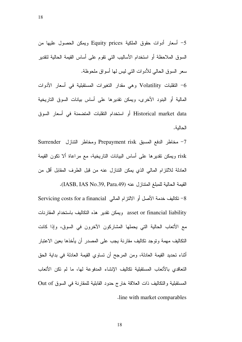5- أسعار أدوات حقوق الملكية Equity prices ويمكن الحصول عليها من السوق الملاحظة أو استخدام الأساليب التي نقوم على أساس القيمة الحالية لتقدير سعر السوق الحالي للأدوات التي ليس لها أسواق ملحوظة.

النقلبات Volatility وهي مقدار النغيرات المستقبلية في أسعار الأدوات  $\sim$ المالية أو البنود الأخرى، ويمكن نقديرها على أساس بيانات السوق التاريخية Historical market data أو استخدام النقلبات المتضمنة في أسعار السوق الحالية.

7- مخاطر الدفع المسبق Prepayment risk ومخاطر النتازل Surrender risk ويمكن نقديرها على أساس البيانات التاريخية، مع مراعاة ألا نكون القيمة العادلة للالتزام المالي الذي يمكن التنازل عنه من قبل الطرف المقابل أقل من

القيمة الحالية للمبلغ المنتازل عنه (IASB, IAS No.39, Para.49). 8– تكاليف خدمة الأصل أو الالتزام المالي Servicing costs for a financial asset or financial liability ويمكن نقدير هذه التكاليف باستخدام المقارنات مع الأتعاب الحالية التي يحملها المشاركون الآخرون في السوق، وإذا كانت النكاليف مهمة وتوجد تكاليف مقارنة يجب على المصدر أن يأخذها بعين الاعتبار أثناء تحديد القيمة العادلة، ومن المرجح أن نساوى القيمة العادلة في بداية الحق التعاقدي بالأتعاب المستقبلية تكاليف الإنشاء المدفوعة لها، ما لم تكن الأتعاب المستقبلية والتكاليف ذات العلاقة خارج حدود القابلية للمقارنة في السوق Out of line with market comparables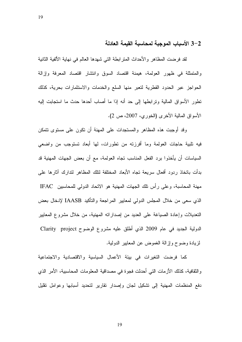#### 3–3 الأسباب الموجبة لمحاسبة القبمة العادلة

لقد فرضت المظاهر والأحداث المنز ابطة التي شهدها العالم في نهاية الألفية الثانية والمتمثلة في ظهور العولمة، هيمنة اقتصاد السوق وانتشار اقتصاد المعرفة وإزالة الحواجز عبر الحدود القطرية لتعبر منها السلع والخدمات والاستثمارات بحرية، كذلك تطور الأسواق المالية وترابطها إلى حد أنه إذا ما أصاب أحدها حدث ما استجابت إليه الأسواق المالية الأخرى (الخوري، 2007، ص 2).

19

وقد أوجبت هذه المظاهر والمستجدات على المهنة أن نكون على مستوى نتمكن فيه تلبية حاجات العولمة وما أفرزته من تطورات، لمها أبعاد تستوجب من واضعى السياسات أن يأخذوا برد الفعل المناسب نجاه العولمة، مع أن بعض الجهات المهنية قد بدأت باتخاذ ردود أفعال سريعة نجاه الأبعاد المختلفة لنلك المظاهر لندارك آثارها على مهنة المحاسبة، وعلى رأس تلك الجهات المهنية هو الاتحاد الدولي للمحاسبين IFAC الذي سعى من خلال المجلس الدولي لمعابير المراجعة والناكيد IAASB لإدخال بعض التعديلات وإعادة الصياغة على العديد من إصداراته المهنية، من خلال مشروع المعايير الدولية الجديد في عام 2009 الذي أطلق عليه مشروع الوضوح Darity project ) لزيادة وضوح وإزالة الغموض عن المعابير الدولية.

كما فرضت النغيرات في بيئة الأعمال السياسية والاقتصادية والاجتماعية والثقافية، كذلك الأزمات التي أحدثت فجوة في مصداقية المعلومات المحاسبية، الأمر الذي دفع المنظمات المهنية إلى تشكيل لجان وإصدار نقارير لتحديد أسبابها وعوامل نقليل

19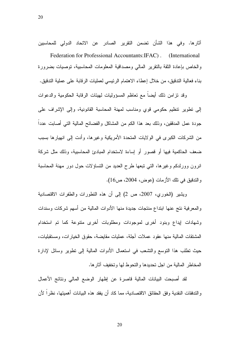20

آثار ها. وفي هذا الشأن نضمن النقرير الصادر عن الاتحاد الدولي للمحاسبين Federation for Professional Accountants: IFAC). (International) والخاص بإعادة الثقة بالنقرير المالى ومصداقية المعلومات المحاسبية، توصيات بضرورة بناء فعالية التدقيق، من خلال إعطاء الاهتمام الرئيسي لعمليات الرقابة على عملية التدقيق.

وقد نز امن ذلك أبضـاً مـع تعاظم المسؤوليات لميئات الرقابة الحكومية والدعوات إلى نطوير نتظيم حكومي قوي ومناسب لمهنة المحاسبة القانونية، وإلى الإشراف على جودة عمل المدققين، وذلك بعد هذا الكم من المشاكل والفضائح المالية النبي أصابت عدداً من الشركات الكبرى في الولايات المتحدة الأمريكية وغيرها، وأدت إلى انهيارها بسبب ضعف الحاكمية فيها أو قصور أو إساءة لاستخدام المبادئ المحاسبية، وذلك مثل شركة انرون وورلدكم وغيرها، التي تبعها طرح العديد من النساؤلات حول دور مهنة المحاسبة وِ النَّدْفِيقِ في تلك الأزمات (عوض، 2004، ص16).

ويشير (الخورى، 2007، ص 2) إلى أن هذه النطورات والطفرات الاقتصادية والمعرفية نتج عنها ابتداع منتجات جديدة منها الأدوات المالية من أسهم شركات وسندات وشهادات ليداع وبنود أخرى لموجودات ومطلوبات أخرى متنوعة كما تم استخدام المشتقات المالية منها عقود عملات أجلة، عمليات مقايضة، حقوق الخيارات، ومستقبليات، حيث نطلب هذا النوسع والنشعب في استعمال الأدوات المالية إلى نطوير وسائل لإدارة المخاطر المالية من اجل تحديدها والتحوط لها وتخفيف آثار ها.

لقد أصبحت البيانات المالية فاصرة عن إظهار الوضع المالي ونتائج الأعمال و التدفقات النقدية و فق الحقائق الاقتصادية، مما كاد أن يفقد هذه البيانات أهميتها، نظر ا لأن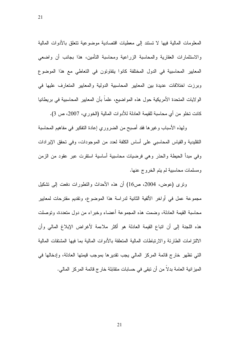المعلومات المالية فيها لا تستند إلى معطيات اقتصادية موضوعية نتعلق بالأدوات المالية والاستثمارات العقارية والمحاسبة الزراعية ومحاسبة النأمين، هذا بجانب أن واضعى المعايير المحاسبية في الدول المختلفة كانوا يتفاوتون في التعاطي مع هذا الموضوع وبرزت اختلافات عديدة بين المعايير المحاسبية الدولية والمعايير المتعارف عليها في الو لايات المتحدة الأمريكية حول هذه المواضيع، علما بأن المعايير المحاسبية في بريطانيا كانت نخلو من أي محاسبة للقيمة العادلة للأدوات المالية (الخور ي، 2007، ص 3).

21

ولهذه الأسباب وغيرها فقد أصبح من الضروري إعادة النفكير في مفاهيم المحاسبة النقلبدية والقياس المحاسبي على أساس الكلفة لعدد من الموجودات، وفي تحقق الإيرادات وفي مبدأ الحيطة والحذر وهي فرضيات محاسبية أساسية استقرت عبر عقود من الزمن ومسلمات محاسبية لم يتم الخروج عنها.

ونرى (عوض، 2004، ص16) أن هذه الأحداث والنطورات دفعت إلى نشكيل مجموعة عمل في أواخر الألفية الثانية لدراسة هذا الموضوع، وتقديم مقترحات لمعايير محاسبة القيمة العادلة، وضمت هذه المجموعة أعضاء وخبراء من دول متعددة، وتوصلت هذه اللجنة إلى أن اتباع القيمة العادلة هو أكثر ملاءمة لأغراض الإبلاغ المالي وأن الالتزامات الطارئة والارتباطات المالية المتعلقة بالأدوات المالية بما فيها المشتقات المالية التي تظهر خارج قائمة المركز المالي يجب تقديرها بموجب قيمتها العادلة، وإدخالها في الميز انية العامة بدلا من أن نبقى في حسابات متقابلة خار ج قائمة المركز المالي.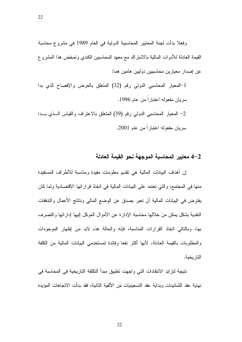وفعلا بدأت لجنة المعابير المحاسبية الدولية في العام 1989 في مشروع محاسبة القيمة العادلة للأدوات المالية بالاشتراك مع معهد المحاسبين الكندي وتمخض هذا المشروع عن إصدار معيارين محاسبيين دوليين هامين هما:

1-المعيار المحاسبي الدولي رقم (32) المنعلق بالعرض والإفصاح الذي بدا سريان مفعوله اعتباراً من عام 1996. 2– المعيار المحاسبي الدولمي رقم (39) المنعلق بالاعتراف والقياس الـــذي بـــدا سر بان مفعوله اعتبار اً من عام 2001.

#### 2–4 معايير المحاسبة الموجهة نحو القيمة العادلة

إن أهداف البيانات المالية هي نقديم معلومات مفيدة ومناسبة للأطراف المستفيدة منها في المجتمع، والتي تعتمد على البيانات المالية في اتخاذ قراراتها الاقتصادية ولما كان يفترض في البيانات المالية أن تعبر بصدق عن الوضع المالي ونتائج الأعمال والتدفقات النقدية بشكل بمكن من خلالها محاسبة الإدارة عن الأموال الموكل إليها إداراتها والتصرف بها، وبالتالي انخاذ القرارات المناسبة، فإنه والحالة هذه لابد من إظهار الموجودات والمطلوبات بالقيمة العادلة، لأنها أكثر نفعا وفائدة لمستخدمي البيانات المالية من الكلفة التار يخية.

نتيجة لتز ايد الانتقادات التي و اجهت تطبيق مبدأ التكلفة التاريخية في المحاسبة في نهاية عقد الثمانينات وبداية عقد التسعينيات من الألفية الثانية، فقد بدأت الاتجاهات المؤيدة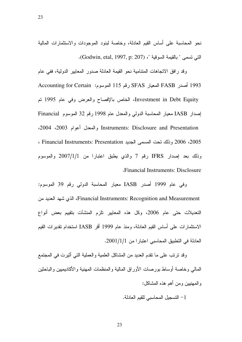نحو المحاسبة على أساس القيم العادلة، وخاصة لبنود الموجودات والاستثمارات المالية الني نسمى " بالقيمة السوفية "، (Godwin, etal, 1997, p: 207).

23

وقد رافق الاتجاهات المتنامية نحو القيمة العادلة صدور المعايير الدولية، ففي عام 1993 أصدر FASB المعيار SFAS رقم 115 الموسوم: Accounting for Certain Investment in Debt Equity، الخاص بالإفصاح والعرض وفي عام 1995 تم إصدار IASB معيار المحاسبة الدولي والمعدل عام 1998 رقم 32 الموسوم Financial Instruments: Disclosure and Presentation والمعدل أعوام 2003، 2004. 2005، 2006 وذلك تحت المسمى الجديد Financial Instruments: Presentation ، وذلك بعد إصدار IFRS رقم 7 والذي يطبق اعتبارا من 2007/1/1 والموسوم **Financial Instruments: Disclosure** 

وفي عام 1999 أصدر IASB معيار المحاسبة الدولي رقم 39 الموسوم: Financial Instruments: Recognition and Measurement، الذي شهد العديد من التعديلات حتى عام 2006، وكل هذه المعايير نلزم المنشآت بتقييم بعض أنواع الاستثمارات على أساس القيم العادلة، ومنذ عام 1999 أقر IASB استخدام نقديرات القيم العادلة في التطبيق المحاسبي اعتبارا من 2001/1/1.

وقد نرتب على ما نقدم الحديد من المشاكل العلمية والعملية التي أنثيرت في المجتمع المالبي وخاصة أوساط بورصات الأوراق المالية والمنظمات المهنية والأكاديميين والباحثين والمهنيين ومن أهم هذه المشاكل:

1– التسجيل المحاسبي للقيم العادلة.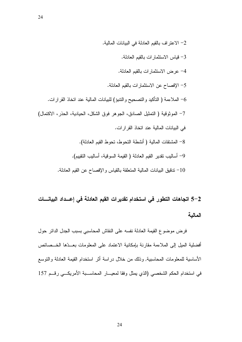2– الاعتراف بالقيم العادلة في البيانات المالية. 3- قياس الاستثمارات بالقيم العادلة. 4– عرض الاستثمارات بالقيم العادلة. 5– الإفصاح عن الاستثمارات بالقيم العادلة. 6– الملاءمة ( التأكيد والتصحيح والنتبؤ) للبيانات المالية عند اتخاذ القرارات. 7– الموثوقية ( التمثيل الصادق، الجوهر فوق الشكل، الحيادية، الحذر، الاكتمال) في البيانات المالية عند اتخاذ القرارات. 8– المشتقات المالية ( أنشطة التحوط، تحوط القيم العادلة). 9– أساليب تقدير القيم العادلة ( القيمة السوقية، أساليب التقييم). تدقيق البيانات المالية المتعلقة بالقياس والإفصاح عن القيم العادلة.  $\sim\!10$ 

24

5–2 اتجاهات التطور في استخدام تقديرات القيم العادلة في إعــداد البيانــــات المالية

فرض موضوع القيمة العادلة نفسه على النقاش المحاسبي بسبب الجدل الدائر حول أفضلية الميل إلى الملاءمة مقارنة بإمكانية الاعتماد على المعلومات بعــدّها الخــصائص الأساسية للمعلومات المحاسبية, وذلك من خلال دراسة أثر استخدام القيمة العادلة والنوسع في استخدام الحكم الشخصي (الذي يمثل وفقا لمعيـــار المحاســـبة الأمريكـــي رقـــم 157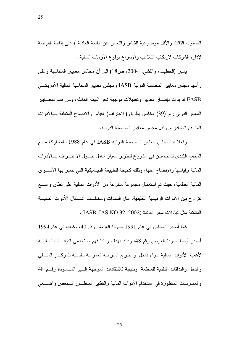المستوى الثالث والأقل موضوعية للقياس والنعبير عن القيمة العادلة ) على إناحة الفرصة لإدارة الشركات لارتكاب النلاعب والإسراع بوقوع الأزمات المالية.

يشير (الخطيب، والقشي، 2004، ص18) إلى أن مجالس معايير المحاسبة وعلى ر أسها مجلس معايير المحاسبة الدولية IASB ومجلس معايير المحاسبة المالية الأمريكـــي FASB قد بدأت بإصدار معايير وتعديلات موجهة نحو القيمة العادلة، ومن هذه المعـــابير المعيار الدولي رقم (39) الخاص بطرق (الاعتراف) القياس والإفصاح المتعلقة بسالأدوات المالية والصادر من قبل مجلس معايير المحاسبة الدولية.

وفعلاً بدا مجلس معايير المحاسبة الدولية IASB في عام 1988 بالمشاركة مــــع المجمع الكندي للمحاسبين في مشروع لتطوير معيار شامل حــول الاعتـــراف بـــالأدوات المالية وقياسها والإفصاح عنها، وذلك كنتيجة للطبيعة الديناميكية التبي نتميز بها الأســـواق المالية العالمية، حيث تم استعمال مجمو عة متنو عة من الأدوات المالية على نطاق واســــع تتر او ح بين الأدوات الرئيسية التقليدية، مثل السندات ومختلــف أشـــكال الأدوات الماليـــة المشتقة مثل تبادلات سعر الفائدة (IASB, IAS NO:32, 2002).

كما أصدر المجلس في عام 1991 مسودة العرض رقم 40، وكذلك في عام 1994 أصدر أيضا مسودة العرض رقم 48، وذلك بهدف زيادة فهم مستخدمي البيانــــات الماليــــة لأهمية الأدوات المالية سواء داخل أو خارج الميز انية العمومية بالنسبة للمركـــز المـــالـي والدخل والتدفقات النقدية للمنظمة، ونتيجة للانتقادات الموجهة إلـــى المـــسودة رقـــم 48 والممارسات المتطورة في استخدام الأدوات المالية والتفكير المتطــور لــبعض واضـــعي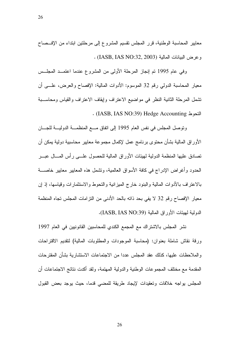معايير المحاسبة الوطنية، قرر المجلس نقسيم المشروع إلى مرحلتين ابتداء من الإفـــصـاح وعرض البيانات المالية (IASB, IAS NO:32, 2003) .

وفي عام 1995 تم إنجاز المرحلة الأولى من المشروع عندما اعتمــد المجلــس معيار المحاسبة الدولي رقم 32 الموسوم: الأدوات المالية: الإفصاح والعرض، علــــى أن نتسمل المرحلة الثانية النظر في مواضيع الاعتراف وإيقاف الاعتراف والقياس ومحاســـبة . (IASB, IAS NO:39) Hedge Accounting 

ونوصل المجلس في نفس العام 1995 إلى اتفاق مـــع المنظمـــة الدوليـــة للجــــان الأوراق المالية بشان محتوى برنامج عمل لإكمال مجموعة معايير محاسبية دولية بمكن أن تصادق عليها المنظمة الدولية لمهيئات الأوراق المالية للحصول علـــي رأس المـــال عبـــر الحدود وأغراض الإدراج في كافة الأسواق العالمية، وتشمل هذه المعابير معابير خاصـــة بالاعتراف بالأدوات المالية والبنود خارج المبزانية والتحوط والاستثمارات وقياسها، إذ إن معيار الإفصـاح رقم 32 لا يفي بـحد ذاته بالـحد الأدنـى من النزامات المجلس تجاه المنظمة الدولية لـهيئات الأوراق المالية (IASB, IAS NO:39).

نشر المجلس بالاشتر اك مع المجمع الكندي للمحاسبين القانونيين في العام 1997 ورقة نقاش شاملة بعنوان: (محاسبة الموجودات والمطلوبات المالية) لنقديم الاقتراحات والملاحظات عليها، كذلك عقد المجلس عددا من الاجتماعات الاستشارية بشان المقترحات المقدمة مع مختلف المجموعات الوطنية والدولية المهتمة، ولقد اكدت نتائج الاجتماعات أن المجلس بواجه خلافات وتعقيدات لإيجاد طريقة للمضىي قدما، حيث بوجد بعض القبول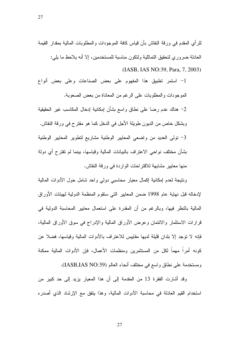للرأى المقدم في ورقة النقاش بأن قياس كافة الموجودات والمطلوبات المالية بمقدار القيمة العادلة ضروري لتحقيق التماثلية ولتكون مناسبة للمستخدمين، إلا أنه بلاحظ ما بلي: (IASB, IAS NO:39, Para, 7, 2003)

1- استمر نطبيق هذا المفهوم على بعض الصناعات وعلى بعض أنواع الموجودات والمطلوبات على الرغم من المعاناة من بعض الصعوبة. 2– هناك عدم رضـا علـى نطـاق واسـع بشـأن إمكـانيـة إدخـال المكـاسب غير الـحقيقيـة

وبشكل خاص من الديون طويلة الأجل في الدخل كما هو مقترح في ورقة النقاش. 3– نولمي العديد من واضعى المعايير الوطنية مشاريع لتطوير المعايير الوطنية بشأن مختلف نواحي الاعتراف بالبيانات المالية وقياسها، بينما لم تقترح أي دولة منها معايير مشابهة للاقتراحات الواردة في ورقة النقاش.

ونتيجة لعدم إمكانية إكمال معيار محاسبي دولي واحد شامل حول الأدوات المالية لإدخاله قبل نهاية عام 1998 ضمن المعايير التي ستقوم المنظمة الدولية لهيئات الأوراق المالية بالنظر فيها، وبالرغم من أن المقدرة على استعمال معايير المحاسبة الدولية في قرارات الاستثمار والائتمان وعرض الأوراق المالية والإدراج في سوق الأوراق المالية، فإنه لا نوجد إلا بلدان قليلة لديها مقابيس للاعتراف بالأدوات المالية وقياسها، فضلا عن كونه أمرا مهما لكل من المستثمرين ومنظمات الأعمال، فإن الأدوات المالية ممكنة ومستخدمة على نطاق واسع في مختلف أنحاء العالم (IASB,IAS NO:39).

وقد أشارت الفقرة 13 من المقدمة إلى أن هذا المعيار بزيد إلى حد كبير من استخدام القيم العادلة في محاسبة الأدوات المالية، وهذا يتفق مع الإرشاد الذي أصدره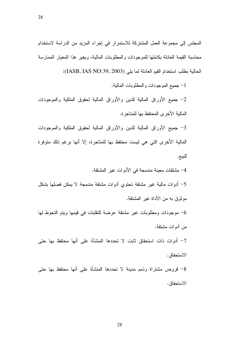المجلس إلى مجموعة العمل المشتركة للاستمرار في إجراء المزيد من الدراسة لاستخدام محاسبة القيمة العادلة بكاملها للموجودات والمطلوبات المالية، ويغير هذا المعيار الممارسة الحالية بطلب استخدام القيم العادلة لما يلي (IASB, IAS NO:39, 2003):

1- جميع الموجودات والمطلوبات المالية.

2- جميع الأوراق المالية للدين والأوراق المالية لحقوق الملكية والموجودات المالية الأخر ي المحتفظ بها للمتاجر ة.

3- جميع الأوراق المالية للدين والأوراق المالية لحقوق الملكية والموجودات المالية الأخرى التي هي ليست محتفظ بها للمتاجرة، إلا أنها برغم ذلك متوفرة للبيع.

4– مشتقات معينة مندمجة في الأدوات غير المشتقة. 5– أدوات مالية غير مشتقة تحتوى أدوات مشتقة مندمجة لا يمكن فصلها بشكل موثوق به من الأداة غبر المشتقة.

موجودات ومطلوبات غير مشتقة عرضة للتقلبات في قيمها ويتم التحوط لها  $\hbox{--}$ من أدوات مشتقة.

7– أدوات ذات استحقاق ثابت لا تحددها المنشأة على أنها محتفظ بها حتى الاستحقاق.

8– قروض مشتراة وذمم مدينة لا تحددها المنشأة على أنها محتفظ بها حتى الاستحقاق.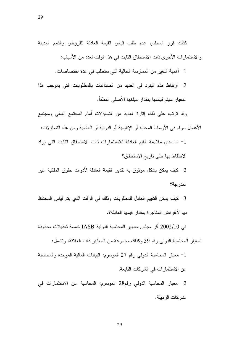كذلك قرر المجلس عدم طلب قياس القيمة العادلة للقروض والذمم المدينة والاستثمارات الأخرى ذات الاستحقاق الثابت في هذا الوقت لعدد من الأسباب:

1– أهمية التغير من الممارسة الحالية التي ستطلب في عدة اختصاصات.

2– ارتباط هذه البنود في العديد من الصناعات بالمطلوبات التي بموجب هذا المعيار سيتم قياسها بمقدار مبلغها الأصلى المطفأ.

وقد نرنب على ذلك إثارة العديد من النساؤلات أمام المجتمع المالي ومجتمع الأعمال سواء في الأوساط المحلية أو الإقليمية أو الدولية أو العالمية ومن هذه النساؤلات:

1– ما مدى ملاءمة القيم العادلة للاستثمار ات ذات الاستحقاق الثابت التي ير اد الاحتفاظ بها حتى تاريخ الاستحقاق؟

2– كيف يمكن بشكل موثوق به نقدير القيمة العادلة لأدوات حقوق الملكية غير المدرجة؟

3– كيف بمكن النقييم العادل للمطلوبات وذلك في الوقت الذي يتم قياس المحتفظ بها لأغر اض المتاجر ة بمقدار قيمها العادلة؟.

في 2002/10 أقر مجلس معايير المحاسبة الدولية IASB خمسة تعديلات محدودة

لمعيار المحاسبة الدولي رقم 39 وكذلك مجموعة من المعابير ذات العلاقة، وتشمل:

1– معيار المحاسبة الدولي رقم 27 الموسوم: البيانات المالية الموحدة والمحاسبة عن الاستثمار ات في الشركات التابعة. 2- معيار المحاسبة الدولي رقم28 الموسوم: المحاسبة عن الاستثمارات في الشر كات الز مبلة.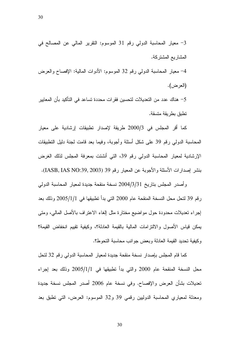3- معيار المحاسبة الدولي رقم 31 الموسوم: النقرير المالي عن المصالح في المشاريع المشتركة. 4– معيار المحاسبة الدولمي رقم 32 الموسوم: الأدوات المالية: الإفصاح والعرض (العرض). 5– هناك عدد من التعديلات لتحسين فقرات محددة تساعد في التأكيد بأن المعايير تطبق بطر يقة متسقة.

كما أقر المجلس في 2000/3 طريقة لإصدار تطبيقات إرشادية على معيار المحاسبة الدولي رقم 39 على شكل أسئلة وأجوبة، وفيما بعد قامت لجنة دليل التطبيقات الإرشادية لمعيار المحاسبة الدولي رقم 39، التي أنشئت بمعرفة المجلس لذلك الغرض بنشر إصدارات الأسئلة والأجوبة عن المعيار رقم 39 (IASB, IAS NO:39, 2003).

وأصدر المجلس بتاريخ 2004/3/31 نسخة منقحة جديدة لمعيار المحاسبة الدولي رِقِمِ 39 لنحل محل النسخة المنقحة عام 2000 التي بدأ نطبيقها في 2005/1/1 وذلك بعد إجراء تعديلات محدودة حول مواضيع مختارة مثل إلغاء الاعتراف بالأصل المالبي، ومتبي يمكن قياس الأصول والالتزامات المالية بالقيمة العادلة؟، وكيفية تقييم انخفاض القيمة؟ وكيفية تحديد القيمة العادلة وبعض جوانب محاسبة التحوط؟.

كما قام المجلس بإصدار نسخة منقحة جديدة لمعيار المحاسبة الدولي رقم 32 لتحل محل النسخة المنقحة عام 2000 والتي بدأ نطبيقها في 2005/1/1 وذلك بعد إجراء تعديلات بشأن العرض والإفصاح. وفي نسخة عام 2006 أصدر المجلس نسخة جديدة ومعدلة لمعياري المحاسبة الدوليين رقمي 39 و32 الموسوم: العرض، التي نطبق بعد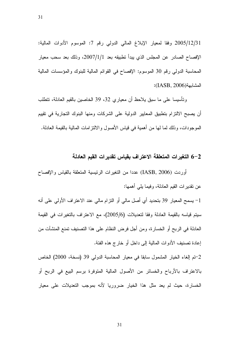2005/12/31 وفقا لمعيار الإبلاغ المالي الدولي رقم 7: الموسوم الأدوات المالية: الإفصاح الصادر عن المجلس الذي يبدأ نطبيقه بعد 2007/1/1، وذلك بعد سحب معيار المحاسبة الدولي رقم 30 الموسوم: الإفصاح في القوائم المالية للبنوك والمؤسسات المالية المشابهة(IASB, 2006):

وتأسيسا على ما سبق بلاحظ أن معياري 32، 39 الخاصين بالقيم العادلة، تتطلب أن يصبح الالتزام بتطبيق المعايير الدولية على الشركات ومنها البنوك التجارية في تقييم الموجودات، وذلك لما لها من أهمية في قياس الأصول والالتز امات المالية بالقيمة العادلة.

#### 6–2 التغيرات المتعلقة الاعتراف بقياس تقديرات القيم العادلة

أوردت (IASB, 2006) عددا من النغيرات الرئيسية المنعلقة بالقياس والإفصاح عن نقدير ات القيم العادلة، وفيما يلي أهمها:

1– يسمح المعيار 39 بتحديد أي أصل مالي أو النزام مالي عند الاعتراف الأولى على أنه سيتم قياسه بالقيمة العادلة وفقا لتعديلات (2005/6)، مع الاعتراف بالتغيرات في القيمة العادلة في الربح أو الخسارة، ومن أجل فرض النظام على هذا التصنيف تمنع المنشآت من إعادة تصنيف الأدوات المالية إلى داخل أو خارج هذه الفئة.

2-تم إلغاء الخيار المشمول سابقا في معيار المحاسبة الدولي 39 (نسخة، 2000) الخاص بالاعتراف بالأرباح والخسائر من الأصول المالية المتوفرة برسم البيع في الربح أو الخسارة، حيث لم يعد مثل هذا الخيار ضروريا لأنه بموجب التعديلات على معيار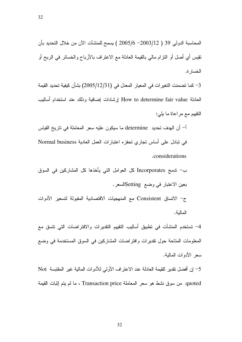المحاسبة الدولي 39 ( 2003/6 –2005/6 ) يسمح للمنشآت الآن من خلال النحديد بأن نقيس أي أصل أو النترام مالي بالقيمة العادلة مع الاعتراف بالأرباح والخسائر في الربح أو الخسار ة.

3– كما تضمنت التغير ات في المعيار المعدل في (12/31/2005) بشأن كيفية تحديد القيمة العادلة How to determine fair value إرشادات إضافية وذلك عند استخدام أساليب النقييم مع مراعاة ما يلي:

أ– أن الهدف تحديد determine ما سيكون عليه سعر المعاملة في تاريخ القياس في نبادل على أساس تجاري تحفزه اعتبارات العمل العادية Normal business . considerations

ب – تدمج Incorporates كل العوامل التي يأخذها كل المشاركين في السوق بعين الاعتبار في وضع Settingالسعر . ج– الاتساق Consistent مع المنهجيات الاقتصادية المقبولة لتسعير الأدوات

المالية.

4– تستخدم المنشأت في تطبيق أساليب النقييم النقديرات والافتراضـات التي نتسق مع المعلومات المتاحة حول نقديرات وافتراضات المشاركين في السوق المستخدمة في وضع سعر الأدوات المالية.

5– إن أفضل نقدير للقيمة العادلة عند الاعتراف الأولي للأدوات المالية غير المقتبسة Not quoted من سوق نشط هو سعر المعاملة Transaction price ، ما لم يتم إثبات القيمة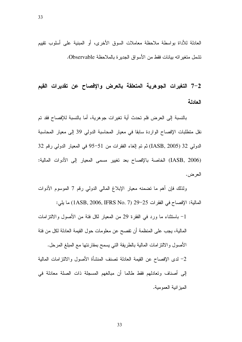33

العادلة للأداة بواسطة ملاحظة معاملات السوق الأخرى، أو المبنية على أسلوب نقييم نشمل متغيراته بيانات فقط من الأسواق الجديرة بالملاحظة Observable.

7–2 التغيرات الجوهرية المتعلقة بالعرض والإفصاح عن تقديرات القيم العادلة

بالنسبة إلى العرض فلم تحدث أية تغيرات جوهرية، أما بالنسبة للإفصاح فقد تم نقل منطلبات الإفصـاح الواردة سابقا في معيار المحاسبة الدولي 39 إلى معيار المحاسبة الدولي 32 (IASB, 2005) ثم تم الغاء الفقرات من 51−95 في المعيار الدولي رقم 32 (IASB, 2006) الخاصة بالإفصاح بعد تغيير مسمى المعيار إلى الأدوات المالية: العرض.

ولذلك فإن أهم ما تضمنه معيار الإبلاغ المالي الدولي رقم 7 الموسوم الأدوات المالية: الإفصاح في الفقرات 25−29 (IASB, 2006, IFRS No. 7) ما يلي:

- باستثناء ما ورد في الفقرة 29 من المعيار لكل فئة من الأصول والالتزامات  $-1\,$ المالية، يجب على المنظمة أن تفصح عن معلومات حول القيمة العادلة لكل من فئة الأصول والالتزامات المالية بالطريقة التي يسمح بمقارنتها مع المبلغ المرحل. 2– لدى الإفصـاح عن القيمة العادلة تصنف المنشأة الأصـول والالتزامات المالية إلى أصناف وتعادلهم فقط طالما أن مبالغهم المسجلة ذات الصلة معادلة في الميز انية العمومية.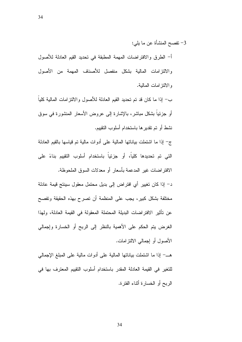34

3– تفصح المنشأة عن ما يلي:

أ– الطرق والافتراضات المهمة المطبقة في تحديد القيم العادلة للأصول والالتزامات المالية بشكل منفصل للأصناف المهمة من الأصول والالنزامات المالية.

ب– إذا ما كان قد تم تحديد القيم العادلة للأصول والالنز امات المالية كلياً أو جزئيا بشكل مباشر، بالإشارة إلى عروض الأسعار المنشورة في سوق نشط أو تم تقدير ها باستخدام أسلوب النقييم.

ج– إذا ما اشتملت بياناتها المالية على أدوات مالية تم فياسها بالقيم العادلة التي تم تحديدها كلياً، أو جزئياً باستخدام أسلوب التقييم بناءً على الافتراضات غير المدعمة بأسعار أو معدلات السوق الملحوظة.

د– إذا كان تغيير أي افتراض إلى بديل محتمل معقول سينتج قيمة عادلة مختلفة بشكل كبيرٍ ، يجب على المنظمة أن تصرح بهذه الحقيقة وتفصح عن تأثير الافتراضات البديلة المحتملة المعقولة في القيمة العادلة، ولهذا الغرض يتم الحكم على الأهمية بالنظر إلى الربح أو الخسارة وإجمالي الأصول أو إجمالي الالنز لمات.

هــــ إذا ما اشتملت بياناتها المالية على أدوات مالية على المبلغ الإجمالي للتغير في القيمة العادلة المقدر باستخدام أسلوب التقييم المعترف بها في الربح أو الخسارة أثناء الفترة.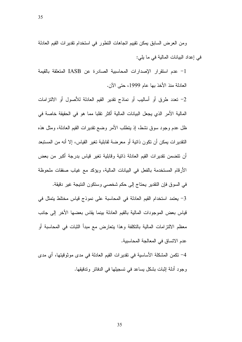ومن العرض السابق بمكن تقييم اتجاهات التطور في استخدام تقديرات القيم العادلة

35

في إعداد البيانات المالية في ما يلي:

1- عدم استقرار الإصدارات المحاسبية الصادرة عن IASB المتعلقة بالقيمة العادلة منذ الأخذ بها عام 1999، حتى الآن.

2– تعدد طرق أو أساليب أو نماذج نقدير القيم العادلة للأصول أو الالتزامات المالية الأمر الذي يجعل البيانات المالية أكثر تقلبا مما هو في الحقيقة خاصة في ظل عدم وجود سوق نشط، إذ ينطلب الأمر وضع نقدير ات القيم العادلة، ومثل هذه النقدير ات يمكن أن تكون ذاتية أو معرضة لقابلية تغير القياس، إلا أنه من المستبعد أن نتضمن نقديرات القيم العادلة ذانية وقابلية نغير قياس بدرجة أكبر من بعض الأرقام المستخدمة بالفعل في البيانات المالية، ويؤكد مع غياب صفقات ملحوظة

في السوق فإن النقدير يحتاج إلى حكم شخصبي وستكون النتيجة غير دقيقة. 3- يعتمد استخدام القيم العادلة في المحاسبة على نموذج قياس مختلط يتمثل في قياس بعض الموجودات المالية بالقيم العادلة بينما يقاس بعضها الأخر إلى جانب معظم الالتزامات المالية بالتكلفة وهذا يتعارض مع مبدأ الثبات في المحاسبة أو عدم الاتساق في المعالجة المحاسبية.

4– تكمن المشكلة الأساسية في تقدير ات القيم العادلة في مدى موثوقيتها، أي مدى وجود أدلة إثبات بشكل يساعد في تسجيلها في الدفاتر وتدقيقها.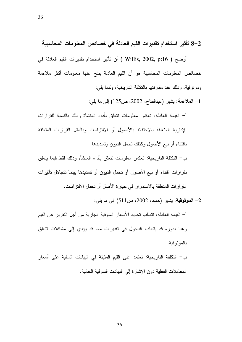36

8–2 تأثير استخدام تقديرات القيم العادلة في خصائص المعلومات المحاسبية

أوضح ( Willis, 2002, p:16 ) أن تأثير استخدام تقديرات القيم العادلة في خصائص المعلومات المحاسبية هو أن القيم العادلة ينتج عنها معلومات أكثر ملاءمة وموثوقية، وذلك عند مقارنتها بالتكلفة الناريخية، وكما يلي:

1- الملاعِمة: يشير (عبدالفتاح، 2002، ص125) إلى ما يلي:

أ– القيمة العادلة: تعكس معلومات نتعلق بأداء المنشأة وذلك بالنسبة للقرارات الإدارية المتعلقة بالاحتفاظ بالأصول أو الالتزامات وبالمثل القرارات المتعلقة باقتناء أو بيع الأصول وكذلك نحمل الديون وتسديدها.

ب– النكلفة التاريخية: تعكس معلومات نتعلق بأداء المنشأة وذلك فقط فيما يتعلق بقرارات اقتناء أو بيع الأصول أو تحمل الديون أو نسديدها بينما نتجاهل تأثيرات القرارات المتعلقة بالاستمرار في حيازة الأصل أو تحمل الالتزامات.

2- الموثوقية: يشير (حماد، 2002، ص511) إلى ما يلي:

أ– القيمة العادلة: تتطلب تحديد الأسعار السوقية الجارية من أجل التقرير عن القيم وهذا بدوره قد يتطلب الدخول في نقديرات مما قد يؤدي إلى مشكلات نتعلق بالمو نو قبة.

ب– النكلفة التاريخية: تعتمد على القيم المثبتة في البيانات المالية على أسعار المعاملات الفعلية دون الإشارة إلى البيانات السوقية الحالية.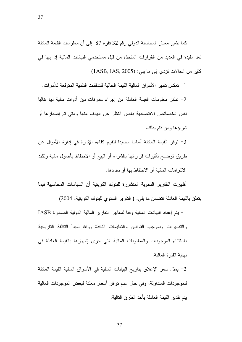كما يشير معيار المحاسبة الدولي رقم 32 فقرة 87 إلى أن معلومات القيمة العادلة تعدَ مفيدة في العديد من القرارات المتخذة من قبل مستخدمي البيانات المالية إذ إنها في كثير من الحالات تؤدي إلى ما يلي: (1ASB, IAS, 2005)

1– نعكس نقدير الأسواق المالية القيمة الحالية للندفقات النقدية المنوقعة للأدوات. 2– تمكن معلومات القيمة العادلة من إجراء مقارنات بين أدوات مالية لها غالبا نفس الخصائص الاقتصادية بغض النظر عن الهدف منها ومتى تم إصدارها أو شر اؤ ها ومن قام بذلك.

3- توفُّر القيمة العادلة أساسا محايدا لتقييم كفاءة الإدارة في إدارة الأموال عن طريق نوضيح نأثيرات قراراتها بالشراء أو البيع أو الاحتفاظ بأصول مالية ونكبد الالتز امات المالية أو الاحتفاظ بها أو سدادها.

أظهر ت النقار بر السنو بة المنشو ر ة للبنو ك الكو بنية أن السياسات المحاسبية فيما

يتعلَّق بالقيمة العادلة تتضمن ما يلي: ( النقرير السنوى للبنوك الكويتية، 2004)

1- يتم إعداد البيانات المالية وفقا لمعايير النقارير المالية الدولية الصادرة IASB والتفسيرات وبموجب القوانين والتعليمات النافذة ووفقا لمبدأ التكلفة التاريخية باستثناء الموجودات والمطلوبات المالية التي جرى إظهارها بالقيمة العادلة في نهابة الفتر ة المالبة.

2– يمثل سعر الإغلاق بتاريخ البيانات المالية في الأسواق المالية القيمة العادلة للموجودات المنداولة، وفي حال عدم نوافر أسعار معلنة لبعض الموجودات المالية بِتم تقدير القيمة العادلة بأحد الطرق التالية: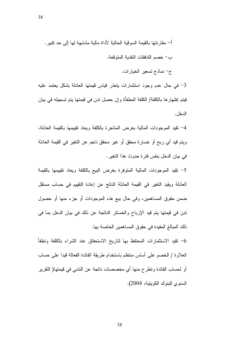ج- نماذج تسعير الخيارات.

3- في حال عدم وجود استثمارات يتعذر قياس قيمتها العادلة بشكل يعتمد عليه فيتم إظهار ها بالكلفة/ الكلفة المطفأة وإن حصل ندن في قيمتها يتم تسجيله في بيان الدخل .

4– نقيد الموجودات المالية بغرض المتاجرة بالكلفة ويعاد نقييمها بالقيمة العادلة، ويتم قيد أي ربح أو خسارة محقق أو غير محقق ناجم عن التغير في القيمة العادلة في بيان الدخل بنفس فترة حدوث هذا التغير .

5– نقيد الموجودات المالية المتوفرة بغرض البيع بالكلفة ويعاد نقييمها بالقيمة العادلة ويقيد التغير في القيمة العادلة الناتج عن إعادة التقييم في حساب مستقل ضمن حقوق المساهمين، وفي حال بيع هذه الموجودات أو جزء منها أو حصول تدن في قيمتها يتم قيد الإرباح والخسائر الناتجة عن ذلك في بيان الدخل بما في ذلك المبالغ المقيدة في حقوق المساهمين الخاصة بها.

تقيد الاستثمارات المحتفظ بها لتاريخ الاستحقاق عند الشراء بالكلفة وتطفأ  $\,$ العلاوة / الخصم على أساس منتظم باستخدام طريقة الفائدة الفعالة فيدا على حساب أو لحساب الفائدة ونطرح منها أي مخصصات ناتجة عن الندني في فيمتها( النقرير السنوي للبنوك الكوبنية، 2004).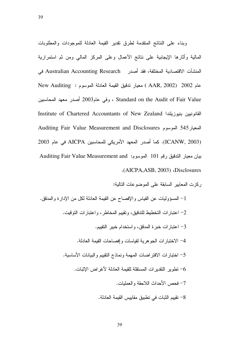وبناء على النتائج المتقدمة لطرق تقدير القيمة العادلة للموجودات والمطلوبات المالية واثارها الإيجابية على نتائج الأعمال وعلى المركز المالي ومن ثم استمرارية المنشآت الاقتصادية المختلفة، فقد أصدر Australian Accounting Research في

New Auditing : عام 2002 (AAR, 2002 ) معيار ندقيق القيمة العادلة الموسوم /- ( \* 2003' + Standard on the Audit of Fair Value القانونيين بنيوزيلندا Institute of Chartered Accountants of New Zealand Auditing Fair Value Measurement and Disclosures المعيار545 الموسوم (ICANW, 2003). كما أصدر المعهد الأمريكي للمحاسبين AICPA في عام 2003 بيان معيار التدقيق رقم 101 الموسوم: Auditing Fair Value Measurement and .(AICPA, ASB, 2003) Disclosures

ركزت المعايير السابقة على الموضوعات التالية:

1– المسؤوليات عن القياس والإفصـاح عن القيمة العادلة لكل من الإدارة والمدقق. 2– اعتبارات التخطيط للتدقيق، وتقييم المخاطر ، واعتبارات التوقيت. 3– اعتبار ات خبرة المدقق، واستخدام خبير التقييم. 4– الاختبارات الجوهرية لقياسات وإفصاحات القيمة العادلة. 5– اختبار ات الافتر اضات المهمة ونماذج التقييم والبيانات الأساسية. تطوير التقديرات المستقلة للقيمة العادلة لأغراض الإثبات.  $\sim$ 7– فحص الأحداث اللاحقة والعمليات. 8– تقييم الثبات في تطبيق مقاييس القيمة العادلة.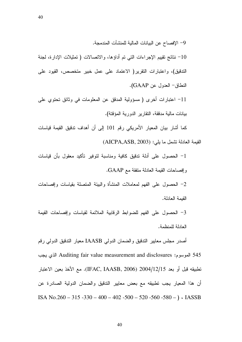40

9– الإفصــاح عن البيانات المالية للمنشآت المندمجة.

10− نتائج تقييم الإجراءات التي تم أداؤها، والاتصالات ( تمثيلات الإدارة، لجنة التدقيق)، واعتبارات النقرير( الاعتماد على عمل خبير متخصص، القيود على النطاق- العدول عن GAAP).

11– اعتبارات أخرى ( مسؤولية المدقق عن المعلومات في وثائق تحتوي على بيانات مالية مدققة، النقارير الدورية المؤقتة).

كما أشار بيان المعيار الأمريكي رقم 101 إلى أن أهداف ندقيق القيمة قياسات القيمة العادلة تشمل ما يلي: (AICPA,ASB, 2003)

1– الحصول على أدلة تدقيق كافية ومناسبة لتوفير تأكيد معقول بأن قياسات و إفصـاحات القيمة الـعادلة متفقة مـع GAAP.

2– الحصول على الفهم لمعاملات المنشأة والبيئة المنصلة بقياسات وإفصاحات القيمة العادلة.

3– الحصول على الفهم للضوابط الرقابية الملائمة لقياسات وإفصاحات القيمة العادلة للمنظمة.

أصدر مجلس معابير الندقيق والضمان الدولي IAASB معيار الندقيق الدولي رقم للموسوم: Auditing fair value measurement and disclosures الذي يجب Kuditing fair value measurement and disclosures تطبيقه قبل أو بعد 2004/12/15 (IFAC, IAASB, 2006). مع الأخذ بعين الاعتبار أن هذا المعيار يجب تطبيقه مع بعض معايير الندقيق والضمان الدولية الصادرة عن ISA No.260 – 315 -330 – 400 – 402 -500 – 520 -560 -580 –  $\big)$  ( IASSB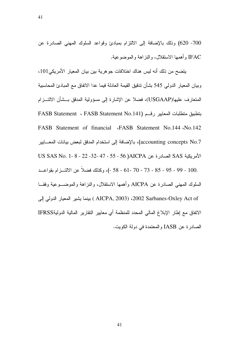700- 620) وذلك بالإضافة إلى الالتزام بمبادئ وقواعد السلوك المهنى الصادرة عن IFAC وأهمها الاستقلال، والنزاهة والموضوعية.

يتضح من ذلك أنه ليس هناك اختلافات جو هرية بين بيان المعيار الأمريكي101، وبيان المعيار الدولي 545 بشأن ندقيق القيمة العادلة فيما عدا الاتفاق مع المبادئ المحاسبية المتعارف عليها(USGAAP)، فضلا عن الإشارة إلى مسؤولية المدقق بـــشأن الالتـــزام بتطبيق متطلبات المعايير رقـــم (FASB Statement ، FASB Statement No.141 FASB Statement of financial «FASB Statement No.144 Mo.142 accounting concepts No.7)، بالإضافة إلى استخدام المدفق لبعض بيانات المعـــايير الأمريكية SAS الصادرة عن AICPA( 55 - 55 - 47 -22 - 32- 22 - 55 - 58 VS SAS No. 1- 8 .00 - 99 - 95 - 78 - 78 - 70 - 58 - 61 - 58 -)، وكذلك فضلاً عن الالتـــزام بقواعـــد السلوك المهني الصـادرة عن AICPA وأهمها الاستقلال، والنزاهة والموضـــوعية وفقـــا بينما يشير المعيار الدولي إلى (AICPA, 2003 ، 2002 Sarbanes-Oxley Act of الاتفاق مع إطار الإبلاغ المالي المحدد للمنظمة أي معايير النقارير المالية الدوليةIFRSS الصــادر ة عن IASB و المعتمدة في دولة الكويت.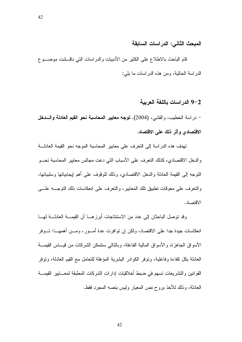المبحث الثاني: الدراسات السابقة

قام الباحث بالاطلاع على الكثير من الأدبيات والدراسات التي ناقـــشت موضــــوع الدر اسة الحالبة، ومن هذه الدر اسات ما بلي:

#### 9–2 الدراسات باللغة العربية

– در اسة الخطيب، والقشي، (2004). توجه معايير المحاسبة نحو القيم العادلة والسدخل الاقتصادي وأثر ذلك على الاقتصاد.

تهدف هذه الدراسة إلى النعرف على معايير المحاسبة الموجه نحو القيمة العادلة و الدخل الاقتصادي، كذلك النعرف على الأسباب التي دعت مجالس معايير المحاسبة نحـــو النوجه إلى القيمة العادلة والدخل الاقتصادي، وذلك للوقوف على أهم إيجابياتها وسلبياتها، و النعر ف على معوفات نطبيق تلك المعابير ، و النعر ف على انعكاسات ذلك النو جــــه علــــى الاقتصاد.

وقد نوصل الباحثان إلى عدد من الاستنتاجات أبرزهـــا أن القيمـــة العادلــــة لـهـــا انعكاسات جيدة جدا على الاقتصاد، ولكن إن نوافرت عدة أمـــور، ومـــن أهمهــــا: تــــوفر الأسواق الجاهزة، والأسواق المالية الفاعلة، وبالنالي سنتمكن الشركات من قيـــاس القيمــــة العادلة بكل كفاءة وفاعلية، ونوفر الكوادر البشرية المؤهلة للنعامل مع القيم العادلة، ونوفر القو انين و التشر يعات تسهم في ضبط أخلاقيات إدار ات الشر كات المطبقة لمعـــابير القيمـــة العادلة، وذلك للأخذ بر و ح نص المعيار وليس بنصبه المجرد فقط.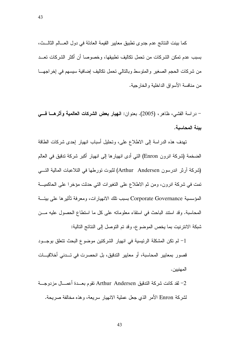كما بينت النتائج عدم جدوى تطبيق معايير القيمة العادلة في دول العـــالم الثالـــث، بسبب عدم تمكن الشركات من تحمل تكاليف تطبيقها، وخصوصا أن اكثر الشركات تعــد من شركات الحجم الصغير والمتوسط وبالنالي تحمل نكاليف إضافية سيسهم في إخراجهـــا من منافسة الأسواق الداخلية والخارجية.

– در اسة القشي، ظاهر ، (2005). بعنوان: ا**نـهيار بعض الشركات الـعالميـة وأثرهـــا فــــي** بيئة المحاسبة.

تهدف هذه الدراسة إلى الاطلاع على، وتحليل أسباب انهيار إحدى شركات الطاقة الضخمة (شركة انرون Enron) التي أدى انهيارها إلى انهيار أكبر شركة تدقيق في العالم (شركة أرثر اندرسون Arthur Andersen) لثبوت تورطها في التلاعبات المالية التـــي تمت في شركة انرون، ومن ثم الاطلاع على النغيرات التي حدثت مؤخرا على الحاكميـــة المؤسسية Corporate Governance بسبب نلك الانهيارات، ومعرفة ثأثيرها على بيئـــة المحاسبة. وقد استند الباحث في استقاء معلوماته على كل ما استطاع الحصول عليه مـــن شبكة الانترنيت بما يخص الموضوع، وقد تم التوصل إلى النتائج التالية:

1– لم تكن المشكلة الرئيسية في انهيار الشركتين موضوع البحث تتعلق بوجــود قصور بمعايير المحاسبة، أو معايير الندقيق، بل انحصرت في تـــدني أخلاقيــــات المهنيين .

2− لقد كانت شركة الندقيق Arthur Andersen تقوم بعـــدة أعمـــال مزدوجـــة لشركة Enron الأمر الذي جعل عملية الانهيار سريعة، وهذه مخالفة صريحة.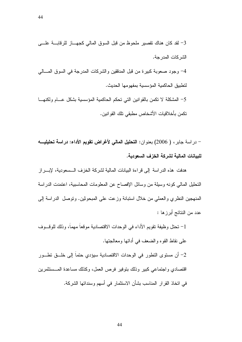44

3– لقد كان هناك نقصير ملحوظ من قبل السوق المالي كجهـــاز للرقابـــة علــــي الشر كات المدر جة. 4– وجود صعوبة كبيرة من قبل المدققين والشركات المدرجة في السوق المسالي لتطبيق الحاكمية المؤسسية بمفهومها الحديث. 5– المشكلة لا تكمن بالقوانين التي تحكم الحاكمية المؤسسية بشكل عـــام ولكنهـــا

تكمن بأخلاقيات الأشخاص مطبقي تلك القو انين.

– در اسة جابر ، ( 2006) بعنو ان: ا**لتحليل المال***ي* **لأغراض تقويم الأداء: در اسة تحليليـــه** للبيانات المالية لشركة الخزف السعودية.

هدفت هذه الدراسة إلى قراءة البيانات المالية لشركة الخزف الـــسعودية، لإبــــراز النحليل المالي كونه وسيلة من وسائل الإفصاح عن المعلومات المحاسبية، اعتمدت الدراسة المنهجين النظري والعملي من خلال استبانة وزعت على المبحوثين. وتوصل الدراسة إلى عدد من النتائج أبر ز ها :

1– نحتل وظيفة تقويم الأداء في الوحدات الاقتصادية موقعاً مهماً، وذلك للوقـــوف على نقاط القو ه و الضعف في أدائها و معالجتها.

2– أن مستوى النطور في الوحدات الاقتصادية سيؤدي حتما إلى خلـــق تطـــور اقتصادي و اجتماعي كبير وذلك بتوفير فر ص العمل، وكذلك مساعدة المـــستثمر بن في اتخاذ القرار المناسب بشأن الاستثمار في أسهم وسنداتها الشركة.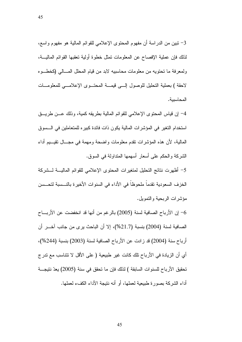3– نبين من الدراسة أن مفهوم المحتوى الإعلامي للقوائم المالية هو مفهوم واسع، لذلك فإن عملية الإفصاح عن المعلومات تمثل خطوة أولية تعقبها القوائم الماليـــة، ولمعرفة ما تحتويه من معلومات محاسبيه لابد من قيام المحلل المسالي (كخطوه لاحقة ) بعملية التحليل للوصول إلـــي فيمـــة المحتـــوى الإعلامـــي للمعلومـــات المحاسىية.

4– إن قياس المحتوى الإعلامي للقوائم المالية بطريقه كمية، وذلك عـــن طريـــق استخدام التغير في المؤشرات المالية يكون ذات فائدة كبيره للمتعاملين في السسوق المالية، لأن هذه المؤشرات نقدم معلومات واضحة ومهمة في مجـــال نقيـــيم أداء الشركة والحكم على أسعار أسهمها المتداولة في السوق.

5– أظهرت نتائج التحليل لمتغيرات المحتوى الإعلامي للقوائم الماليــــة لـــشركة الخزف السعودية تقدماً ملحوظاً في الأداء في السنوات الأخيرة بالنــسبة لتحــسن مؤشَّر اتَّ الرَّبِحيَّةِ وَالنَّصْوِيلِ.

ن الأرباح الصـافية لسنة (2005) بالرغم من أنها قد انخفضت عن الأربـــاح  $\sim$ الصـافية لسنة (2004) بنسبة (21.7%)، إلا أن الباحث يرى من جانب آخـــر أن أرباح سنة (2004) قد زادت عن الأرباح الصافية لسنة (2003) بنسبة (244%)، أى أن الزيادة في الأرباح نلك كانت غير طبيعية ( على الأقل لا نتناسب مع ندر ج تحقيق الأرباح للسنوات السابقة ) لذلك فإن ما تحقق في سنة (2005) يعدّ نتيجــــة أداء الشركة بصور ة طبيعية لعملها، أو أنه ننتيجة الأداء الكفء لعملها.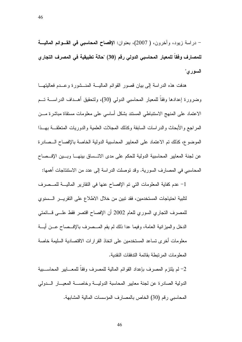– دراسة زيود، وأخرون، ( 2007)، بعنوان: الإفصاح المحاسبي في القـــوائم الماليــــة للمصارف وفقاً للمعيار المحاسبي الدولي رقم (30) "حالة تطبيقية في المصرف التجاري السور ي"

هدفت هذه الدراسة إلى بيان قصور القوائم الماليـــة المنـــشورة وعـــدم فعاليتهـــا وضرورة إعدادها وفقا للمعيار المحاسبي الدولي (30)، ولتحقيق أهــداف الدراســــة تـــم الاعتماد على المنهج الاستنباطي المستند بشكل أساسي على معلومات مستقاة مباشرة مـــن المراجع والأبحاث والدراسات السابقة وكذلك المجلات العلمية والدوريات المتعلقـــة بهـــذا الموضوع، كذلك نم الاعتماد على المعايير المحاسبية الدولية الخاصة بالإفصاح الــصادرة عن لجنة المعايير المحاسبية الدولية للحكم على مدى الاتــساق بينهـــا وبـــين الإفـــصـاح المحاسبي في المصارف السورية. وقد نوصلت الدراسة إلى عدد من الاستنتاجات أهمها:

1– عدم كفاية المعلومات التي تم الإفصاح عنها في النقارير الماليـــة للمـــصرف لتلبية احتياجات المستخدمين، فقد نبين من خلال الاطلاع على التقريـــر الـــسنوى للمصرف النجاري السوري للعام 2002 أن الإفصاح اقتصر فقط علـــي فسائمتي الدخل والمبزانية العامة، وفيما عدا ذلك لم يقم المــصرف بالإفــصـاح عـــن أيـــة معلومات أخرى تساعد المستخدمين على اتخاذ القرارات الاقتصادية السليمة خاصة المعلو مات المر تبطة بقائمة التدفقات النقدبة.

الدولية الصادرة عن لجنة معايير المحاسبة الدولية وخاصسة المعيسار السدولي المحاسبي رقم (30) الخاص بالمصارف المؤسسات المالية المشابهة.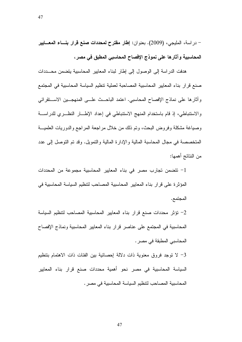– در اسة، المليجي، (2009). بعنوان: إطار مقترح لمحددات صنع قرار بنساء المعسايير المحاسبية وآثارها على نموذج الإفصاح المحاسبي المطبق في مصر ،

هدفت الدراسة إلى الوصول إلى إطار لبناء المعابير المحاسبية يتضمن محــددات صنع قرار بناء المعايير المحاسبية المصاحبة لعملية نتظيم السياسة المحاسبية في المجتمع وأثارها على نماذج الإفصاح المحاسبي. اعتمد الباحــث علـــي المنهجـــين الاســـنقرائـي والاستنباطي، إذ قام باستخدام المنهج الاستنباطي في إعداد الإطــار النظــري للدراســة وصباغة مشكلة وفروض البحث، وتم ذلك من خلال مراجعة المراجع والدوريات العلميـــة المتخصصة في مجال المحاسبة المالية والإدارة المالية والتمويل. وقد تم التوصل إلى عدد من النتائج أهمها:

1- تتضمن تجارب مصر في بناء المعايير المحاسبية مجموعة من المحددات المؤثِّر ة على قرار بناء المعايير المحاسبية المصاحب لتنظيم السياسة المحاسبية في المجتمع.

2– تؤثر محددات صنع قرار بناء المعايير المحاسبية المصاحب لتنظيم السياسة المحاسبية في المجتمع على عناصر قرار بناء المعايير المحاسبية ونماذج الإفصاح المحاسبي المطبقة في مصر .

3– لا توجد فروق معنوية ذات دلالة إحصائية بين الفئات ذات الاهتمام بتنظيم السياسة المحاسبية في مصر نحو أهمية محددات صنع قرار بناء المعايير المحاسبية المصاحب لتتظيم السياسة المحاسبية في مصر .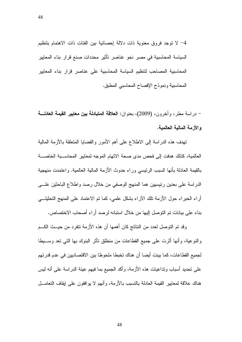4– لا توجد فروق معنوية ذات دلالة إحصائية بين الفئات ذات الاهتمام بتنظيم السياسة المحاسبية في مصر نحو عناصر تأثير محددات صنع قرار بناء المعايير المحاسبية المصاحب لتنظيم السياسة المحاسبية على عناصر قرار بناء المعابير المحاسبية ونموذج الإفصاح المحاسبي المطبق.

– در اسة مطر ، و آخر و ن، (2009)، بعنو ان: ا**لـعلاقة المتبادلة بين معايير القيمة الـعادلـــة** و الأزمة المالية العالمية.

تهدف هذه الدراسة إلى الاطلاع على أهم الأمور والقضايا المتعلقة بالأزمة المالية العالمية، كذلك هدفت إلى فحص مدى صحة الاتهام الموجه لمعايير المحاسـبة الخاصـــة بالقيمة العادلة بأنها السبب الرئيسي وراء حدوث الأزمة المالية العالمية. واعتمدت منهجية الدراسة على بعدين رئيسيين هما المنهج الوصفى من خلال رصد واطلاع الباحثين علـــي أراء الخبراء حول الأزمة نلك الأراء بشكل علمي، كما نم الاعتماد على المنهج النحليلـــي بناء على بيانات تم التوصل إليها من خلال استبانه لرصد أراء أصحاب الاختصاص.

وقد تم التوصل لعدد من النتائج كان أهمها أن هذه الأزمة تتفرد من حيــث الكـــم والنوعية، وأنها أثرت على جميع القطاعات من منطلق نأثر البنوك بها التي تعد وســـبطا لجميع القطاعات، كما بينت أيضا أن هناك تخبطا ملحوظا بين الاقتصاديين في عدم قدرتهم على تحديد أسباب ونداعيات هذه الأزمة، وأكد الجميع بما فيهم عينة الدراسة على أنه ليس هناك علاقة لمعايير القيمة العادلة بالتسبب بالأزمة، وأنهم لا يوافقون على إيقاف التعامـــل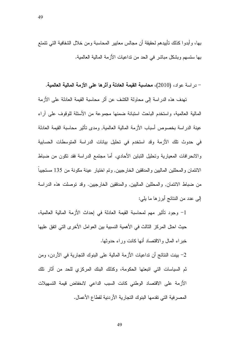بـها، وأبدوا كذلك تأييدهم لـحقيقة أن مجالس معايير المحاسبة ومن خلال الشفافية التي تتمتع بها ستسهم وبشكل مباشر في الحد من نداعيات الأزمة المالية العالمية.

– در اسة عواد، (2010)، محاسبة القيمة العادلة وآثرها على الأزمة المالية العالمية.

تهدف هذه الدراسة إلى محاولة الكشف عن أثر محاسبة القيمة العادلة على الأزمة المالية العالمية، واستخدم الباحث استبانة ضمنها مجموعة من الأسئلة للوقوف على آراء عينة الدراسة بخصوص أسباب الأزمة المالية العالمية, ومدى تأثير محاسبة القيمة العادلة في حدوث تلك الأزمة وقد استخدم في تحليل بيانات الدراسة المتوسطات الحسابية والانحرافات المعيارية ونحليل النباين الأحادي. أما مجتمع الدراسة فقد نكون من ضباط الائتمان والمحللين الماليين والمدققين الخارجيين, ونم اختيار عينة مكونة من 135 مستجيبا من ضباط الائتمان, والمحللين الماليين, والمدفقين الخارجيين. وقد نوصلت هذه الدراسة إلى عدد من النتائج أبرزها ما يلي:

1– وجود تأثير مهم لمحاسبة القيمة العادلة في إحداث الأزمة المالية العالمية، حيث احتل المركز الثالث في الأهمية النسبية بين العوامل الأخر ي التي اتفق عليها خبراء المال والاقتصاد أنها كانت ور اء حدوثها.

2– بينت النتائج أن نداعيات الأزمة المالية على البنوك التجارية في الأردن، ومن ثم السياسات التي اتبعتها الحكومة، وكذلك البنك المركزي للحد من أثار نلك الأزمة على الاقتصاد الوطني كانت السبب الداعى لانخفاض قيمة التسهيلات المصر فية التي تقدمها البنوك التجارية الأردنية لقطاع الأعمال.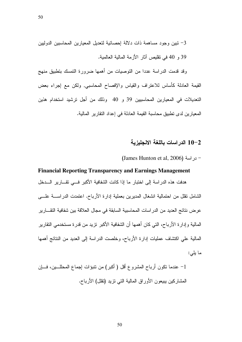50

3– نبين وجود مساهمة ذات دلالة إحصائية لتعديل المعيارين المحاسبين الدوليين 39 و 40 في نقليص أثار الأزمة المالية العالمية.

وقد قدمت الدراسة عددا من التوصيات من أهمها ضرورة التمسك بتطبيق منهج القيمة العادلة كأساس للاعتراف والقياس والإفصاح المحاسبي, ولكن مع إجراء بعض النعديلات في المعيارين المحاسبيين 39 و 40 وذلك من أجل ترشيد استخدام هذين المعيارين لدى تطبيق محاسبة القيمة العادلة في إعداد التقارير المالية.

#### 10–2 الدراسات باللغة الانجليزية

#### $($ James Hunton et al, 2006) - در اسة

# **Financial Reporting Transparency and Earnings Management**  هدفت هذه الدراسة إلى اختبار ما إذا كانت الشفافية الأكبر فــي تقـــارير الــــدخل الشامل نقلل من احتمالية انشغال المديرين بعملية إدارة الأرباح. اعتمدت الدراســــة علــــى عرض نتائج العديد من الدر اسات المحاسبية السابقة في مجال العلاقة بين شفافية النقــــارير المالية وإدارة الأرباح، التي كان أهمها أن الشفافية الأكبر نزيد من قدرة مستخدمي النقارير المالية علي اكتشاف عمليات إدارة الأرباح، وخلصت الدراسة إلى العديد من النتائج أهمها ما يلي:

1– عندما نكون أرباح المشروع أقل ( أكبر) من نتبؤات إجماع المحللـــين، فـــإن المشاركين يبيعون الأوراق المالية التي نزيد (نقلل) الأرباح.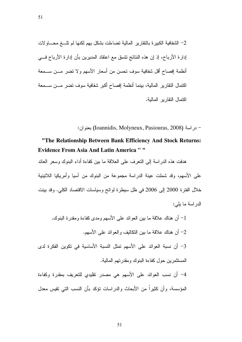2– الشفافية الكبيرة بالنقارير المالية تضاءلت بشكل يهم لكنها لم تلـــغ محــــاولات إدارة الأرباح، إذ إن هذه النتائج نتسق مع اعتقاد المديرين بأن إدارة الأرباح فـــي أنظمة إفصاح اقل شفافية سوف تحسن من أسعار الأسهم ولا تضر مـــن ســـمعة اكتمال النقارير المالية، بينما أنظمة إفصاح اكبر شفافية سوف تضر مـــن ســـمعة اكتمال النقارير المالية.

: در اسة (Ioannidis, Molyneux, Pasiouras, 2008) بعنو ان

# "**The Relationship Between Bank Efficiency And Stock Returns: Evidence From Asia And Latin America "** "

هدفت هذه الدراسة إلى النعرف على العلاقة ما بين كفاءة أداء البنوك وسعر العائد على الأسهم، وقد شملت عينة الدراسة مجموعة من البنوك من اسيا وأمريكيا اللاتينية خلال الفترة 2000 إلى 2006 في ظل سيطرة لوائح وسياسات الاقتصاد الكلي. وقد ببنت الدر اسة ما يلي:

أن هناك علاقة ما بين العوائد على الأسهم ومدى كفاءة ومقدرة البنوك.  $\!1$ 2– أن هناك علاقة ما بين النكاليف والعوائد على الأسهم. 3– أن نسبة العوائد على الأسهم تمثل النسبة الأساسية في تكوين الفكرة لدى المستثمرين حول كفاءة البنوك ومقدرتهم المالية. 4– أن نسب العوائد على الأسهم هي مصدر نقليدي للنعريف بمقدرة وكفاءة المؤسسة، وأن كثيرًا من الأبحاث والدراسات نؤكد بأن النسب التي نقيس معدل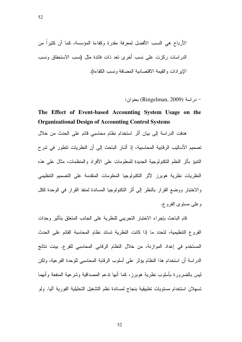- در اسة (Ringelman, 2009) بعنوان:

# The Effect of Event-based Accounting System Usage on the **Organizational Design of Accounting Control Systems**

هدفت الدراسة إلى بيان أثر استخدام نظام محاسبي قائم على الحدث من خلال تصميم الأساليب الرقابية المحاسبية، إذ أشار الباحث إلى أن النظريات نتطور في شرح النتبوَ بأثر النظم النكنولوجية الجديدة للمعلومات على الأفراد والمنظمات، مثال على هذه النظريات نظرية هوبرز لأثر التكنولوجيا المعلومات المتقدمة على التصميم التنظيمي والاختبار ووضع القرار بالنظر إلى أثر التكنولوجيا المساندة لمنفذ القرار في الوحدة ككل وعلم مستوى الفروع.

قام الباحث بإجراء الاختبار التجريبي للنظرية على الجانب المتعلق بتأثير وحدات الفروع التنظيمية، لتحدد ما إذا كانت النظرية تساند نظام المحاسبة القائم على الحدث المستخدم في إعداد الموازنة، من خلال النظام الرقابي المحاسبي للفرع. بينت نتائج الدراسة أن استخدام هذا النظام يؤثر على أسلوب الرقابة المحاسبي للوحدة الفرعية، ولكن ليس بالضرورة بأسلوب نظرية هوبرز، كما أنها ندعم المصداقية وشرعية المنفعة وأنهما تسهلان استخدام مستويات تطبيقية بنجاح لمساندة نظم التشغيل التحليلية الفورية أليا. ولو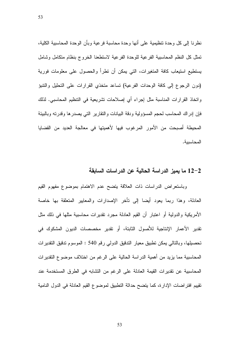نظرنا إلى كل وحدة نتظيمية على أنها وحدة محاسبة فرعية وبأن الوحدة المحاسبية الكلية، تمثل كل النظم المحاسبية الفرعية للوحدة الفرعية لاستطعنا الخروج بنظام متكامل وشامل يستطيع استيعاب كافة المتغيرات، التي يمكن أن نطرأ والحصول على معلومات فورية (دون الرجوع إلى كافة الوحدات الفرعية) تساعد متخذي القرارات على التحليل والتتبؤ واتخاذ القرارات المناسبة مثل إجراء أي إصلاحات تشريعية في التنظيم المحاسبي. لذلك فإن إدراك المحاسب لحجم المسؤولية ودقة البيانات والنقارير التي يصدرها وقدرته وبالبيئة المحيطة أصبحت من الأمور المرغوب فيها لأهميتها في معالجة العديد من القضايا المحاسبية.

#### 12–2 ما يميز الدراسة الحالية عن الدراسات السابقة

وباستعراض الدراسات ذات العلاقة يتضح عدم الاهتمام بموضوع مفهوم القيم العادلة، وهذا ربما يعود أيضا إلى تأخر الإصدارات والمعابير المتعلقة بها خاصة الأمريكية والدولية أو اعتبار أن القيم العادلة مجرد نقديرات محاسبية مثلها في ذلك مثل تقدير الأعمار الإنتاجية للأصول الثابتة، أو تقدير مخصصات الديون المشكوك في تحصيلها، وبالتالي يمكن نطبيق معيار الندقيق الدولي رقم 540 : الموسوم ندقيق التقديرات المحاسبية مما يزيد من أهمية الدراسة الحالية على الرغم من اختلاف موضوع النقديرات المحاسبية عن نقديرات القيمة العادلة على الرغم من التشابه في الطرق المستخدمة عند تقييم افتراضات الإدارة، كما يتضح حداثة التطبيق لموضوع القيم العادلة في الدول النامية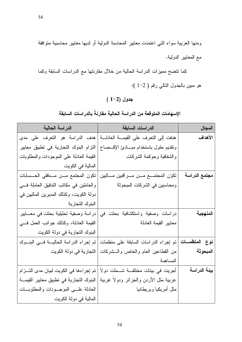ومنها العربية سواء التي اعتمدت معايير المحاسبة الدولية أو لديها معايير محاسبية متوافقة مع المعابير الدولية.

كما نتضح مميزات الدراسة الحالية من خلال مقارنتها مع الدراسات السابقة وكما هو مبين بالجدول التالي رقم ( 2-1 ):

# $(1-2)$  جدول

## الإسهامات المتوقعة من الدراسة الحالية مقارنةً بالدراسات السابقة

| الدراسة الحالية                          | الدراسات السابقة                                              | المجال        |
|------------------------------------------|---------------------------------------------------------------|---------------|
| هدف الدراسة هو النعرف على مدى            | هدفت إلى النعرف على القيمة العادلة                            | الأهداف       |
| النزام البنوك التجارية في تطبيق معايير   | ونقديم حلول باستخدام مبسادئ الإفسصاح                          |               |
| القيمة العادلة على الموجودات والمطلوبات  | والشفافية وحوكمة الشركات                                      |               |
| المالية في الكويت                        |                                                               |               |
| تكون المجتمع مــن مــدققى الحــسابات     | نكوّن المجتمـــع مـــن مـــراقبين مـــاليين                   | مجتمع الدراسة |
| والعاملين في مكانب الندقيق العاملة في    | ومحاسبين في الشركات المبحوثة                                  |               |
| دولة الكويت، وكذلك المديرين الماليين في  |                                                               |               |
| اللبنوك التجارية                         |                                                               |               |
| دراسة وصفية تحليلية بحثت في معـــابير    | دراسات وصفية واستكشافية بحثت في                               | المنهجية      |
| القيمة العادلة، وكذلك جوانب العمل في     | معايير القيمة العادلة                                         |               |
| البنوك التجارية في دولة الكويت           |                                                               |               |
| نم إجراء الدراسة الحالية فسي البنوك      | <b>نوع  المنظمــات</b>   تم إجراء الدراسات السابقة على منظمات |               |
| التجارية في دولة الكويت                  | من القطاعين العام والخاص والسشركات                            | المبحوثة      |
|                                          | المساهمة                                                      |               |
| تم إجراءها في الكويت لبيان مدى التـــزام | أجريت في بيئات مختلفـــة شــــملت دولا                        | بيئة الدراسة  |
| البنوك النجارية في نطبيق معايير القيمة   | عربية مثل الأردن والجزائر ودولا غربية                         |               |
| العادلة علسى الموجــودات والمطلوبـــات   | مثل أمريكيا وبريطانيا                                         |               |
| المالية في دولة الكويت                   |                                                               |               |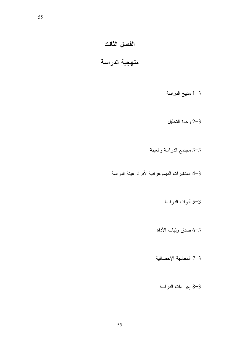# الفصل الثالث

# منهجية الدراسة

# 1-3 منهج الدراسة

#### 2-3 وحدة النحليل

# 3-3 مجتمع الدراسة والعينة

# 3-4 المتغيرات الديمو غرافية لأفراد عينة الدراسة

# 3–5 أدوات الدراسة

# 3–6 صدق وثبات الأداة

## 7-3 المعالجة الإحصائية

## 3-8 إجراءات الدراسة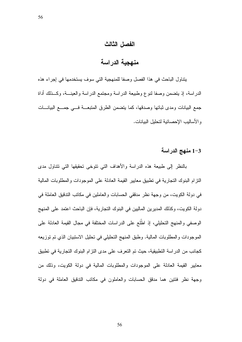#### الفصل الثالث

# منهجية الدراسة

يتتاول الباحث في هذا الفصل وصفا للمنهجية التي سوف يستخدمها في إجراء هذه الدراسة، إذ يتضمن وصفا لنوع وطبيعة الدراسة ومجتمع الدراسة والعينـــة، وكـــذلك أداة جمع البيانات ومدى ثباتها وصدقها، كما يتضمن الطرق المتبعسة فسى جمسع البيانسات و الأساليب الإحصائية لتحليل البيانات.

#### 1-3 منهج الدراسة

بالنظر إلى طبيعة هذه الدراسة والأهداف التي نتوخى تحقيقها التي نتتاول مدى النزام البنوك النجارية في نطبيق معايير القيمة العادلة على الموجودات والمطلوبات المالية في دولة الكويت، من وجهة نظر مدققي الحسابات والعاملين في مكاتب التدقيق العاملة في دولة الكويت، وكذلك المديرين الماليين في البنوك التجارية، فإن الباحث اعتمد على المنهج الوصفي والمنهج التحليلي، إذ اطَّلع على الدراسات المختلفة في مجال القيمة العادلة على الموجودات والمطلوبات المالية. وطبق المنهج التحليلي في تحليل الاستبيان الذي تم توزيعه كجانب من الدر اسة التطبيقية، حيث تم التعرف على مدى التزام البنوك التجارية في تطبيق معايير القيمة العادلة على الموجودات والمطلوبات المالية في دولة الكويت، وذلك من وجهة نظر فئتين هما مدقق الحسابات والعاملون في مكانب التدقيق العاملة في دولة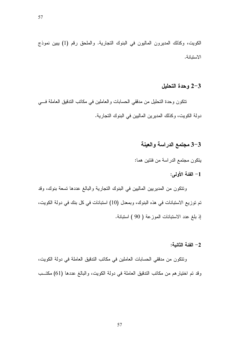الكويت، وكذلك المديرون الماليون في البنوك التجارية. والملحق رقم (1) يبين نموذج الاستنانة.

#### 2-3 وحدة التحليل

نتكون وحدة التحليل من مدققي الحسابات والعاملين في مكانب الندفيق العاملة في دولة الكويت، وكذلك المديرين الماليين في البنوك التجارية.

#### 3-3 مجتمع الدراسة والعينة

يتكون مجتمع الدراسة من فئتين هما:

#### 1- الفئة الأولى:

ونتكون من المديريين الماليين في البنوك النجارية والبالغ عددها نسعة بنوك، وقد تم توزيع الاستبانات في هذه البنوك، وبمعدل (10) استبانات في كل بنك في دولة الكويت، إذ بلغ عدد الاستبانات الموزعة ( 90 ) استبانة.

#### 2– الفئة الثانبة:

ونتكون من مدققي الحسابات العاملين في مكانب الندقيق العاملة في دولة الكويت، وقد تم اختيار هم من مكاتب التدقيق العاملة في دولة الكويت، والبالغ عددها (61) مكتــب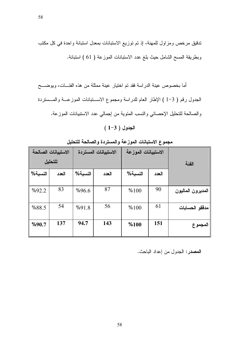ندقيق مرخص ومزاول للمهنة، إذ تم توزيع الاستبانات بمعدل استبانة واحدة في كل مكتب وبطريقة المسح الشامل حيث بلغ عدد الاستبانات الموزعة ( 61 ) استبانة.

أما بخصوص عينة الدراسة فقد تم اختيار عينة ممثلة من هذه الفئـــات، ويوضــــح الجدول رقم ( 3–1 ) الإطار العام للدراسة ومجموع الاســـتبانات الموزعـــة والمـــستردة والصالحة للنحليل الإحصائي والنسب المئوية من إجمالي عدد الاستبيانات الموزعة.

 $(1-3)$  الجدول

|         | الاستبيانات الصالحة |         | الاستبيانات المستردة | الاستبيانات الموزعة |       |                   |
|---------|---------------------|---------|----------------------|---------------------|-------|-------------------|
|         | للتحليل             |         |                      |                     |       | الفئة             |
| النسبة% | العدد               | النسبة% | العدد                | النسبة%             | العدد |                   |
|         |                     |         |                      |                     |       |                   |
| %92.2   | 83                  | %96.6   | 87                   | %100                | 90    | المديرون الماليون |
| %88.5   | 54                  | %91.8   | 56                   | %100                | 61    | مدققو الحسابات    |
| %90.7   | 137                 | 94.7    | 143                  | %100                | 151   | المجموع           |

مجموع الاستبانات الموزعة والمستردة والصالحة للتحليل

#### المصدر: الجدول من إعداد الباحث.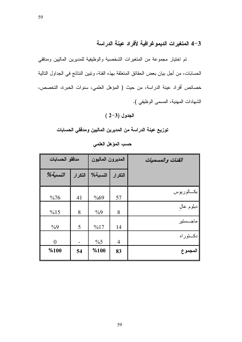59

3–4 المتغيرات الديموغرافية لأفراد عينة الدراسة

تم اختيار مجموعة من المتغيرات الشخصية والوظيفية للمديرين الماليين ومدققي الحسابات، من أجل بيان بعض الحقائق المتعلقة بهذه الفئة، وتبين النتائج في الجداول التالية خصائص أفراد عينة الدراسة، من حيث ( المؤهل العلمي، سنوات الخبرة، التخصص، الشهادات المهنية، المسمى الوظيفي ).

الجدول (3–2)

توزيع عينة الدراسة من المديرين الماليين ومدققي الحسابات

| مدققو الحسابات |         | المديرون الماليون |                | الفئات والمسميات |
|----------------|---------|-------------------|----------------|------------------|
| $%$ النسبة     | التكرار | النسبة%           | التكرار        |                  |
| $\%76$         | 41      | %69               | 57             | بكسالوريوس       |
| %15            | 8       | $\frac{0}{0}$     | 8              | دبلوم عال        |
| $\frac{0}{0}9$ | 5       | %17               | 14             | ماجـــستير       |
| $\Omega$       |         | $\frac{0}{6}$     | $\overline{4}$ | دكــتوراه        |
| %100           | 54      | %100              | 83             | المجموع          |

حسب المؤهل العلمي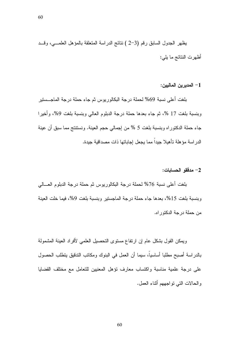يظهر الجدول السابق رقم (3–2 ) نتائج الدراسة المتعلقة بالمؤهل العلمـــي، وقـــد أظهرت النتائج ما يلي:

1– المديرين الماليين:

بلغت أعلى نسبة 69% لحملة درجة البكالوريوس ثم جاء حملة درجة الماجـــستير وبنسبة بلغت 17 %، ثم جاء بعدها حملة درجة الدبلوم العالمي وبنسبة بلغت 9%، وأخيرا جاء حملة الدكتوراه وبنسبة بلغت 5 % من إجمالي حجم العينة. ونستنتج مما سبق أن عينة الدر اسة مؤ هلة تأهيلا جيداً مما يجعل إجاباتها ذات مصداقية جيدة.

#### 2– مدققو الحسابات:

بلغت أعلى نسبة 76% لحملة درجة البكالوريوس ثم حملة درجة الدبلوم العـــالـي وبنسبة بلغت 15%، بعدها جاء حملة درجة الماجستير وبنسبة بلغت 9%، فيما خلت العينة من حملة درجة الدكتور اه.

ويمكن القول بشكل عام إن ارتفاع مستوى التحصيل العلمي لأفراد العينة المشمولة بالدراسة أصبح مطلبا أساسيا، سيما أن العمل في البنوك ومكانب التدقيق يتطلب الحصول على درجة علمية مناسبة واكتساب معارف نؤهل المعنيين للنعامل مع مختلف القضايا والحالات التي نو اجههم أثناء العمل.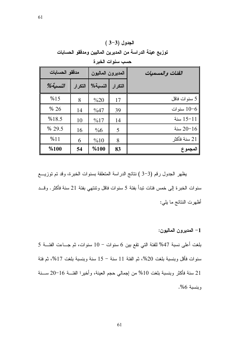# $(3-3)$  الجدول

توزيع عينة الدراسة من المديرين الماليين ومدققو الحسابات

|            | مدققو الحسابات |         | المديرون الماليون | الفئات والمسميات |
|------------|----------------|---------|-------------------|------------------|
| $%$ النسبة | التكرار        | النسبة% | التكرار           |                  |
| %15        | 8              | $\%20$  | 17                | 5 سنوات فاقل     |
| % 26       | 14             | $\%47$  | 39                | سنوات $10-6$     |
| %18.5      | 10             | %17     | 14                | سنة $15 - 11$    |
| % 29.5     | 16             | $\%6$   | 5                 | سنة $20 - 16$    |
| %11        | 6              | %10     | 8                 | 21 سنة فأكثر     |
| %100       | 54             | %100    | 83                | المجموع          |

حسب سنوات الخبرة

يظهر الجدول رقم (3–3 ) نتائج الدراسة المتعلقة بسنوات الخبرة، وقد تم توزيــــع سنوات الخبر ة إلى خمس فئات نبدأ بفئة 5 سنوات فاقل ونتنهى بفئة 21 سنة فأكثر . وقـــد أظهرت النتائج ما يلي:

1– المديرون الماليون:

بلغت أعلى نسبة 47% للفئة التي تقع بين 6 سنوات – 10 سنوات، ثم جـــاءت الفئـــة 5 سنوات فأقل وبنسبة بلغت 20%، ثم الفئة 11 سنة – 15 سنة وبنسبة بلغت 17%، ثم فئة 21 سنة فأكثر وبنسبة بلغت 10% من إجمالي حجم العينة، وأخيرا الفئـــة 16−20 ســـنة <u>وينسية 6%.</u>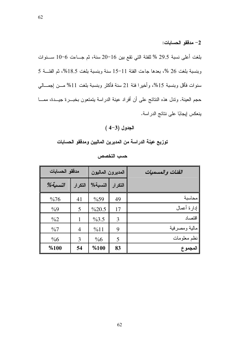2– مدفقق الحسابات:

بلغت أعلى نسبة 29.5 % للفئة التي تقع بين 16−20 سنة، ثم جـاءت 6−10 ســنوات وبنسبة بلغت 26 %، بعدها جاءت الفئة 11−15 سنة وبنسبة بلغت 18.5%، ثم الفئـــة 5 سنوات فأقل وبنسبة 15%، وأخيرا فئة 21 سنة فأكثر وبنسبة بلغت 11% مـــن إجمـــالـي حجم العينة. وندل هذه النتائج على أن أفراد عينة الدراسة بتمتعون بخبـــرة جيـــدة، ممــــا ينعكس إيجابًا على نتائج الدراسة.

# $(4-3)$  الجدول

توزيع عينة الدراسة من المديرين الماليين ومدققو الحسابات

| مدققو الحسابات |                | المديرون الماليون |         | الفئات والمسميات |
|----------------|----------------|-------------------|---------|------------------|
| $%$ النسبة $%$ | التكرار        | النسبة%           | التكرار |                  |
| %76            | 41             | $\%59$            | 49      | محاسبة           |
| $\frac{0}{0}$  | 5              | $\%20.5$          | 17      | إدارة أعمال      |
| $\frac{0}{2}$  |                | %3.5              | 3       | اقتصاد           |
| $\frac{0}{07}$ | $\overline{4}$ | %11               | 9       | مالية ومصرفية    |
| $\%6$          | 3              | $\%6$             | 5       | نظم معلومات      |
| %100           | 54             | %100              | 83      | المجموع          |

حسب التخصص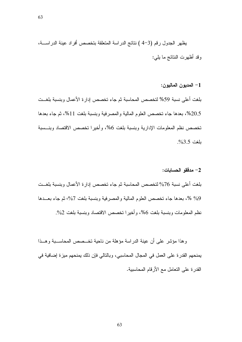يظهر الجدول رقم (3–4 ) نتائج الدراسة المتعلقة بتخصص أفراد عينة الدراســـة، وقد أظهرت النتائج ما يلي:

1– المديون الماليون:

بلغت أعلى نسبة 59% لتخصص المحاسبة ثم جاء تخصص إدارة الأعمال وبنسبة بلغــت 20.5%، بعدها جاء تخصص العلوم المالية والمصرفية وبنسبة بلغت 11%، ثم جاء بعدها تخصص نظم المعلومات الإدارية وبنسبة بلغت 6%، وأخيرا تخصص الاقتصاد وبنسسبة ىلغت 3.5%.

#### 2– مدققو الحسابات:

بلغت أعلى نسبة 76% لتخصص المحاسبة ثم جاء تخصص إدارة الأعمال وبنسبة بلغــت 9% %، بعدها جاء تخصص العلوم المالية والمصرفية وبنسبة بلغت 7%، ثم جاء بعـــدها نظم المعلومات وبنسبة بلغت 6%، وأخبر ا تخصص الاقتصاد وبنسبة بلغت 2%.

وهذا مؤشر على أن عينة الدراسة مؤهلة من ناحية تخــصص المحاســبة وهــذا يمنحهم القدر ة على العمل في المجال المحاسبي، وبالتالي فإن ذلك يمنحهم ميزة إضافية في القدرة على التعامل مع الأرقام المحاسبية.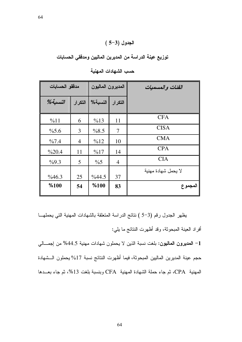### $(5-3)$  الجدول

توزيع عينة الدراسة من المديرين الماليين ومدققى الحسابات

| مدققو الحسابات |                | المديرون الماليون |                | الفئات والمسميات    |
|----------------|----------------|-------------------|----------------|---------------------|
| $%$ النسبة $%$ | التكرار        | النسبة%           | التكرار        |                     |
| %11            | 6              | %13               | 11             | <b>CFA</b>          |
| $\%5.6$        | 3              | %8.5              | 7              | <b>CISA</b>         |
| $\%7.4$        | $\overline{4}$ | %12               | 10             | <b>CMA</b>          |
| %20.4          | 11             | %17               | 14             | <b>CPA</b>          |
| %9.3           | 5              | $\%5$             | $\overline{4}$ | <b>CIA</b>          |
| %46.3          | 25             | %44.5             | 37             | لا يحمل شهادة مهنية |
| %100           | 54             | %100              | 83             | المجموع             |

حسب الشهادات المهنية

يظهر الجدول رقم (3–5 ) نتائج الدراسة المتعلقة بالشهادات المهنية التي يحملهـــا أفراد العينة المبحوثة، وقد أظهرت النتائج ما بلي:

1– ا**لمديرون الماليون:** بلغت نسبة الذين لا يحملون شهادات مهنية 44.5% من إجمـــال*ي* حجم عينة المديرين الماليين المبحوثة، فيما أظهرت النتائج نسبة 17% يحملون الـــشهادة المهنية CPA، ثم جاء حملة الشهادة المهنية CFA وبنسبة بلغت 13%، ثم جاء بعـــدها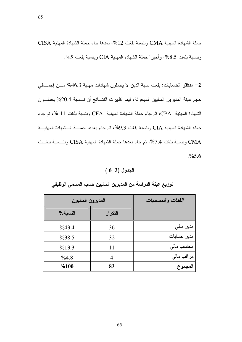حملة الشهادة المهنية CMA وبنسبة بلغت 12%، بعدها جاء حملة الشهادة المهنية CISA وبنسبة بلغت 8.5%، وأخيرًا حملة الشهادة المهنية CIA وبنسبة بلغت 5%.

2– م**دققو الحسابات:** بلغت نسبة الذين لا يحملون شهادات مهنية 46.3% مـــن إجمـــالي حجم عينة المديرين الماليين المبحوثة، فيما أظهرت النتـــائج أن نـــسبة 20.4% يحملـــون الشهادة المهنية CPA، ثم جاء حملة الشهادة المهنية CFA وبنسبة بلغت 11 %، ثم جاء حملة الشهادة المهنية CIA وبنسبة بلغت 9.3%، ثم جاء بعدها حملـــة الــشهادة المهنيـــة CMA وبنسبة بلغت 7.4%، ثم جاء بعدها حملة الشهادة المهنية CISA وبنـــسبة بلغـــت .%5.6

 $(6-3)$  الجدول

| المديرون الماليون | الفئات والمسميات |             |
|-------------------|------------------|-------------|
| النسبة%           | التكرار          |             |
| %43.4             | 36               | مدیر مالی   |
| $\%38.5$          | 32               | مدير حسابات |
| %13.3             | 11               | محاسب مالی  |
| %4.8              |                  | مراقب مالي  |
| %100              | 83               | المجموع     |

توزيع عينة الدراسة من المديرين الماليين حسب المسمى الوظيفى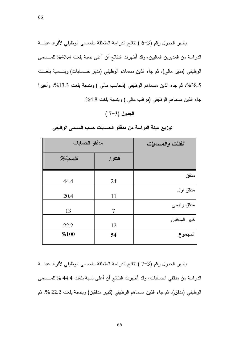يظهر الجدول رقم (3–6 ) نتائج الدراسة المتعلقة بالمسمى الوظيفي لأفراد عينة الدراسة من المديرين الماليين، وقد أظهرت النتائج أن أعلى نسبة بلغت 43.4% للمـــسمى الوظيفي (مدير مالي)، ثم جاء الذين مسماهم الوظيفي (مدير حــسابات) وبنــسبة بلغــت 38.5%، ثم جاء الذين مسماهم الوظيفي (محاسب مالي ) وبنسبة بلغت 13.3%، وأخيرا جاء الذين مسماهم الوظيفي (مراقب مالي ) وبنسبة بلغت 4.8%.

#### الجدول (3–7)

| مدققو الحسابات | الفئات والمسميات |               |
|----------------|------------------|---------------|
| $%$ النسبة     | التكرار          |               |
| 44.4           | 24               | مدقق          |
| 20.4           | 11               | مدقق اول      |
| 13             | 7                | مدقق رئيسي    |
| 22.2           | 12               | كبير المدققين |
| %100           | 54               | المجموع       |

توزيع عينة الدراسة من مدققو الحسابات حسب المسمى الوظيفي

يظهر الجدول رقم (3–7 ) نتائج الدراسة المتعلقة بالمسمى الوظيفي لأفراد عينـــة الدراسة من مدققي الحسابات، وقد أظهرت النتائج أن أعلى نسبة بلغت 44.4 % للمـــسمى الوظيفي (مدقق)، ثم جاء الذين مسماهم الوظيفي (كبير مدققين) وبنسبة بلغت 22.2 %، ثم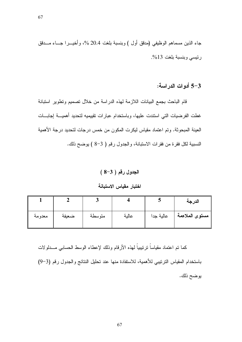جاء الذين مسماهم الوظيفي (مدقق أول ) وبنسبة بلغت 20.4 %، وأخيـــرا جـــاء مــــدقق رئيسي وبنسبة بلغت 13%.

3–5 أدوات الدراسة:

قام الباحث بجمع البيانات اللازمة لهذه الدراسة من خلال تصميم وتطوير استبانة غطت الفرضيات التي استندت عليها، وباستخدام عبارات تقييميه لتحديد أهميــــة إجابــــات العينة المبحوثة. وتم اعتماد مقياس ليكرت المكون من خمس درجات لتحديد درجة الأهمية النسبية لكل فقرة من فقرات الاستبانة، والجدول رقم ( 3-8 ) يوضح ذلك.

 $(8-3)$  الجدول رقم ( $-3$ 

اختبار مقياس الاستبانة

|        |       |        |       |           | الدرجة         |
|--------|-------|--------|-------|-----------|----------------|
| معدومة | ضعيفة | متوسطة | عالية | عالية جدا | مستوى الملاءمة |

كما تم اعتماد مقياساً نرننيبياً لمهذه الأرقام وذلك لإعطاء الوسط الحسابي مـــدلولات باستخدام المقياس الترنيبي للأهمية، للاستفادة منها عند تحليل النتائج والجدول رقم (3–9) يوضح ذلك.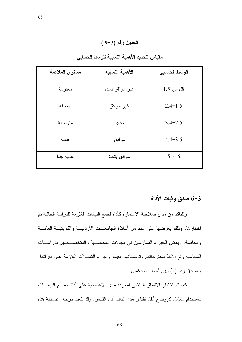### الجدول رقم (3-9)

| مستوى الملاءمة | الأهمية النسبية | الوسط الحسابي |
|----------------|-----------------|---------------|
|                |                 |               |
| معدومة         | غير موافق بشدة  | أقل من 1.5    |
| ضعيفة          | غير موافق       | $2.4 - 1.5$   |
| متوسطة         | محايد           | $3.4 - 2.5$   |
| عالية          | موافق           | $4.4 - 3.5$   |
| عالية جدا      | موافق بشدة      | $5 - 4.5$     |

#### مقياس لتحديد الأهمية النسبية للوسط الحسابي

### 3–6 صدق وثبات الأداة:

وللنتأكد من مدى صلاحية الاستمارة كأداة لجمع البيانات اللازمة للدراسة الحالية نم اختبار ها، وذلك بعرضها على عدد من أساتذة الجامعــات الأردنيـــة والكويتيــة العامـــة والخاصة، وبعض الخبراء الممارسين في مجالات المحاسـبة والمتخصــصين بدراســات المحاسبة وتم الأخذ بمقترحاتهم وتوصياتهم القيمة وأجراء النعديلات اللازمة على فقراتها. والملحق رقم (2) يبين أسماء المحكمين.

كما تم اختبار الاتساق الداخلي لمعرفة مدى الاعتمادية على أداة جمــع البيانـــات باستخدام معامل كرونباخ ألفا، لقياس مدى ثبات أداة القياس. وقد بلغت درجة اعتمادية هذه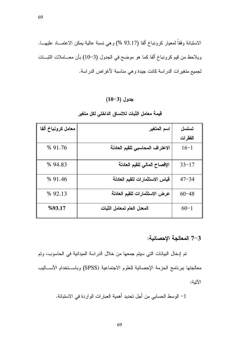الاستبانة وفقاً لمعيار كرونباخ ألفا (93.17 %) وهي نسبة عالية يمكن الاعتمـــاد عليهـــا. ويلاحظ من قيم كرونباخ ألفا كما هو موضح في الجدول (3–10) بأن معـــاملات الشبـــات لجميع متغيرات الدراسة كانت جيدة وهي مناسبة لأغراض الدراسة.

### $(10-3)$  جدول

| معامل كرونباخ ألفا | اسم المتغير                     | تسلسل     |
|--------------------|---------------------------------|-----------|
|                    |                                 | الفقرات   |
| % 91.76            | الاعتراف المحاسبي للقيم العادلة | $16-1$    |
| % 94.83            | الإفصاح المالى للقيم العادلة    | $33 - 17$ |
| % 91.46            | قياس الاستثمارات للقيم العادلة  | $47 - 34$ |
| % 92.13            | عرض الاستثمارات للقيم العادلة   | $60 - 48$ |
| %93.17             | المعدل العام لمعامل الثبات      | $60 - 1$  |

#### قيمة معامل الثبات للاتساق الداخلي لكل متغير

#### 7-3 المعالجة الإحصائية:

تم إدخال البيانات التي سيتم جمعها من خلال الدراسة الميدانية في الحاسوب، وتم معالجتها ببرنامج الحزمة الإحصائية للعلوم الاجتماعية (SPSS) وباســتخدام الأســـاليب الآتية:

1– الوسط الحسابي من أجل تحديد أهمية العبارات الواردة في الاستبانة.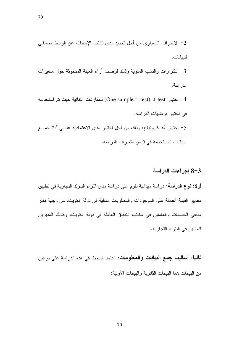2– الانحراف المعياري من أجل تحديد مدى تشتت الإجابات عن الوسط الحسابي للبيانات. 3– النكرارات والنسب المئوية وذلك لوصف أراء العينة المبحوثة حول متغيرات الدراسة. 4– اختبار t-test): (One sample t- test) للمقارنات الثنائية حيث تم استخدامه في اختبار فرضيات الدر اسة. 5– اختبار ألفا كرونباخ: وذلك من أجل اختبار مدى الاعتمادية علـــى أداة جمـــع البيانات المستخدمة في قياس متغير ات الدر اسة.

#### 8-3 إجراءات الدراسة

**أولا: نوع الدراسة:** دراسة ميدانية تقوم على دراسة مدى النزام البنوك النجارية في تطبيق معايير القيمة العادلة على الموجودات والمطلوبات المالية في دولة الكويت، من وجهة نظر مدققي الحسابات والعاملين في مكانب الندفيق العاملة في دولة الكويت، وكذلك المديرين الماليين في البنوك النجارية.

**ثانيا: أساليب جمع البيانات والمعلومات**: اعتمد الباحث في هذه الدراسة على نوعين من البيانات هما البيانات الثانوية والبيانات الأولية: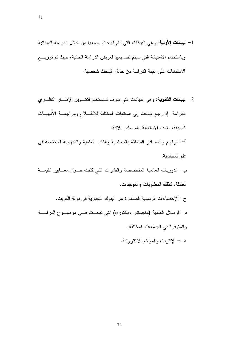- 1- البيانات الأولية: وهي البيانات التي قام الباحث بجمعها من خلال الدراسة الميدانية وباستخدام الاستبانة التبي سيتم تصميمها لغرض الدراسة الحالية، حيث تم توزيـــع الاستبانات على عينة الدراسة من خلال الباحث شخصيا.
- 2– **البيانات الثانوية**: وهي البيانات التي سوف تــستخدم لتكــوين الإطـــار النظـــري للدراسة، إذ رجع الباحث إلى المكتبات المختلفة للاطــــلاع ومراجعـــة الأدبيــــات السابقة، وتمت الاستعانة بالمصادر الآتية: أ– المر اجع و المصادر المتعلقة بالمحاسبة والكتب العلمية والمنهجية المختصة في علم المحاسبة. ب– الدوريات العالمية المتخصصة والنشرات التي كتبت حــول معـــابير القيمـــة العادلة، كذلك المطلوبات والموجدات. ج– الإحصاءات الرسمية الصادرة عن البنوك التجارية في دولة الكويت. د– الرسائل العلمية (ماجستير ودكتوراه) التي نبحــث فـــي موضـــوع الدراســـة والمنوفرة في الجامعات المختلفة.
	- هـــــ الإنترنت والمواقع الالكترونية.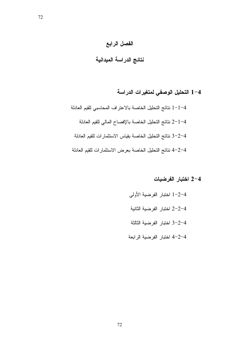# الفصل الرابع

# نتائج الدراسة الميدانية

# 1-4 التحليل الوصفي لمتغيرات الدراسة

1-1-4 نتائج التحليل الخاصة بالاعتراف المحاسبي للقيم العادلة 1–1–2 نتائج التحليل الخاصة بالإفصاح المالي للقيم العادلة 4–2−3 نتائج التحليل الخاصة بقياس الاستثمارات للقيم العادلة 4-2-4 نتائج التحليل الخاصة بعرض الاستثمارات للقيم العادلة

### 4–2 اختبار الفرضيات

- 1-2-4 اختبار الفرضية الأولى 2-2-4 اختبار الفرضية الثانية 4–2–3 اختبار الفرضية الثالثة
- 4-2-4 اختبار الفرضية الرابعة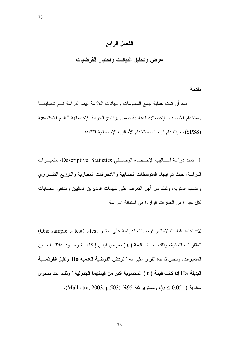#### الفصل الرابع

عرض وتحليل البيانات واختبار الفرضيات

مقدمة بعد أن نمت عملية جمع المعلومات والبيانات اللازمة لهذه الدراسة تــم تحليليهـــا باستخدام الأساليب الإحصائية المناسبة ضمن برنامج الحزمة الإحصائية للعلوم الاجتماعية (SPSS)، حيث قام الباحث باستخدام الأساليب الإحصائية التالية:

1– نمت در اسة أســـاليب الإحـــصـاء الوصــــفي Descriptive Statistics، لمتغيـــر ات الدر اسة، حيث نم إيجاد المنوسطات الحسابية والانحر افات المعيارية والنوزيع النكـــراري والنسب المئوية، وذلك من أجل النعرف على نقييمات المديرين الماليين ومدققي الحسابات لكل عبار ة من العبار ات الوار دة في استبانة الدر اسة.

One sample t- test) t-test لختبار فرضيات الدراسة على اختبار One sample t- test) t-test) للمقارنات الثنائية، وذلك بحساب قيمة ( t ) بغرض قياس إمكانيـــة وجـــود علاقـــة بـــين المتغير ات، ونتص قاعدة القرار على انه " **ترفض الفرضية العدمية Ho** وت**قبل الفرضــية** البديلة Ha إذا كانت قيمة ( t ) المحسوبة أكبر من قيمتهما الجدولية " و ذلك عند مستو ي  $\cdot$ (Malhotra, 2003, p.503) \$95 معنوية ( Malhotra, 2003, p.503).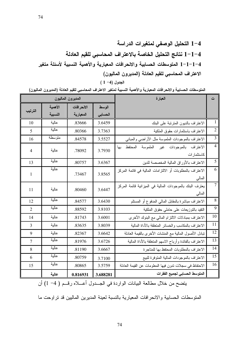1-4 التحليل الوصفى لمتغيرات الدراسة 4–1−1 نتائج التحليل الخاصة بالاعتراف المحاسبي للقيم العادلة 1-1-1-1 المتوسطات الحسابية والانحرافات المعيارية والأهمية النسبية لأسئلة متغير الاعتراف المحاسبي للقيم العادلة (المديرون الماليون)  $(1 -4)$  الجدول

المتوسطات الحسابية والانحرافات المعيارية والأهمية النسبية لمتغير الاعتراف المحاسبي للقيم العادلة (المديرون الماليون)

| المديرون الماليون |         |            |          | العبارة                                                   | ت               |
|-------------------|---------|------------|----------|-----------------------------------------------------------|-----------------|
|                   | الأهمية | الانحرافات | الوسط    |                                                           |                 |
| الترتيب           | النسبية | المعيارية  | الحسابى  |                                                           |                 |
| 10                | عالية   | .83666     | 3.6459   | الاعتراف بالديون المترنبة على البنك                       | $\mathbf{1}$    |
| 5                 | عالية   | .80366     | 3.7363   | الاعتراف باستثمارات حقوق الملكية                          | $\overline{2}$  |
| 16                | متوسطة  | .84578     | 3.5527   | الاعتراف بالموجودات الملموسة مثل الأراضمي والمبانبي       | $\overline{3}$  |
| 4                 | عالية   | .78092     | 3.7930   | المحتفظ<br>الاعتراف بالموجودات غير الملموسة<br>بها        | $\overline{4}$  |
|                   |         |            |          | كاستثمار ات                                               |                 |
| 13                | عالية   | .80757     | 3.6367   | الاعتراف بالأوراق المالية المخصصة للدين                   | $\overline{5}$  |
| 1                 | عالية   | .73467     | 3.8565   | الاعتراف بالمطلوبات أو الالتزامات المالية في قائمة المركز | $\overline{6}$  |
|                   |         |            |          | المالي                                                    |                 |
| 11                | عالية   | .80460     | 3.6447   | يعترف البنك بالموجودات المالية في الميزانية قائمة المركز  | $\overline{7}$  |
|                   |         |            |          | المالي                                                    |                 |
| 12                | عالية   | .84577     | 3.6430   | الاعتراف مباشرة بالمقابل المالي المدفوع أو المستلم        | $\overline{8}$  |
| $\overline{2}$    | عالية   | .88592     | 3.8103   | النقيد بالنوزيعات على حاملي حقوق الملكية                  | $\overline{9}$  |
| 14                | عالية   | .81743     | 3.6001   | الاعتراف بمبادلات الالتزام المالي مع البنوك الأخرى        | $\overline{10}$ |
| 3                 | عالية   | .83635     | 3.8039   | الاعتراف بالمكاسب والخسائر المتعلقة بالأداة المالية       | $\overline{11}$ |
| 9                 | عالية   | .82367     | 3.6642   | نبادل الأصول المالية مع المنشات الأخرى بالقيمة العادلة    | $\overline{12}$ |
| $\tau$            | عالية   | .81976     | 3.6726   | الاعتراف بالفائدة وأرباح الاسهم المتعلقة بالأداة المالية  | $\overline{13}$ |
| 8                 | عالية   | .81190     | 3.6667   | الاعتراف بالمطلوبات المحتفظ بها للمتاجرة                  | 14              |
| 6                 | عالية   | .80759     | 3.7100   | الاعتراف بالموجودات المالية المنوفرة للبيع                | $\overline{15}$ |
| 15                | عالية   | .80865     | 3.5759   | الاحتفاظ في سجلات ندون فيها المعلومات عن القيمة العادلة   | 16              |
|                   | عالية   | 0.816931   | 3.688281 | المتوسط الحسابي لجميع الفقرات                             |                 |

يتضح من خلال مطالعة البيانات الواردة في الجهدول أعسلاه رقم ( 4- 1) أن

المتوسطات الحسابية والانحرافات المعيارية بالنسبة لعينة المديرين الماليين قد تراوحت ما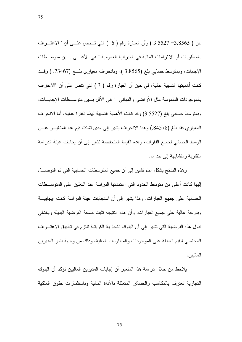بين ( 3.8565 – 3.5527 ) وأن العبارة رقم ( 6 ) التي تــنص علـــي أن " الاعتـــراف بالمطلوبات أو الالنزامات المالية في الميزانية العمومية " هي الأعلـــي بـــين متوســـطات الإجابات، وبمنوسط حسابي بلغ (3.8565 )، وبانحراف معياري بلـــغ (73467. ) وقـــد كانت أهميتها النسبية عالية، في حين أن العبارة رقم ( 3 ) التي نتص على أن "الاعتراف بالموجودات الملموسة مثل الأراضبي والمبانبي " هي الأقل بسين منوســـطات الإجابـــات، وبمنوسط حسابي بلغ (3.5527) وقد كانت الأهمية النسبية لهذه الفقرة عالية، أما الانحراف المعياري فقد بلغ (84578.) وهذا الانحراف يشير إلى مدى تشتت قيم هذا المتغيـــر عـــن الوسط الحسابي لجميع الفقرات، وهذه القيمة المنخفضة تشير إلى أن إجابات عينة الدر اسة

منقار بة ومنشابهة إلى حد ما.

وهذه النتائج بشكل عام نشير إلى أن جميع المنوسطات الحسابية التبي تم النوصــــل إليها كانت أعلى من متوسط الحدود التي اعتمدتها الدراسة عند التعليق على المتوســـطات الحسابية على جميع العبارات. وهذا يشير إلى أن استجابات عينة الدراسة كانت إيجابيـــة وبدرجة عالية على جميع العبارات. وأن هذه النتيجة تثبت صحة الفرضية البديلة وبالتالي قبول هذه الفر ضية التي تشير ٍ إلى أن البنوك التجارية الكويتية تلتز ٍم في تطبيق الاعتـــر اف المحاسبي للقيم العادلة على الموجودات والمطلوبات المالية، وذلك من وجهة نظر المديرين المالبين.

يلاحظ من خلال در اسة هذا المتغير أن إجابات المديرين الماليين نؤكد أن البنوك النجار بة تعتر ف بالمكاسب والخسائر المتعلقة بالأداة المالبة وباستثمار ات حقوق الملكبة

75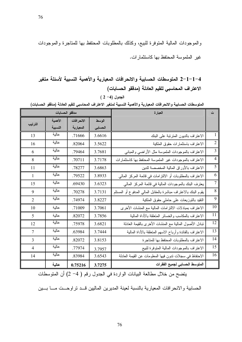والموجودات المالية المنوفرة للبيع، وكذلك بالمطلوبات المحتفظ بها للمناجرة والموجودات

غير الملموسة المحتفظ بها كاستثمارات.

1–1–2 1لمتوسطات الحسابية والانحرافات المعيارية والأهمية النسبية لأسئلة متغير الاعتراف المحاسبي للقيم العادلة (مدفقو الحسابات)

 $(2-4)$  الجدول

المتوسطات الحسابية والانحرافات المعيارية والأهمية النسبية لمتغير الاعتراف المحاسبي للقيم العادلة (مدققو الحسابات)

مدققو الحسابات ت العبارة الوسط الأهمية الانحرافات الترتيب النسبية المعيارية الحسابى عالية  $\mathbf{1}$ 3.6616 الاعتراف بالديون المترنبة على البنك 13 .71666 عالية  $\overline{2}$ 16 .82064 3.5622 الاعتراف باستثمارات حقوق الملكية عالية  $\mathfrak{Z}$ .79464 3.7681 6 الاعتراف بالموجودات الملموسة مثل الأراضىي والمباني عالمة .<br>الاعتراف بالموجودات غير الملموسة المحتفظ بها كاستثمارات  $\overline{4}$ 8 .70711 3.7178 عالية  $\overline{5}$  $11$ .78277 3.6863 الاعتراف بالأوراق المالية المخصصة للدين عالية 6  $\mathbf{1}$ .79522 3.8933 الاعتراف بالمطلوبات أو الالتزامات في قائمة المركز المالي عالية  $\overline{7}$ يعترف البنك بالموجودات المالية في قائمة المركز المالي .69430 3.6323 15 عالية 8 يقوم البنك بالاعتراف مباشرة بالمقابل المالي المدفوع أو المستلم 9 .70278 3.7131 عالية 9 .74974 النقيد بالنوزيعات على حاملي حقوق الملكية  $\overline{2}$ 3.8227 10 عالية الاعتراف بمبادلات الالتزامات المالية مع المنشات الأخرى .71009 3.7061 10 11 الاعتراف بالمكاسب والخسائر المنعلقة بالأداة المالية عالية 5 .82072 3.7856 عالية 12 12 .75978 3.6821 نبادل الأصول المالية مع المنشات الأخرى بالقيمة العادلة عالية 13 الاعتراف بالفائدة وأرباح الاسهم المتعلقة بالأداة المالية  $\overline{7}$ 3.7444 .63984 عالية  $14$ الاعتر اف بالمطلوبات المحتفظ بها للمتاجر ة 3.8153 .82072 3 عالية 15 الاعتراف بالموجودات المالية المتوفرة للبيع  $\overline{4}$ .77974 3.7957 عالية 16 الاحتفاظ في سجلات ندون فيها المعلومات عن القيمة العادلة 14 .83984 3.6543 المتوسط الحسابي لجميع الفقرات عالمة 3.7275 0.75216

يتضح من خلال مطالعة البيانات الواردة في الجدول رقم ( 4- 2) أن المتوسطات

الحسابية والانحرافات المعيارية بالنسبة لعينة المديرين الماليين قــد تراوحــت مـــا بـــين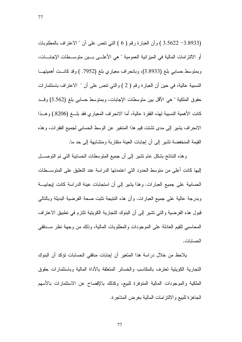(3.8933 – 3.5622 ) وأن العبارة رقم ( 6 ) التي نتص على أن " الاعتراف بالمطلوبات أو الالتزامات المالية في الميزانية العمومية " هي الأعلـــي بـــين متوســـطات الإجابـــات، وبمنوسط حسابي بلغ (3.8933)، وبانحراف معياري بلغ (7952. ) وقد كانست أهميتهــا النسبية عالية، في حين أن العبارة رقم ( 2 ) والتي نتص على أن " الاعتراف باستثمارات حقوق الملكية " هي الأقل بين متوسطات الإجابات، وبمتوسط حسابي بلغ (3.562) وقـــد كانت الأهمية النسبية لهذه الفقرة عالية، أما الانحراف المعياري فقد بلـــغ (8206.) وهـــذا الانحر اف يشير إلى مدى نشتت قيم هذا المنغير عن الوسط الحسابي لجميع الفقرات، وهذه القيمة المنخفضة نشير إلى أن إجابات العينة متقاربة ومنشابهة إلى حد ما.

وهذه النتائج بشكل عام نشير إلى أن جميع المنوسطات الحسابية التبي تم التوصــــل إليها كانت أعلى من متوسط الحدود التي اعتمدتها الدراسة عند التعليق على المتوســـطات الحسابية على جميع العبارات. وهذا يشير إلى أن استجابات عينة الدراسة كانت ايجابيـــة وبدرجة عالية على جميع العبارات. وأن هذه النتيجة نثبت صحة الفرضية البديلة وبالنالي قبول هذه الفرضية والتي نشير إلى أن البنوك التجارية الكويتية تلتزم في تطبيق الاعتراف المحاسبي للقيم العادلة على الموجودات والمطلوبات المالية، وذلك من وجهة نظر مـــدققي الحسابات.

يلاحظ من خلال در اسة هذا المتغير أن إجابات مدققي الحسابات تؤكد أن البنوك النجارية الكويتية نعترف بالمكاسب والخسائر المنعلقة بالأداة المالية وباستثمارات حقوق الملكية والموجودات المالية المتوفرة للبيع، وكذلك بالإفصاح عن الاستثمارات بالأسهم الجاهزة للبيع والالتزامات المالية بغرض المتاجرة.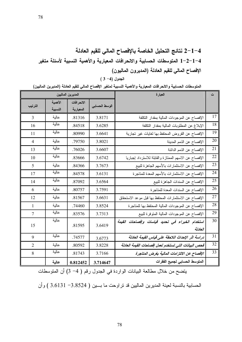# 4–1–2 نتائج التحليل الخاصة بالإفصاح المالي للقيم العادلة 1-2-1-4 المتوسطات الحسابية والانحرافات المعيارية والأهمية النسبية لأسئلة متغير الإفصاح المالي للقيم العادلة (المديرون الماليون)

الجدول (4- 3)

المتوسطات الحسابية والانحرافات المعيارية والأهمية النسبية لمتغير الإفصاح المالى للقيم العادلة (المديرين الماليين)

| المديرين الماليين |                    |                         |               | العبارة                                                    | ت               |
|-------------------|--------------------|-------------------------|---------------|------------------------------------------------------------|-----------------|
| الترتيب           | الأهمية<br>النسبية | الانحرافات<br>المعيارية | الوسط الحسابى |                                                            |                 |
| $\overline{3}$    | عالية              | .81316                  | 3.8171        | الإفصاح عن الموجودات المالية بمقدار النكلفة                | 17              |
| 16                | عالية              | .84518                  | 3.6285        | الإبلاغ عن المطلوبات المالية بمقدار النكلفة                | $\overline{18}$ |
| 11                | عالية              | .80990                  | 3.6641        | الإفصاح عن القروض المحتفظ بها لغايات غير تجارية            | 19              |
| $\overline{4}$    | عالية              | .79750                  | 3.8021        | الإفصاح عن الذمم المدينة                                   | 20              |
| 13                | عالية              | .76026                  | 3.6607        | الإفصاح عن الذمم الدائنة                                   | 21              |
| 10                | عالية              | .83666                  | 3.6742        | الإفصاح عن الاسهم الممتازة والقابلة للاسترداد إجباريا      | 22              |
| 5                 | عالية              | .84366                  | 3.7673        | الإفصاح عن الاستثمارات بالأسهم الجاهزة للبيع               | 23              |
| 17                | عالية              | .84578                  | 3.6131        | الإفصاح عن الاستثمارات بالأسهم المعدة للمتاجرة             | 24              |
| 14                | عالية              | .87092                  | 3.6564        | الإفصاح عن السندات الجاهزة للبيع                           | 25              |
| 6                 | عالية              | .80757                  | 3.7591        | الإفصاح عن السندات المعدة للمتاجرة                         | 26              |
| 12                | عالية              | .81567                  | 3.6631        | الإفصاح عن الاستثمارات المحتفظ بها فبل موعد الاستحقاق      | $27\,$          |
| $\mathbf{1}$      | عالية              | .74460                  | 3.8524        | الإفصاح عن الموجودات المالية المحتفظ بها للمتاجرة          | 28              |
| $\tau$            | عالية              | .83576                  | 3.7313        | الإفصاح عن الموجودات المالية المنوفرة للبيع                | 29              |
| 15                | عالية              | .81595                  | 3.6419        | استخدام الخبراء فى تحديد قياسات وإفصاحات القيمة<br>العادلة | 30              |
| 9                 | عالية              | .74577                  | 3.6773        | دراسة اثر الإحداث اللاحقة على قياس القيمة العادلة          | 31              |
| 2                 | عالية              | .80592                  | 3.8228        | فحص البيانات التى تستخدم لعمل إفصاحات القيمة العادلة       | 32              |
| 8                 | عالية              | .81743                  | 3.7166        | الإفصاح عن الالتزامات المالية بغرض المتاجرة                | 33              |
|                   | عالية              | 0.812452                | 3.714647      | المتوسط الحسابي لجميع الفقرات                              |                 |

يتضح من خلال مطالعة البيانات الواردة في الجدول رقم ( 4- 3) أن المتوسطات

الحسابية بالنسبة لعينة المديرين الماليين قد تراوحت ما بين ( 3.8524 - 3.6131 ) وأن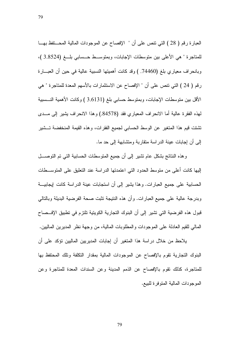العبارة رقم ( 28 ) التي نتص على أن " الإفصاح عن الموجودات المالية المحـــنفظ بهـــا للمتاجرة " هي الأعلى بين متوسطات الإجابات، وبمتوسـط حــسابي بلـــغ (3.8524 )، وبانحراف معياري بلغ (74460. ) وقد كانت أهميتها النسبية عالية في حين أن العبـــارة رقم ( 24 ) التي نتص على أن " الإفصاح عن الاستثمارات بالأسهم المعدة للمتاجرة " هي الأقل بين منوسطات الإجابات، وبمنوسط حسابي بلغ (3.6131 ) وكانت الأهمية النـــسبية لمهذه الفقرة عالية أما الانحراف المعياري فقد (84578.) وهذا الانحراف بشير إلى مـــدى تشتت قيم هذا المتغير عن الوسط الحسابي لجميع الفقرات، وهذه القيمة المنخفضة تسشير إلى أن إجابات عينة الدر اسة منقار بة ومنشابهة إلى حد ما.

وهذه النتائج بشكل عام نشير إلى أن جميع المتوسطات الحسابية التي تم التوصـــل إليها كانت أعلى من متوسط الحدود التي اعتمدتها الدراسة عند التعليق على المتوســـطات الحسابية على جميع العبارات. وهذا يشير إلى أن استجابات عينة الدراسة كانت ايجابيـــة وبدرجة عالية على جميع العبارات. وأن هذه النتيجة نثبت صحة الفرضية البديلة وبالنالي قبول هذه الفرضية التي تشير إلى أن البنوك التجارية الكويتية تلتزم في تطبيق الإفـــصـاح المالي للقيم العادلة على الموجودات والمطلوبات المالية، من وجهة نظر المديرين الماليين.

يلاحظ من خلال دراسة هذا المتغير أن إجابات المديريين الماليين نؤكد على أن البنوك التجارية تقوم بالإفصاح عن الموجودات المالية بمقدار النكلفة وتلك المحتفظ بها للمتاجرة، كذلك نقوم بالإفصاح عن الذمم المدينة وعن السندات المعدة للمتاجرة وعن الموجودات المالية المتوفر ة للبيع.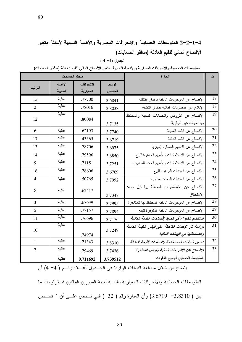# 1–2–2 المتوسطات الحسابية والانحرافات المعيارية والأهمية النسبية لأسئلة متغير الإفصاح المالي للقيم العادلة (مدفقو الحسابات)

|  |  |  |  | الجدول (4– 4 ) |
|--|--|--|--|----------------|
|--|--|--|--|----------------|

المتوسطات الحسابية والانحرافات المعيارية والأهمية النسبية لمتغير الإفصاح المالى للقيم العادلة (مدققو الحسابات)

|                | مدققو الحسابات |            | العبارة  | ت                                                 |    |
|----------------|----------------|------------|----------|---------------------------------------------------|----|
|                | الأهمية        | الانحرافات | الوسط    |                                                   |    |
| الترتيب        | النسبية        | المعيارية  | الحسابى  |                                                   |    |
| 15             | عالية          | .77700     | 3.6841   | الإفصاح عن الموجودات المالية بمقدار النكلفة       | 17 |
| $\overline{2}$ | عالية          | .78016     | 3.8038   | الإبلاغ عن المطلوبات المالية بمقدار التكلفة       | 18 |
| 12             | عالية          | .80084     |          | الإفصاح عن القروض والحسابات المدينة والمحتفظ      | 19 |
|                |                |            | 3.7135   | بها لغايات غير تجارية                             |    |
| 6              | عالية          | .62193     | 3.7740   | الإفصاح عن الذمم المدينة                          | 20 |
| 17             | عالية          | .43365     | 3.6719   | الإفصاح عن الذمم الدائنة                          | 21 |
| 13             | عالية          | .78706     | 3.6975   | الإفصاح عن الاسهم الممتازة إجباريا                | 22 |
| 14             | عالية          | .79596     | 3.6850   | الإفصاح عن الاستثمارات بالأسهم الجاهزة للبيع      | 23 |
| 9              | عالية          | .71151     | 3.7251   | الإفصاح عن الاستثمارات بالأسهم المعدة للمتاجرة    | 24 |
| 16             | عالية          | .78606     | 3.6769   | الإفصاح عن السندات الجاهزة للبيع                  | 25 |
| $\overline{4}$ | عالية          | .50765     | 3.7992   | الإفصاح عن السندات المعدة للمتاجرة                | 26 |
| 8              | عالية          |            |          | الإفصاح عن الاستثمارات المحتفظ بها قبل موعد       | 27 |
|                |                | .62417     | 3.7347   | الاستحقاق                                         |    |
| $\overline{3}$ | عالية          | .67639     | 3.7995   | الإفصاح عن الموجودات المالية المحتفظ بها للمتاجرة | 28 |
| 5              | عالية          | .77157     | 3.7894   | الإفصاح عن الموجودات المالية المتوفرة للبيع       | 29 |
| 11             | عالية          | .76696     | 3.7176   | استخدام الخبراء في تحديد إفصاحات القيمة العادلة   | 30 |
| 10             | عالية          |            | 3.7249   | دراسة اثر الإحداث اللاحقة على قياس القيمة العادلة | 31 |
|                |                | .74974     |          | وافصاحاتها في البيانات المالية                    |    |
| $\mathbf{1}$   | عالية          | .71343     | 3.8310   | فحص البيانات المستخدمة لافصاحات القيمة العادلة    | 32 |
| $\overline{7}$ | عالية          | .79469     | 3.7436   | الإفصاح عن الالتزامات المالية بغرض المتاجرة       | 33 |
|                | عالية          | 0.711692   | 3.739512 | المتوسط الحسابي لجميع الفقرات                     |    |

.<br>يتضح من خلال مطالعة البيانات الواردة في الجـــدول أعـــلاه رقـــم ( 4– 4) أن

المنوسطات الحسابية والانحرافات المعيارية بالنسبة لعينة المديرين الماليين قد نراوحت ما بين ( 3.8310 – 3.6719) وأن العبارة رقم ( 32 ) التي تــنص علـــي أن " فحــص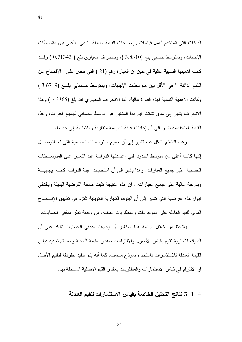البيانات التي تستخدم لعمل قياسات وإفصاحات القيمة العادلة " هي الأعلى بين متوسطات الإجابات، وبمنوسط حسابي بلغ (3.8310 )، وبانحراف معياري بلغ ( 0.71343 ) وقــد كانت أهميتها النسبية عالية في حين أن العبارة رقم (21 ) التي نتص على " الإفصاح عن الذمم الدائنة " هي الأقل بين منوسطات الإجابات، وبمنوسط حـــسابي بلــــغ (3.6719 ) وكانت الأهمية النسبية لهذه الفقرة عالية، أما الانحراف المعياري فقد بلغ (43365. ) وهذا الانحراف بشير إلى مدى نشتت قيم هذا المتغير عن الوسط الحسابي لجميع الفقرات، وهذه القيمة المنخفضة تشير إلى أن إجابات عينة الدراسة متقاربة ومتشابهة إلى حد ما.

81

و هذه النتائج بشكل عام نشير إلى أن جميع المتوسطات الحسابية التي تم التوصـــل إليها كانت أعلى من منوسط الحدود التي اعتمدتها الدراسة عند التعليق على المنوســطات الحسابية على جميع العبارات. وهذا يشير إلى أن استجابات عينة الدراسة كانت إيجابيـــة وبدرجة عالية على جميع العبارات. وأن هذه النتيجة نثبت صحة الفرضية البديلة وبالنالي قبول هذه الفر ضية التي تشير ٍ إلى أن البنوك التجارية الكويتية تلتز ٍم في تطبيق الإفـــصـاح المالي للقيم العادلة على الموجودات والمطلوبات المالية، من وجهة نظر مدققي الحسابات.

يلاحظ من خلال دراسة هذا المتغير أن إجابات مدققي الحسابات نؤكد على أن البنوك النجارية نقوم بقياس الأصول والالتز امات بمقدار القيمة العادلة وأنه بتم تحديد قياس القيمة العادلة للاستثمارات باستخدام نموذج مناسب، كما أنه يتم التقيد بطريقة لتقييم الأصل أو الالتزام في قياس الاستثمارات والمطلوبات بمقدار القيم الأصلية المسجلة بها.

4–1–3 نتائج التحليل الخاصة بقياس الاستثمارات للقيم العادلة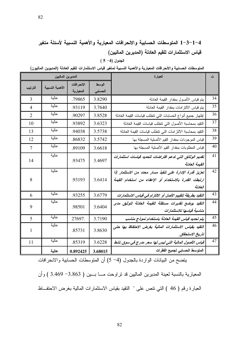# 1–3–1–3 المتوسطات الحسابية والانحرافات المعيارية والأهمية النسبية لأسئلة متغير قياس الاستثمارات للقيم العادلة (المديرين الماليين)

 $(5 -4)$  الجدول

المتوسطات الحسابية والانحرافات المعيارية والأهمية النسبية لمتغير قياس الاستثمارات للقيم العادلة (المديوين الماليون)

| المديرين الماليين |                 |            |         | العبارة                                                    | ت  |
|-------------------|-----------------|------------|---------|------------------------------------------------------------|----|
| الترتيب           | الأهمية النسبية | الانحرافات | الوسط   |                                                            |    |
|                   |                 | المعيارية  | الحسابى |                                                            |    |
| 3                 | عالية           | .79865     | 3.8290  | بنم قياس الأصول بمقدار القيمة العادلة                      | 34 |
| $\overline{4}$    | عالية           | .93119     | 3.7640  | يتم قياس الالنز امات بمقدار القيمة العادلة                 | 35 |
| $\overline{2}$    | عالية           | .90297     | 3.8528  | إظهار جميع أنواع الحسابات التي نتطلب قياسات القيمة العادلة | 36 |
| 10                | عالية           | .93892     | 3.6323  | النقيد بمحاسبة الأصول التى نتطلب قياسات القيمة العادلة     | 37 |
| 13                | عالية           | .94038     | 3.5738  | التقيد بمحاسبة الالتزامات التى تتطلب فياسات القيمة العادلة | 38 |
| 12                | عالية           | .86832     | 3.5742  | قياس الموجودات بمقدار القيم الأصلية المسجلة بها            | 39 |
| 7                 | عالية           | .89109     | 3.6618  | قياس المطلوبات بمقدار القيم الأصلية المسجلة بها            | 40 |
|                   | عالية           |            | 3.4697  | تقديم الوثائق التى تدعم افتراضات لتحديد قياسات استثمارات   | 41 |
| 14                |                 | .93475     |         | القيمة العادلة                                             |    |
|                   | عالية           |            |         | تعزيز قدرة الإدارة على تنفيذ مسار محدد من الاستثمار إذا    | 42 |
| 8                 |                 | .93193     | 3.6414  | ارتبطت القدرة بالاستخدام أو الإعفاء من استخدام القيمة      |    |
|                   |                 |            |         | العادلة                                                    |    |
| 6                 | عالية           | .93255     | 3.6779  | التقيد بطريقة لتقييم الأصل أو الالتزام في قياس الاستثمارات | 43 |
| 9                 | عالية           | .98501     | 3.6404  | التقيد بوضع تقديرات مستقلة للقيمة العادلة لتوثيق مدى       | 44 |
|                   |                 |            |         | مناسبة قياسها للاستثمارات                                  |    |
| 5                 | عالية           | 27697.     | 3.7190  | يتم تحديد قياس القيمة العادلة باستخدام نموذج مناسب         | 45 |
| 1                 | عالية           | .85731     | 3.8630  | التقيد بقياس الاستثمارات المالية بغرض الاحتفاظ بها حتى     | 46 |
|                   |                 |            |         | تاريخ الاستحقاق                                            |    |
| 11                | عالية           | .85319     | 3.6228  | قياس الأصول المالية التي ليس لها سعر مدرج في سوق نشط       | 47 |
|                   | عالية           | 0.892425   | 3.68015 | المتوسط الحسابي لجميع الفقرات                              |    |

يتضح من البيانات الواردة بالجدول (4- 5) أن المتوسطات الحسابية والانحرافات

المعيارية بالنسبة لعينة المديرين الماليين قد نراوحت مــا بــين ( 3.863 - 3.469 ) وأن العبارة رقم ( 46 ) التي نتص على " النقيد بقياس الاستثمارات المالية بغرض الاحتفاظ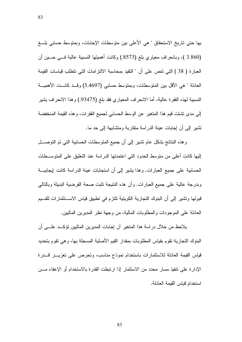بها حتى تاريخ الاستحقاق " هي الأعلى بين متوسطات الإجابات، وبمتوسط حسابي بلـــغ (3.860 )، وبانحراف معياري بلغ (8573.) وكانت أهميتها النسبية عالية فسى حسين أن العبار ة ( 38 ) التي تتص على أن " التقيد بمحاسبة الالتز امات التي تتطلب قياسات القيمة العادلة " هي الأقل بين المتوسطات، وبمتوسط حسابي (3.4697) وقــد كانـــت الأهميـــة النسبية لمهذه الفقرة عالية، أما الانحراف المعياري فقد بلغ (93475.) وهذا الانحراف يشير إلى مدى تشتت قيم هذا المتغير عن الوسط الحسابي لجميع الفقرات، وهذه القيمة المنخفضة تشير إلى أن إجابات عينة الدر اسة متقاربة ومتشابهة إلى حد ما.

و هذه النتائج بشكل عام نشير إلى أن جميع المتوسطات الحسابية التي تم التوصـــل إليها كانت أعلى من منوسط الحدود التي اعتمدتها الدراسة عند التعليق على المنوســطات الحسابية على جميع العبارات. وهذا يشير إلى أن استجابات عينة الدراسة كانت إيجابيـــة وبدرجة عالية على جميع العبارات. وأن هذه النتيجة نثبت صحة الفرضية البديلة وبالنالي قبولها وتشير إلى أن البنوك التجارية الكويتية تلتزم في تطبيق قياس الاســتثمارات للقـــيم العادلة على الموجودات والمطلوبات المالية، من وجهة نظر المديرين الماليين.

يلاحظ من خلال در اسة هذا المتغير أن إجابات المديرين الماليين تؤكــد علـــى أن البنوك النجارية نقوم بقياس المطلوبات بمقدار القيم الأصلية المسجلة بها، وهي نقوم بنحديد قياس القيمة العادلة للاستثمارات باستخدام نموذج مناسب، وتحرص على تعزيــز قـــدرة الإدارة على نتفيذ مسار محدد من الاستثمار إذا ارتبطت القدرة بالاستخدام أو الإعفاء مـــن استخدام فباس القبمة العادلة.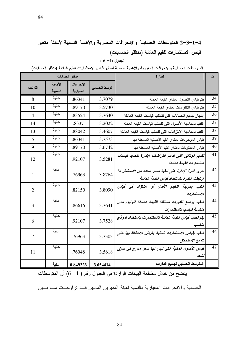# 1–3−1−4 المتوسطات الحسابية والانحرافات المعيارية والأهمية النسبية لأسئلة متغير قياس الاستثمارات للقيم العادلة (مدفقو الحسابات)

 $(6 - 4)$  الجدول

المتوسطات الحسابية والانحرافات المعيارية والأهمية النسبية لمتغير قياس الاستثمارات للقيم العادلة (مدققو الحسابات)

|                |                    | مدققو الحسابات          |               | العبارة                                                                                               | ت  |
|----------------|--------------------|-------------------------|---------------|-------------------------------------------------------------------------------------------------------|----|
| الترتيب        | الأهمية<br>النسبية | الانحرافات<br>المعيارية | الوسط الحسابى |                                                                                                       |    |
| 8              | عالية              | .86341                  | 3.7079        | بنم فياس الأصول بمقدار القيمة العادلة                                                                 | 34 |
| 10             | عالية              | .89170                  | 3.5730        | يتم قياس الالتزامات بمقدار القيمة العادلة                                                             | 35 |
| $\overline{4}$ | عالية              | .83524                  | 3.7640        | إظهار جميع الحسابات التي نتطلب قياسات القيمة العادلة                                                  | 36 |
| 14             | عالية              | .8337                   | 3.2022        | النقيد بمحاسبة الأصول النىى تتطلب فياسات القيمة العادلة                                               | 37 |
| 13             | عالية              | .88042                  | 3.4607        | النقيد بمحاسبة الالتزامات التى نتطلب فياسات القيمة العادلة                                            | 38 |
| 5              | عالية              | .86341                  | 3.7573        | قياس الموجودات بمقدار القيم الأصلية المسجلة بها                                                       | 39 |
| 9              | عالية              | .89170                  | 3.6742        | قياس المطلوبات بمقدار القيم الأصلية المسجلة بها                                                       | 40 |
| 12             | عالية              | .92107                  | 3.5281        | تقديم الوثائق التى تدعم افتراضات الإدارة لتحديد قياسات<br>استثمارات القيمة العادلة                    | 41 |
| 1              | عالية              | .76963                  | 3.8764        | تعزيز قدرة الإدارة على تنفيذ مسار محدد من الاستثمار إذا<br>ارتبطت القدرة باستخدام قياس القيمة العادلة | 42 |
| 2              | عالية              | .82150                  | 3.8090        | التقيد بطريقة لتقييم الأصل أو الالتزام في قياس<br>الاستثمار ات                                        | 43 |
| 3              | عالية              | .86616                  | 3.7641        | التقيد بوضع تقديرات مستقلة للقيمة العادلة لتوثيق مدى<br>مناسبة قياسها للاستثمارات                     | 44 |
| 6              | عالية              | .92107                  | 3.7528        | يتم تحديد قياس القيمة العادلة للاستثمارات باستخدام نموذج<br>مناسب                                     | 45 |
| 7              | عالية              | .76963                  | 3.7303        | التقيد بقياس الاستثمارات المالية بغرض الاحتفاظ بها حتى<br>تاريخ الاستحقاق                             | 46 |
| 11             | عالية              | .76048                  | 3.5618        | قياس الأصول المالية التي ليس لها سعر مدرج في سوق<br>نشط                                               | 47 |
|                | عالية              | 0.849223                | 3.654414      | المتوسط الحسابي لجميع الفقرات                                                                         |    |

يتضح من خلال مطالعة البيانات الواردة في الجدول رقم ( 4– 6) أن المتوسطات

الحسابية والانحرافات المعيارية بالنسبة لعينة المديرين الماليين قــد تراوحــت مـــا بـــين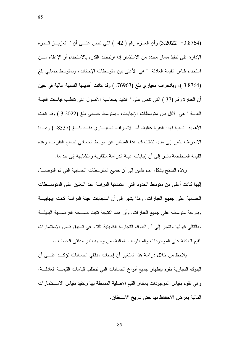(3.8764 - 3.2022) وأن العبارة رقم ( 42 ) التي نتص علـــي أن " نعزيـــز قـــدرة الإدارة على نتفيذ مسار محدد من الاستثمار إذا ارتبطت القدرة بالاستخدام أو الإعفاء مـــن استخدام فياس القيمة العادلة " هي الأعلى بين متوسطات الإجابات، وبمتوسط حسابي بلغ (3.8764 )، وبانحراف معياري بلغ (76963. ) وقد كانت أهميتها النسبية عالية في حين أن العبارة رقم (37 ) التي نتص على " النقيد بمحاسبة الأصول التي نتطلب قياسات القيمة العادلة " هي الأقل بين متوسطات الإجابات، وبمتوسط حسابي بلغ (3.2022 ) وقد كانت الأهمية النسبية لهذه الفقرة عالية، أما الانحراف المعيساري فقــد بلـــغ (8337. ) وهـــذا الانحراف بشير إلى مدى نشتت قيم هذا المتغير عن الوسط الحسابي لجميع الفقرات، وهذه

القيمة المنخفضة نشير إلى أن إجابات عينة الدراسة متقاربة ومنشابهة إلى حد ما.

و هذه النتائج بشكل عام نشير إلى أن جميع المنوسطات الحسابية التي تم النوصــــل إليها كانت أعلى من متوسط الحدود التي اعتمدتها الدراسة عند التعليق على المتوســطات الحسابية على جميع العبارات. وهذا يشير إلى أن استجابات عينة الدراسة كانت إيجابيـــة وبدرجة متوسطة على جميع العبارات. وأن هذه النتيجة تثبت صـــحة الفرضـــية البديلـــة وبالنالي فبولها ونتثبير إلى أن البنوك النجارية الكوينية نلتزم في نطبيق فياس الاستثمارات للقيم العادلة على الموجودات والمطلوبات المالية، من وجهة نظر مدققي الحسابات.

يلاحظ من خلال در اسة هذا المتغير أن إجابات مدفقي الحسابات تؤكــد علـــي أن البنوك النجارية نقوم بإظهار جميع أنواع الحسابات التي نتطلب فياسات القيمــــة العادلــــة، وهي نقوم بقياس الموجودات بمقدار القيم الأصلية المسجلة بها ونتقيد بقياس الاستنثمارات المالية بغرض الاحتفاظ بها حتى تاريخ الاستحقاق.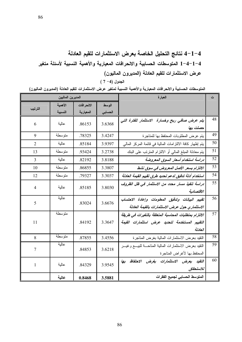4–1–4 نتائج التحليل الخاصة بعرض الاستثمارات للقيم العادلة 1-4-1−4 المتوسطات الحسابية والانحرافات المعيارية والأهمية النسبية لأسئلة متغير عرض الاستثمارات للقيم العادلة (المديرون الماليون)

الجدول (4- 7 )

المتوسطات الحسابية والانحرافات المعيارية والأهمية النسبية لمتغير عرض الاستثمارات للقيم العادلة (المديرون الماليون)

|                | المديرين الماليين |            |         | العبارة                                                                                                            | ت  |
|----------------|-------------------|------------|---------|--------------------------------------------------------------------------------------------------------------------|----|
|                | الأهمية           | الانحرافات | الوسط   |                                                                                                                    |    |
| الترتيب        | النسبية           | المعيارية  | الحسابى |                                                                                                                    |    |
| 6              | عالية             | .86153     | 3.6368  | يتم عرض صافى ربح وخسارة الاستثمار للفترة التى<br>حصلت بها                                                          | 48 |
| 9              | متوسطة            | .78325     | 3.4247  | يتم عرض المطلوبات المحتفظ بها للمتاجرة                                                                             | 49 |
| $\overline{2}$ | عالية             | .85184     | 3.9397  | يتم إظهار كافة الالتزامات المالية في قائمة المركز المالي                                                           | 50 |
| 13             | متوسطة            | .93424     | 3.2738  | يتم معادلة المبلغ المالي أو الالتزام المنزنب على البنك                                                             | 51 |
| 3              | عالية             | .82192     | 3.8188  | دراسة استخدام أسعار السوق المعروضة                                                                                 | 52 |
| 10             | متوسطة            | .86855     | 3.3807  | الالتزام بسعر الأصل المعروض في سوق نشط                                                                             | 53 |
| 12             | متوسطة            | .79327     | 3.3037  | استخدام أدلة تدقيق لدعم تحديد طرق تقييم القيمة العادلة                                                             | 54 |
| $\overline{4}$ | عالية             | .85185     | 3.8030  | دراسة تنفيذ مسار محدد من الاستثمار في ظل الظروف<br>الاقتصادية                                                      | 55 |
| 5              | عالية             | .83024     | 3.6676  | تقييم البيانات وتدقيق المعلومات وإعادة الاحتساب<br>الاستثماري حول عرض الاستثمارات بالقيمة العادلة                  | 56 |
| 11             | متوسطة            | .84192     | 3.3647  | الالتزام بمتطلبات المحاسبة المتعلقة بالتغيرات في طريقة<br>التقييم المستخدمة لتحديد عرض استثمارات القيمة<br>العادلة | 57 |
| 8              | متوسطة            | .87855     | 3.4556  | النقيد بعرض الاستثمارات المالية بغرض المناجرة                                                                      | 58 |
| 7              | عالية             | .84853     | 3.6218  | النقيد بعرض الاستثمارات المالية المناحــة للبيـــع وغيـــر<br>المحتفظ بها لأغراض المتاجرة                          | 59 |
| 1              | عالية             | .84329     | 3.9545  | التقيد بعرض الاستثمارات بغرض الاحتفاظ بها<br>للاستحقاق                                                             | 60 |
|                | عالية             | 0.8468     | 3.5881  | المتوسط الحسابي لجميع الفقرات                                                                                      |    |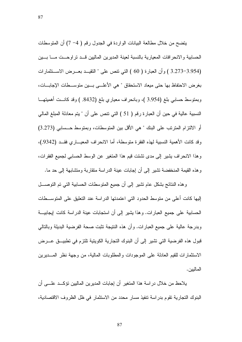يتضح من خلال مطالعة البيانات الواردة في الجدول رقم ( 4− 7) أن المتوسطات الحسابية والانحرافات المعيارية بالنسبة لعينة المديرين الماليين قــد تراوحــت مـــا بـــين (3.273-3.954 ) وأن العبارة ( 60 ) التي نتص على " النقيــد بعـــرض الاســـنثمارات بغرض الاحتفاظ بها حتى ميعاد الاستحقاق " هي الأعلـــي بـــين متوســـطات الإجابـــات، وبمنوسط حسابي بلغ (3.954 )، وبانحراف معياري بلغ (8432. ) وقد كانـــت أهميتهـــا النسبية عالية في حين أن العبارة رقم ( 51 ) التي نتص على أن " يتم معادلة المبلغ المالي أو الالتزام المتريّب على البنك " هي الأقل بين المتوسطات، ويمتوسط حـــسابي (3.273) وقد كانت الأهمية النسبية لهذه الفقر ة متوسطة، أما الانحر اف المعيـــار ي فقـــد (9342.)، وهذا الانحراف يشير إلى مدى نشتت قيم هذا المتغير عن الوسط الحسابي لجميع الفقرات، وهذه القيمة المنخفضة نشير إلى أن إجابات عينة الدراسة متقاربة ومتشابهة إلى حد ما.

و هذه النتائج بشكل عام نشير إلى أن جميع المنوسطات الحسابية التي تم النوصــــل الِبِها كانت أعلى من منوسط الحدود التي اعتمدتها الدر اسة عند التعليق على المنوســـطات الحسابية على جميع العبارات. وهذا يشير إلى أن استجابات عينة الدراسة كانت ايجابيـــة وبدرجة عالية على جميع العبارات. وأن هذه النتيجة نثبت صحة الفرضية البديلة وبالتالي قبول هذه الفرضية التي تشير إلى أن البنوك التجارية الكويتية تلتزم في تطبيـــق عــــرض الاستثمارات للقيم العادلة على الموجودات والمطلوبات المالية، من وجهة نظر المسديرين المالبين.

يلاحظ من خلال در اسة هذا المتغير أن إجابات المديرين الماليين تؤكــد علـــى أن البنوك التجارية تقوم بدراسة تنفيذ مسار محدد من الاستثمار في ظل الظروف الاقتصادية،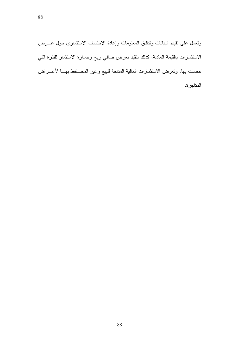ونعمل على نقيبم البيانات وندقيق المعلومات وإعادة الاحتساب الاستثماري حول عـــرض الاستثمارات بالقيمة العادلة، كذلك تتقيد بعرض صافي ربح وخسارة الاستثمار للفترة التي حصلت بها، وتعرض الاستثمارات المالية المتاحة للبيع وغير المحـــتفظ بهـــا لأغــــراض المتاجر ة.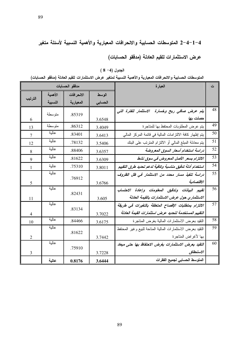# 4–1–4–2 المتوسطات الحسابية والانحرافات المعيارية والأهمية النسبية لأسئلة متغير عرض الاستثمارات للقيم العادلة (مدفقو الحسابات)

|  |  |  |  | الجدول (4– 8 ) |
|--|--|--|--|----------------|
|--|--|--|--|----------------|

المتوسطات الحسابية والانحرافات المعيارية والأهمية النسبية لمتغير عرض الاستثمارات للقيم العادلة (مدفقو الحسابات)

|                |         | مدققو الحسابات |         | العبارة                                                    | ت               |
|----------------|---------|----------------|---------|------------------------------------------------------------|-----------------|
|                | الأهمية | الانحرافات     | الوسط   |                                                            |                 |
| الترتيب        | النسبية | المعيارية      | الحسابى |                                                            |                 |
|                | متوسطة  | .85319         |         | يتم عرض صافى ربح وخسارة الاستثمار للفترة التى              | 48              |
| 6              |         |                | 3.6548  | حصلت بها                                                   |                 |
| 13             | متو سطة | .86312         | 3.4049  | يتم عرض المطلوبات المحتفظ بها للمتاجر ة                    | 49              |
| 7              | عالية   | .83401         | 3.6413  | يتم إظهار كافة الالتزامات المالية في قائمة المركز المالي   | 50              |
| 12             | عالية   | .78132         | 3.5406  | يتم معادلة المبلغ المالي أو الالنزام المنزنب على البنك     | 51              |
| 8              | عالية   | .88406         | 3.6357  | دراسة استخدام أسعار السوق المعروضة                         | 52              |
| 9              | عالية   | .81622         | 3.6309  | الالتزام بسعر الأصل المعروض في سوق نشط                     | 53              |
| 1              | عالية   | .75310         | 3.8011  | استخدام أدلة تدقيق مناسبة وكافية لدعم تحديد طرق التقييم    | 54              |
|                | عالية   | .76912         |         | دراسة تنفيذ مسار محدد من الاستثمار في ظل الظروف            | 55              |
| 5              |         |                | 3.6766  | الاقتصادية                                                 |                 |
|                | عالية   | .82431         |         | تقييم البيانات وتذقيق المعلومات وإعادة الاحتساب            | 56              |
| 11             |         |                | 3.605   | الاستثماري حول عرض الاستثمارات بالقيمة العادلة             |                 |
|                | عالية   | .83134         |         | الالتزام بمتطلبات الإفصاح المتعلقة بالتغيرات فى طريقة      | $\overline{57}$ |
| $\overline{4}$ |         |                | 3.7022  | التقييم المستخدمة لتحديد عرض استثمارات القيمة العادلة      |                 |
| 10             | عالية   | .84466         | 3.6175  | النقيد بعرض الاستثمارات المالية بغرض المناجرة              | 58              |
|                | عالية   | .81622         |         | النقيد بعرض الاستثمارات المالية المناحة للبيع وغير المحتفظ | 59              |
| $\overline{2}$ |         |                | 3.7442  | بها لأغراض المتاجرة                                        |                 |
|                | عالية   | .75910         |         | التقيد بعرض الاستثمارات بغرض الاحتفاظ بها حتى ميعاد        | 60              |
| 3              |         |                | 3.7228  | الاستحقاق                                                  |                 |
|                | عالية   | 0.8176         | 3.6444  | المتوسط الحسابي لجميع الفقرات                              |                 |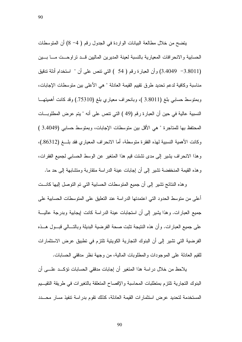يتضح من خلال مطالعة البيانات الواردة في الجدول رقم ( 4− 8) أن المتوسطات الحسابية والانحرافات المعيارية بالنسبة لعينة المديرين الماليين قد نراوحـت مــا بــين (3.4049 -3.8011) وأن العبارة رقم ( 54 ) التي نتص على أن " استخدام أدلة ندقيق مناسبة وكافية لدعم تحديد طرق نقييم القيمة العادلة " هي الأعلى بين متوسطات الإجابات، وبمنوسط حسابي بلغ (3.8011 )، وبانحراف معياري بلغ (75310.) وقد كانت أهميتهـــا النسبية عالية في حين أن العبار ة رقم (49 ) التي نتص على أنه " يتم عرض المطلوبـــات المحتفظ بها للمتاجر ة " هي الأقل بين منوسطات الإجابات، وبمنوسط حسابي (3.4049 ) وكانت الأهمية النسبية لهذه الفقر ة متوسطة، أما الانحر اف المعيار ي فقد بلـــغ (86312.)، وهذا الانحراف يشير إلى مدى نشتت قيم هذا المتغير عن الوسط الحسابي لجميع الفقرات، وهذه القيمة المنخفضة نشير إلى أن إجابات عينة الدراسة منقاربة ومتشابهة إلى حد ما.

و هذه النتائج نشير إلى أن جميع المتوسطات الحسابية التي تم التوصل إليها كانــت أعلى من منوسط الحدود التي اعتمدتها الدر اسة عند التعليق على المنوسطات الحسابية على جميع العبارات. وهذا يشير إلى أن استجابات عينة الدراسة كانت إيجابية وبدرجة عاليـــة على جميع العبارات. وأن هذه النتيجة تثبت صحة الفرضية البديلة وبالتسالمي قبسول هسذه الفرضية التي تشير إلى أن البنوك التجارية الكويتية تلتزم في تطبيق عرض الاستثمارات للقيم العادلة على الموجودات والمطلوبات المالية، من وجهة نظر مدققي الحسابات.

يلاحظ من خلال در اسة هذا المتغير ٍ أن إجابات مدفقي الحسابات تؤكــد علـــي أن البنوك النجارية تلتزم بمنطلبات المحاسبة والإفصاح المتعلقة بالنغيرات في طريقة النقيسيم المستخدمة لتحديد عرض استثمارات القيمة العادلة، كذلك تقوم بدراسة نتفيذ مسار محسدد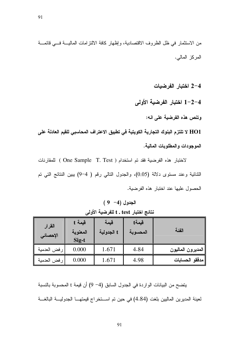من الاستثمار في ظل الظروف الاقتصادية، وإظهار كافة الالتزامات الماليــة فـــي فائمـــة المركز المالي.

2-4 اختبار الفرضيات

1-2-4 اختبار الفرضية الأولى

وتنص هذه الفرضية على انه:

HO1 لا تلتزم البنوك التجارية الكويتية في تطبيق الاعتراف المحاسبي للقيم العادلة على الموجودات والمطلوبات المالية.

لاختبار هذه الفرضية فقد تم استخدام ( One Sample T. Test ) للمقارنات الثنائية وعند مستوى دلالة (0.05)، والجدول النالبي رقم ( 4–9) ببين النتائج التي تم الحصول عليها عند اختبار هذه الفرضية.

 $(9 -4)$  الجدول نتائج اختبار t . test اللفرضية الأولى

| القرار<br>الإحصائي | فيمة t<br>المعنوية<br>Sig-t | قيمة<br>t الجدولية | فيمةt<br>المحسوبة | الفئة             |
|--------------------|-----------------------------|--------------------|-------------------|-------------------|
| رفض العدمية        | 0.000                       | 1.671              | 4.84              | المديرون الماليون |
| رفض العدمية        | 0.000                       | 1.671              | 4.98              | مدققو الحسابات    |

يتضح من البيانات الواردة في الجدول السابق (4− 9) أن قيمة t المحسوبة بالنسبة لعينة المديرين الماليين بلغت (4.84) في حين تم استخراج قيمتهـا الجدوليـــة البالغـــة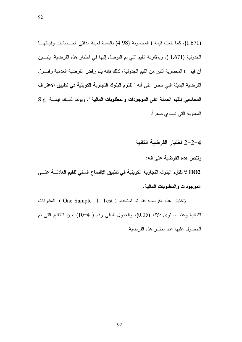(1.671)، كما بلغت قيمة t المحسوبة (4.98) بالنسبة لعينة مدققي الحــسابات وقيمتهــا الجدولية (1.671 )، وبمقارنة القيم التي تم التوصل إليها في اختبار هذه الفرضية، يتبين أن قيم t المحسوبة أكبر من القيم الجدولية، لذلك فإنه يتم رفض الفرضية العدمية وقبــول الفرضية البديلة التي تتص على أنه " تلتزم البنوك التجارية الكويتية في تطبيق الاعتراف المحاسبي للقيم العادلة على الموجودات والمطلوبات المالية ". ويؤكد ذلـك فيمــة .Sig المعنوية التـى تساوي صفراً.

4–2–2 اختبار الفرضية الثانية

وتنص هذه الفرضية على انه:

HO2 لا تلتزم البنوك التجارية الكويتية في تطبيق الإفصاح المالي للقيم العادلــــة علــــى الموجودات والمطلوبات المالية.

لاختبار هذه الفرضية فقد تم استخدام ( One Sample T. Test ) للمقارنات الثنائية وعند مستوى دلالة (0.05)، والجدول النالي رقم ( 4–10) بيبين النتائج التي تم الحصول عليها عند اختبار هذه الفرضية.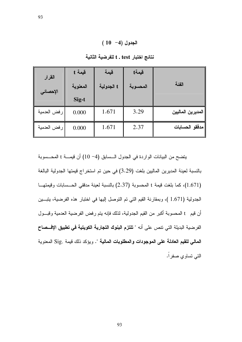| القرار      | فيمة t   | قيمة       | قيمةt    |                   |
|-------------|----------|------------|----------|-------------------|
| الإحصائي    | المعنوية | t الجدولية | المحسوبة | الفئة             |
|             | Sig-t    |            |          |                   |
| رفض العدمية | 0.000    | 1.671      | 3.29     | المديرين الماليين |
| رفض العدمية | 0.000    | 1.671      | 2.37     | مدققو الحسابات    |

نتائج اختبار t . test للفرضية الثانية

يتضح من البيانات الواردة في الجدول الـسابق (4− 10) أن قيسـة t المحــسوبة بالنسبة لعينة المديرين الماليين بلغت (3.29) في حين تم استخراج قيمتها الجدولية البالغة (1.671)، كما بلغت قيمة t المحسوبة (2.37) بالنسبة لعينة مدققي الحسسابات وقيمتها الجدولية (1.671 )، وبمقارنة القيم التي تم التوصل إليها في اختبار هذه الفرضية، يتبين أن قيم t المحسوبة أكبر من القيم الجدولية، لذلك فإنه يتم رفض الفرضية العدمية وقبــول الفرضية البديلة التي تتص على أنه " **تلتزم البنوك التجارية الكويتية في تطبيق الإفـــصاح** المالي للقيم العادلة على الموجودات والمطلوبات المالية ". ويؤكد ذلك قيمة .Sig المعنوية التبي نساوي صفر اً.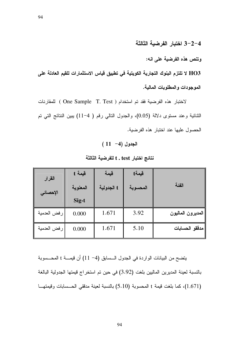94

4–2–3 اختبار الفرضية الثالثة

وتنص هذه الفرضية على انه:

HO3 لا تلتزم البنوك التجارية الكويتية في تطبيق قياس الاستثمارات للقيم العادلة على الموجودات والمطلوبات المالية.

لاختبار هذه الفرضية فقد تم استخدام ( One Sample T. Test ) للمقارنات الثنائية وعند مستوى دلالة (0.05)، والجدول النالي رقم ( 4–11) بببين النتائج التي تم الحصول عليها عند اختبار هذه الفرضية.

 $(11 -4)$  الجدول

| القرار<br>الإحصائي | فيمة t<br>المعنوية<br>Sig-t | قيمة<br>t الجدولية | قيمةt<br>المحسوبة | الفئة             |
|--------------------|-----------------------------|--------------------|-------------------|-------------------|
| رفض العدمية        | 0.000                       | 1.671              | 3.92              | المديرون الماليون |
| رفض العدمية        | 0.000                       | 1.671              | 5.10              | مدققو الحسابات    |

نتائج اختبار t . test فلفرضية الثالثة

يتضح من البيانات الواردة في الجدول الـسابق (4− 11) أن قيمـــة t المحــسوبة بالنسبة لعينة المديرين الماليين بلغت (3.92) في حين تم استخراج قيمتها الجدولية البالغة (1.671)، كما بلغت قيمة t المحسوبة (5.10) بالنسبة لعينة مدققي الحــسابات وقيمتهــا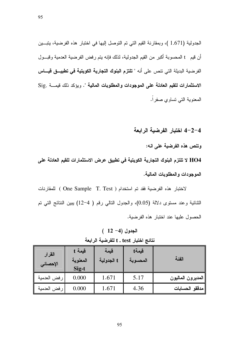الجدولية (1.671 )، وبمقارنة القيم التي تم التوصل إليها في اختبار هذه الفرضية، يتبين أن قيم t المحسوبة أكبر من القيم الجدولية، لذلك فإنه يتم رفض الفرضية العدمية وقبــول الفرضية البديلة التي تتص على أنه " تلتزم البنوك التجارية الكويتية في تطبيــق فيـــاس الاستثمارات للقيم العادلة على الموجودات والمطلوبات المالية ". ويؤكد ذلك فيمـــة .Sig المعنوية التي تساوى صفراً.

4-2-4 اختبار الفرضية الرابعة

وتنص هذه الفرضية على انه:

HO4 لا تلتزم البنوك التجارية الكويتية في تطبيق عرض الاستثمارات للقيم العادلة على الموجودات والمطلوبات المالية.

لاختبار هذه الفرضية فقد تم استخدام ( One Sample T. Test ) للمقارنات الثنائية وعند مستوى دلالة (0.05)، والجدول النالي رقم ( 4–12) ببين النتائج التي تم الحصول عليها عند اختبار هذه الفرضية.

 $(12-4)$  الجدول

| القرار<br>الإحصائي | فيمة t<br>المعنوية<br>Sig-t | قيمة<br>t الجدولية | فيمةt<br>المحسوبة | الفئة             |
|--------------------|-----------------------------|--------------------|-------------------|-------------------|
| رفض العدمية        | 0.000                       | 1.671              | 5.17              | المديرون الماليون |
| رفض العدمية        | 0.000                       | 1.671              | 4.36              | مدققو الحسابات    |

نتائج اختبار t . test للفرضية الرابعة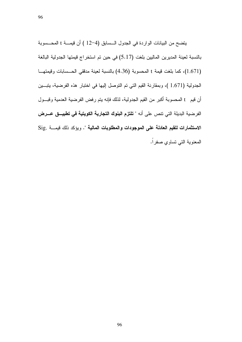يتضح من البيانات الواردة في الجدول الـسابق (4–12 ) أن قيمـــة t المحــسوبة بالنسبة لعينة المديرين الماليين بلغت (5.17) في حين تم استخراج قيمتها الجدولية البالغة (1.671)، كما بلغت قيمة t المحسوبة (4.36) بالنسبة لعينة مدققي الحسسابات وقيمتها الجدولية (1.671 )، وبمقارنة القيم التي تم التوصل إليها في اختبار هذه الفرضية، يتبين أن قيم t المحسوبة أكبر من القيم الجدولية، لذلك فإنه يتم رفض الفرضية العدمية وقبــول الفرضية البديلة التي تتص على أنه " **تلتزم البنوك التجارية الكويتية في تطبيــق عـــرض** الاستثمارات للقيم العادلة على الموجودات والمطلوبات المالية ". ويؤكد ذلك فيمسة .Sig المعنوية التي تساوي صفراً.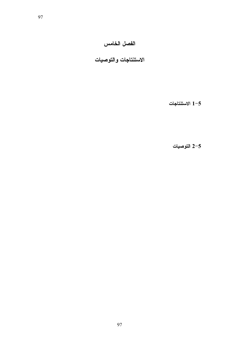### الفصل الخامس

الاستنتاجات والتوصيات

1-5 الاستنتاجات

2-5 التوصيات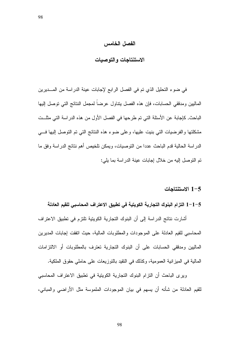#### الفصل الخامس

في ضوء التحليل الذي تم في الفصل الرابع لإجابات عينة الدراسة من المـــديرين الماليين ومدققى الحسابات، فإن هذه الفصل ينتاول عرضا لمجمل النتائج التي توصل إليها الباحث, كاجابة عن الأسئلة التي تم طرحها في الفصل الأول من هذه الدراسة التي مثلــت مشكلتها والفرضيات التي بنيت عليها، وعلى ضوء هذه النتائج التي تم التوصل إليها فسي الدراسة الحالية قدم الباحث عددا من التوصيات، ويمكن تلخيص أهم نتائج الدراسة وفق ما تم النوصل إليه من خلال إجابات عينة الدراسة بما يلي:

#### 1-5 الاستنتاجات

#### 1–1–5 التزام البنوك التجارية الكويتية في تطبيق الاعتراف المحاسبي للقيم العادلة

أشارت نتائج الدراسة إلى أن البنوك التجارية الكويتية تلتزم في تطبيق الاعتراف المحاسبي للقيم العادلة على الموجودات والمطلوبات المالية، حيث انفقت إجابات المديرين الماليين ومدققى الحسابات على أن البنوك النجارية تعترف بالمطلوبات أو الالتزامات المالية في الميزانية العمومية، وكذلك في النقيد بالنوزيعات على حاملي حقوق الملكية.

ويرى الباحث أن التزام البنوك التجارية الكويتية في تطبيق الاعتراف المحاسبي للقيم العادلة من شأنه أن يسهم في بيان الموجودات الملموسة مثل الأراضي والمباني،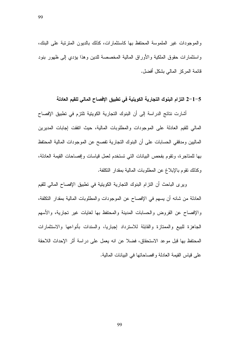والموجودات غير الملموسة المحتفظ بها كاستثمارات، كذلك بالديون المترتبة على البنك، واستثمارات حقوق الملكية والأوراق المالية المخصصة للدين وهذا بؤدي إلىي ظهور بنود فائمة المركز المالي بشكل أفضل.

99

1–5 1لتزام البنوك التجارية الكويتية في تطبيق الإفصاح المالي للقيم العادلة

أشارت نتائج الدراسة إلى أن البنوك التجارية الكويتية تلتزم في تطبيق الإفصاح المالي للقيم العادلة على الموجودات والمطلوبات المالية، حيث انفقت إجابات المديرين الماليين ومدققي الحسابات على أن البنوك التجارية تفصح عن الموجودات المالية المحتفظ بها للمتاجرة، وتقوم بفحص البيانات التي تستخدم لعمل فياسات وإفصاحات القيمة العادلة، وكذلك نقوم بالإبلاغ عن المطلوبات المالية بمقدار النكلفة.

وير ي الباحث أن النزام البنوك النجارية الكويتية في نطبيق الإفصاح المالي للقيم العادلة من شانه أن يسهم في الإفصاح عن الموجودات والمطلوبات المالية بمقدار التكلفة، والإفصاح عن القروض والحسابات المدينة والمحتفظ بها لغايات غير نجارية، والأسهم الجاهزة للبيع والممتازة والقابلة للاسترداد إجباريا، والسندات بأنواعها والاستثمارات المحتفظ بها قبل موعد الاستحقاق، فضلا عن انه يعمل على دراسة أثر الإحداث اللاحقة على قياس القيمة العادلة وافصاحاتها في البيانات المالية.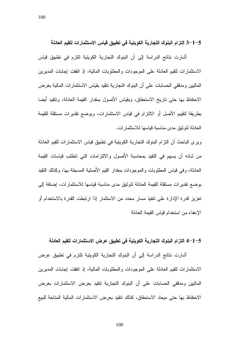100

5−1−3 التزام البنوك التجارية الكويتية في تطبيق قياس الاستثمارات للقيم العادلة

أشارت نتائج الدراسة إلى أن البنوك التجارية الكويتية تلتزم في تطبيق قياس الاستثمارات للقيم العادلة على الموجودات والمطلوبات المالية، إذ انفقت إجابات المديرين الماليين ومدققي الحسابات على أن البنوك النجارية نتقيد بقياس الاستثمارات المالية بغرض الاحتفاظ بها حتى تاريخ الاستحقاق، وبقياس الأصول بمقدار القيمة العادلة، وتتقيد أيضا بطريقة لتقييم الأصل أو الالتزام في قياس الاستثمارات، وبوضع نقديرات مستقلة للقيمة العادلة لنوثيق مدى مناسبة قياسها للاستثمار ات.

ويرى الباحث أن النزام البنوك النجارية الكويتية في نطبيق فياس الاستثمارات للقيم العادلة من شانه أن يسهم في النقيد بمحاسبة الأصول والالتزامات التي نتطلب قياسات القيمة العادلة، وفي قياس المطلوبات والموجودات بمقدار القيم الأصلية المسجلة بـها، وكذلك النقيد بوضع نقديرات مستقلة للقيمة العادلة لتوثيق مدى مناسبة قياسها للاستثمارات، إضافة إلى تعزيز قدرة الإدارة على نتفيذ مسار محدد من الاستثمار إذا ارتبطت القدرة بالاستخدام أو الإعفاء من استخدام قياس القيمة العادلة

#### 5−1−4 التزام البنوك التجارية الكويتية في تطبيق عرض الاستثمارات للقيم العادلة

أشارت نتائج الدراسة إلى أن البنوك التجارية الكويتية نلتزم في تطبيق عرض الاستثمارات للقيم العادلة على الموجودات والمطلوبات المالية، إذ انفقت إجابات المديرين الماليين ومدققى الحسابات على أن البنوك التجارية نتقيد بعرض الاستثمارات بغرض الاحتفاظ بها حتى مبعاد الاستحقاق، كذلك نتقيد بعرض الاستثمارات المالية المتاحة للبيع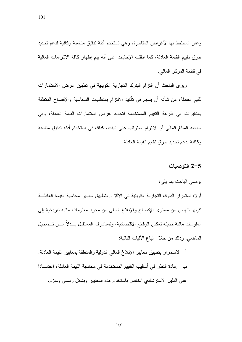وغير المحتفظ بها لأغراض المتاجرة، وهي تستخدم أدلة تدقيق مناسبة وكافية لدعم تحديد طرق نقييم القيمة العادلة، كما انفقت الإجابات على أنه يتم إظهار كافة الالتزامات المالية في قائمة المركز المالي.

ويرى الباحث أن النزام البنوك النجارية الكوينية في نطبيق عرض الاستثمارات للقيم العادلة، من شأنه أن يسهم في تأكيد الالتزام بمتطلبات المحاسبة والإفصاح المتعلقة بالتغيرات في طريقة التقييم المستخدمة لتحديد عرض استثمارات القيمة العادلة، وفي معادلة المبلغ المالي أو الالتزام المتربّب على البنك، كذلك في استخدام أدلة تدقيق مناسبة وكافية لدعم تحديد طر ق تقييم القيمة العادلة.

#### 1-5 التوصيات

يوصبي الباحث بما يلي:

أولا: استمرار البنوك التجارية الكويتية في الالتزام بتطبيق معايير محاسبة القيمة العادلة كونها نتهض من مستوى الإفصاح والإبلاغ المالي من مجرد معلومات مالية ناريخية إلى معلومات مالية حديثة تعكس الوقائع الاقتصادية، وتستشرف المستقبل بــدلا مـــن تـــسجيل الماضي، وذلك من خلال انباع الآليات النالية:

أ– الاستمرار بتطبيق معايير الإبلاغ المالي الدولية والمتعلقة بمعايير القيمة العادلة. ب— إعادة النظر في أساليب التقييم المستخدمة في محاسبة القيمة العادلة، اعتمـــادا على الدليل الاسترشادي الخاص باستخدام هذه المعايير وبشكل رسمي وملزم.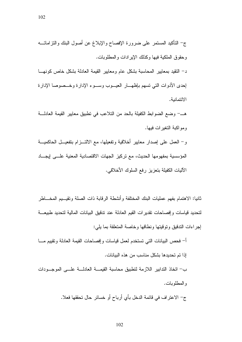102

د– النقيد بمعايير المحاسبة بشكل عام ومعايير القيمة العادلة بشكل خاص كونهــا إحدى الأدوات التي نسهم بإظهـــار العيـــوب وســـوء الإدارة وخـــصوصا الإدارة الائتمانية.

هـــــ وضـع الضـوابط الكفيلة بالـحد من النـلاعب في نطبيق معايير القيمة الـعادلــــة ومو اكنة التغير ات فيها.

و− العمل على إصدار معايير أخلاقية وتفعيلها، مع الالتـــزام بتفعيـــل الحاكميـــة المؤسسية بمفهومها الحديث، مع نركيز الجهات الاقتصادية المعنية علـــى إيجـــاد الآليات الكفيلة بتعزيز رفع السلوك الأخلاقي.

ثانيا: الاهتمام بفهم عمليات البنك المختلفة وأنشطة الرقابة ذات الصلة وتقيسيم المخساطر لتحديد قياسات وإفصاحات نقديرات القيم العادلة عند ندقيق البيانات المالية لتحديد طبيعـــة إجراءات التدقيق وتوقيتها ونطاقها وخاصة المتعلقة بما بلي:

أ– فحص البيانات التبي تستخدم لعمل قياسات وإفصاحات القيمة العادلة ونقييم مسا إذا تم تحدبدها بشكل مناسب من هذه الببانات. ب— اتخاذ الندابير اللازمة لتطبيق محاسبة القيمــــة العادلــــة علــــى الموجــــودات و المطلوبات. ج– الاعتراف في قائمة الدخل بأي أرباح أو خسائر حال تحققها فعلا.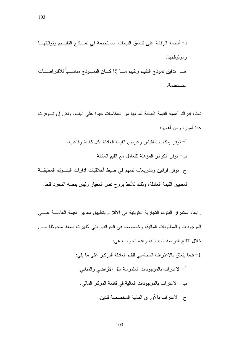د– أنظمة الرقابة على نتاسق البيانات المستخدمة في نمـــاذج التقيـــيم وتوقيتهـــا و مو تو قبتها. هــــ تدقيق نموذج التقييم وتقييم مــــا إذا كــــان النمــــوذج مناســــبا للافتر اضــــات المستخدمة.

ثالثا: إدر اك أهمية القيمة العادلة لما لها من انعكاسات جيدة على البنك، ولكن إن تـــوفر ت عدة أمور ، ومن أهمها:

أ– نوفر إمكانيات لقياس وعرض القيمة العادلة بكل كفاءة وفاعلية. ب— توفِّر الكوادر المؤهلة للتعامل مع القيم العادلة. ج– توفر قوانين ونشريعات نسهم في ضبط أخلاقيات إدارات البنـــوك المطبقـــة لمعايير القيمة العادلة، وذلك للأخذ بروح نص المعيار وليس بنصه المجرد فقط.

رابعا: استمرار البنوك النجارية الكويتية في الالتزام بتطبيق معايير القيمة العادلـــة علــــي الموجودات والمطلوبات المالية، وخصوصا في الجوانب التي أظهرت ضعفا ملحوظا مـــن خلال نتائج الدراسة الميدانية، وهذه الجوانب هي: 1– فيما يتعلَّق بالاعتراف المحاسبي للقيم العادلة التركيز على ما يلي: أ– الاعتر اف بالموجودات الملموسة مثل الأر اضبي و المبانبي. ب– الاعتراف بالموجودات المالية في قائمة المركز المالي.

ج– الاعتراف بالأوراق المالية المخصصة للدين.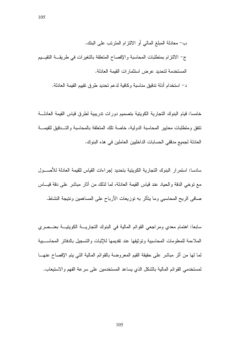ب– معادلة المبلغ المالي أو الالتزام المترتب على البنك. ج– الالتزام بمنطلبات المحاسبة والإفصاح المنعلقة بالنغيرات في طريقــة النقيــيم المستخدمة لتحديد عرض استثمارات القيمة العادلة.

د– استخدام أدلة تدقيق مناسبة وكافية لدعم تحديد طرق تقييم القيمة العادلة.

خامسا: قيام البنوك النجارية الكوينية بتصميم دورات ندريبية لطرق قياس القيمة العادلــــة نتفق ومنطلبات معايير المحاسبة الدولية، خاصة نلك المنعلقة بالمحاسبة والتسدقيق للقيمة العادلة لجميع مدفقي الحسابات الداخليين العاملين في هذه البنوك.

سادسا: استمرار البنوك التجارية الكويتية بتحديد إجراءات القياس للقيمة العادلة للأصـــول مع نوخي الدقة والحياد عند قياس القيمة العادلة، لما لذلك من آثار مباشر على دقة قيـــاس صافي الربح المحاسبي وما يتأثر به توزيعات الأرباح على المساهمين ونتيجة النشاط.

سابعا: اهتمام معدي ومراجعي القوائم المالية في البنوك النجاريـــة الكويتيـــة بعنـــصري الملاءمة للمعلومات المحاسبية وتوثيقها عند تقديمها للإثبات والتسجيل بالدفاتر المحاســـبية لما لها من أثر مباشر على حقيقة القيم المعروضة بالقوائم المالية التي يتم الإفصاح عنهـــا لمستخدمي القوائم المالية بالشكل الذي يساعد المستخدمين على سرعة الفهم والاستيعاب.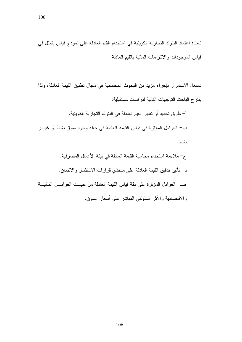ثامنا: اعتماد البنوك التجارية الكويتية في استخدام القيم العادلة على نموذج قياس يتمثل في قياس الموجودات والالنتز امات المالية بالقيم العادلة.

ناسعا: الاستمرار بإجراء مزيد من البحوث المحاسبية في مجال نطبيق القيمة العادلة، ولذا يقتر ح الباحث النوجهات النالية لدر اسات مستقبلية:

أ– طرق تحديد أو تقدير القيم العادلة في البنوك التجارية الكويتية. ب— العوامل المؤثِّرة في قياس القيمة العادلة في حالة وجود سوق نشط أو غيـــر نشط. ج– ملاءمة استخدام محاسبة القيمة العادلة في بيئة الأعمال المصرفية. د– نأثير ندقيق القيمة العادلة على متخذي قرارات الاستثمار والائتمان.

هــــ العوامل المؤثِّرة على دقة قياس القيمة العادلة من حيـــث العوامـــل الماليـــة و الاقتصادية و الأثر السلوكي المباشر على أسعار السوق.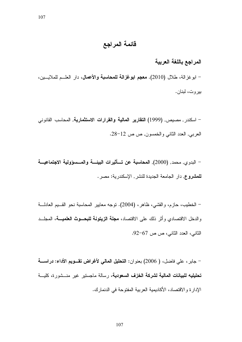#### المراجع باللغة العربية

– ابو غزالة، طلال (2010). معجم ابوغزالة للمحاسبة والأعمال، دار العلـــم للملايـــين، ببر و ت، لبنان.

– اسكندر , مصبص, (1999) ا**لتقارير المالية والقرارات الاستثمارية**, المحاسب القانوني العربي, العدد الثاني والخمسون, ص ص 12-28.

– البدوي, محمد, (2000), المحاسبة عن تسأثيرات البيئــــة والمــــسؤولية الاجتماعيــــة للمشروع, دار الجامعة الجديدة للنشر , الإسكندرية: مصر .

– الخطيب، حازم، والقشي، ظاهر، (2004). نوجه معايير المحاسبة نحو القسيم العادلــــة والدخل الاقتصادي وأثر ذلك على الاقتصاد، **مجلة الزيتونة للبحــوث العلميـــة**، المجلـــد الثاني، العدد الثاني، ص 67-92.

– جابر ، علي فاضل، ( 2006) بعنوان: ا**لتحليل المالي لأغراض تقـــوي**م الأداء: دراســــة تحليليه للبيانات المالية لشركة الخزف السعودية، رسالة ماجستير غير منسشورة، كليسة الإدار ة والاقتصاد، الأكاديمية العربية المفتوحة في الدنمارك.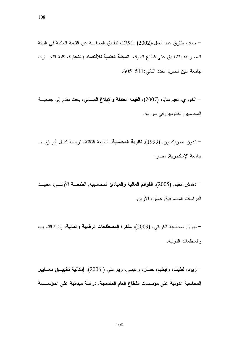108

– حماد، طارق عبد العال،(2002) مشكلات تطبيق المحاسبة عن القيمة العادلة في البيئة المصرية: بالنطبيق على قطاع البنوك، ال**مجلة العلمية للاقتصاد والتجارة**، كلية التجـــارة، جامعة عين شمس، العدد الثاني:511-605.

– الخورى، نعيم سابا، (2007)، القيمة العادلة والإبلاغ المسالي، بحث مقدم إلى جمعية المحاسبين القانونيين في سورية.

– الدون هندريكسون, (1999), ن**ظرية المحاسبة**, الطبعة الثالثة، نرجمة كمال أبو زيـــد, جامعة الإسكندرية, مصر .

– دهمش, نعيم, (2005), القوائم المالية والمبادئ المحاسبية, الطبعـــة الأولــــى، معهـــد الدر اسات المصر فية, عمان: الأر دن.

– ديوان المحاسبة الكويتي، (2009)، **مفكرة المصطلحات الرقابية والمالية**، إدارة الندريب والمنظمات الدولية.

- زيود، لطيف، وقيطيم، حسان، وعيسى، ريم علي ( 2006)، إ**مكانية تطبيـــق معــــايي**ر المحاسبة الدولية على مؤسسات القطاع العام المندمجة: دراسة ميدانية على المؤســسة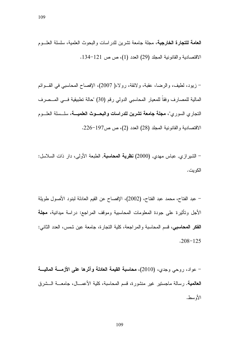109

**العامة للتجارة الخارجية،** مجلة جامعة تشرين للدراسات والبحوث العلمية، سلسلة العلـــوم الاقتصادية والقانونية المجلد (29) العدد (1)، ص ص 121–134.  $\,$ 

– زيود، لطيف، والرضا، عقبة، ولائقة، رولا،( 2007)، الإفصاح المحاسبي في القـــوائم المالية للمصارف وفقا للمعيار المحاسبي الدولي رقم (30) "حالة تطبيقية فـــي المـــصرف التجاري السوري"، **مجلة جامعة تشرين للدراسات والبحـــوث العلميــــة**، سلـــسلة العلـــوم الاقتصادية والقانونية المجلد (28) العدد (2)، ص ص197–226.

– الشيرازي, عباس مهدي, (2000**) نظرية المحاسبة**, الطبعة الأولى، دار ذات السلاسل: الكويت.

– عبد الفتاح، محمد عبد الفتاح، (2002)، الإفصاح عن القيم العادلة لبنود الأصول طويلة الأجل وتأثيرة على جودة المعلومات المحاسبية وموقف المراجع: دراسة ميدانية، **مجلة** ا**لفكر المحاسبي،** قسم المحاسبة والمراجعة، كلية التجارة، جامعة عين شمس، العدد الثاني:  $.208 - 125$ 

– عواد، روحي وجدي، (2010)، **محاسبة القيمة العادلة وآثرها على الأزمــــة الماليــــة العالمية**. رسالة ماجستير غير منشورة، قسم المحاسبة، كلية الأعمـــال، جامعـــة الـــشرق الأوسط.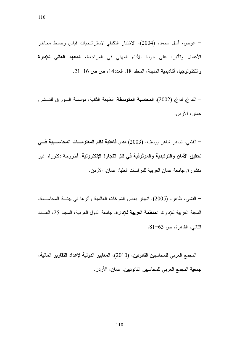– عوض، أمال محمد، (2004)، الاختيار النكيفي لاستراتيجيات قياس وضبط مخاطر الأعمال وتأثيره على جودة الأداء المهنى في المراجعة، **المعهد العالي ل**لإدارة وا**لتكنولوجي**ا، أكاديمية المدينة، المجلد 18, العدد14، ص ص 16−21.

– الفداغ, فداغ, (2002), ا**لمحاسبة المتوسطة**, الطبعة الثانية، مؤسسة الــوراق للنــشر, عمان: الأردن.

– القشي، ظاهر شاهر بوسف، (2003) مدى فاعلية نظم المعلومــات المحاســبية فـــى **تحقيق الأمان والتوكيدية والموثوقية في ظل التجارة الإلكترونية.** أطروحة دكتوراه غير منشورة, جامعة عمان العربية للدراسات العليا: عمان, الأردن.

– القشي، ظاهر، (2005). انهيار بعض الشركات العالمية وأثرها في بيئـــة المحاســـبة، المجلة العربية للإدار ة، ال**منظمة العربية للإدار ة**، جامعة الدول العربية، المجلد 25، العبيد  $-81-63$  الثاني، القاهر ة، ص

– المجمع العربي للمحاسبين القانونين، (2010)، ال**معايير الدولية لإعداد التقارير المالية**، جمعية المجمع العربي للمحاسبين القانونيين، عمان، الأردن.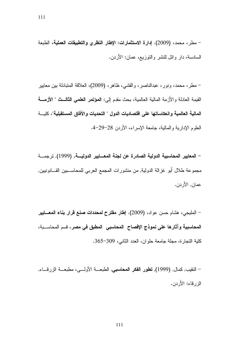– مطر، محمد، (2009). إدارة الاستثمارات: الإطار النظري والتطبيقات العملية، الطبعة السادسة، دار وائل للنشر والنوزيع، عمان: الأردن.

– مطر، محمد، ونور، عبدالناصر، والقشي، ظاهر، (2009)، العلاقة المتبادلة بين معايير القيمة العادلة والأزمة المالية العالمية، بحث مقدم إلى: المعؤتمر العلمي الثالث " الأزمــة المالية العالمية وانعكاساتها على اقتصاديات الدول " التحديات والآفاق المستقبلية"، كليسة العلوم الإدارية والمالية، جامعة الإسراء، الأردن 28–29-4.

– المعايير المحاسبية الدولية الصادرة عن لجنة المعـــايير الدوليـــة, (1999), ترجمـــة مجموعة طلال أبو غزالة الدولية, من منشورات المجمع العربي للمحاســـبين القـــانونيين, عمان, الأردن.

– المليجي، هشام حسن عواد، (2009). إطار مقترح لمحددات صنع قرار بناء المعسايير المحاسبية وآثارها على نموذج الإفصاح المحاسبي المطبق في مصر ، قسم المحاســـبة، كلية النجارة، مجلة جامعة حلوان، العدد الثانبي، 309–365.

– النقيب, كمال, (1999), **تطور الفكر المحاسبي**, الطبعـــة الأولــــى، مطبعـــة الزرقــــاء, الزرقاء: الأردن.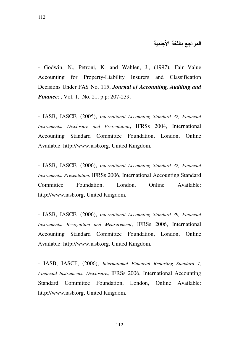#### المراجع باللغة الأجنبية

- Godwin, N., Petroni, K. and Wahlen, J., (1997), Fair Value Accounting for Property-Liability Insurers and Classification Decisions Under FAS No. 115, *Journal of Accounting, Auditing and Finance*: , Vol. 1. No. 21. p.p: 207-239.

- IASB, IASCF, (2005), *International Accounting Standard 32, Financial Instruments: Disclosure and Presentation***,** IFRSs 2004, International Accounting Standard Committee Foundation, London, Online Available: http://www.iasb.org, United Kingdom.

- IASB, IASCF, (2006), *International Accounting Standard 32, Financial Instruments: Presentation,* IFRSs 2006, International Accounting Standard Committee Foundation, London, Online Available: http://www.iasb.org, United Kingdom.

- IASB, IASCF, (2006), *International Accounting Standard 39, Financial Instruments: Recognition and Measurement*, IFRSs 2006, International Accounting Standard Committee Foundation, London, Online Available: http://www.iasb.org, United Kingdom.

- IASB, IASCF, (2006), *International Financial Reporting Standard 7, Financial Instruments: Disclosure***,** IFRSs 2006, International Accounting Standard Committee Foundation, London, Online Available: http://www.iasb.org, United Kingdom.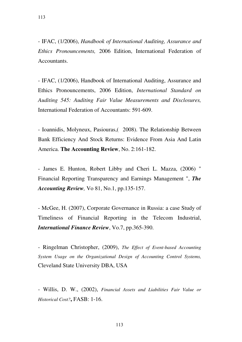- IFAC, (1/2006), *Handbook of International Auditing, Assurance and Ethics Pronouncements,* 2006 Edition, International Federation of Accountants.

- IFAC, (1/2006), Handbook of International Auditing, Assurance and Ethics Pronouncements, 2006 Edition, *International Standard on Auditing 545: Auditing Fair Value Measurements and Disclosures,* International Federation of Accountants: 591-609.

- Ioannidis, Molyneux, Pasiouras,( 2008). The Relationship Between Bank Efficiency And Stock Returns: Evidence From Asia And Latin America. **The Accounting Review**, No. 2:161-182.

- James E. Hunton, Robert Libby and Cheri L. Mazza, (2006) " Financial Reporting Transparency and Earnings Management ", *The Accounting Review,* Vo 81, No.1, pp.135-157.

- McGee, H. (2007), Corporate Governance in Russia: a case Study of Timeliness of Financial Reporting in the Telecom Industrial, *International Finance Review*, Vo.7, pp.365-390.

- Ringelman Christopher, (2009), *The Effect of Event-based Accounting System Usage on the Organizational Design of Accounting Control Systems,* Cleveland State University DBA, USA

- Willis, D. W., (2002), *Financial Assets and Liabilities Fair Value or Historical Cost?***,** FASB: 1-16.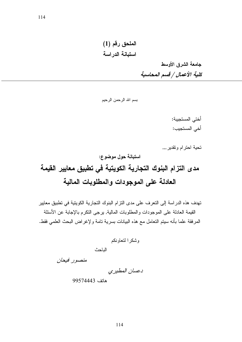الملحق رقم (1) استبانة الدراسة

> جامعة الشرق الأوسط كلية الأعمال / قسم المحاسبة

بسم الله الرحمن الرحيم

أختى المستجيبة: أخي المستجيب:

تحية احترام وتقدير ,,,

استبانة حول موضوع: مدى التزام البنوك التجارية الكويتية في تطبيق معايير القيمة

# العادلة على الموجودات والمطلوبات المالية

تهدف هذه الدراسة إلى التعرف على مدى التزام البنوك التجارية الكويتية في تطبيق معايير القيمة العادلة على الموجودات والمطلوبات المالية, يرجى النكرم بالإجابة عن الأسئلة المرفقة علما بأنه سيتم التعامل مع هذه البيانات بسرية تامة ولإغراض البحث العلمي فقط.

وشكرا لتعاونكم

الناحث

منصور فيحان

دعسان المطيري

هاتف 99574443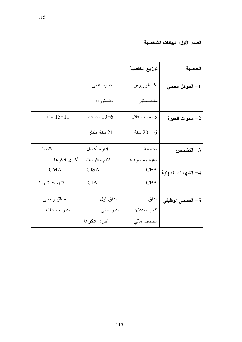|               |              | توزيع الخاصية | الخاصية             |
|---------------|--------------|---------------|---------------------|
|               | دبلوم عاليي  | بكسالوريوس    | 1– المؤهل العلمي    |
|               | دكــتوراه    | ماجــستير     |                     |
| 15-11 سنة     | 10-6 سنوات   | 5 سنوات فاقل  | 2– سنوات الخبرة     |
|               | 21 سنة فأكثر | سنة $20 - 16$ |                     |
| اقتصاد        | إدارة أعمال  | محاسبة        | 3- التخصص           |
| أخرى اذكر ها  | نظم معلومات  | مالية ومصرفية |                     |
| <b>CMA</b>    | <b>CISA</b>  | <b>CFA</b>    | 4– الشهادات المهنية |
| لا بوجد شهادة | <b>CIA</b>   | <b>CPA</b>    |                     |
| مدقق رئيسي    | مدقق اول     | مدقق          | 5– المسمى الوظيفي   |
| مدير حسابات   | مدير مالي    | كبير المدققين |                     |
|               | اخرى اذكر ها | محاسب مالي    |                     |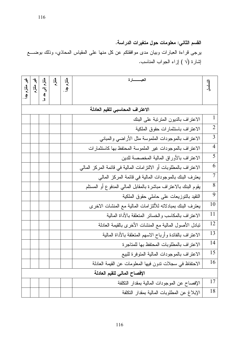### القسم الثاني: معلومات حول متغيرات الدراسة.

برجي قراءة العبارات وبيان مدى موافقتكم عن كل منها على المقياس المحاذي، وذلك بوضــــع لِشارة (√ ) إزاء الـجواب المناسب.

| 集長生                          | ل<br>ایل<br>م | までず    | 長 | 真生 | العبــــــــــارة                                                 |                |
|------------------------------|---------------|--------|---|----|-------------------------------------------------------------------|----------------|
|                              |               | 4<br>ګ |   |    |                                                                   |                |
|                              |               |        |   |    | الاعتراف المحاسبى للقيم العادلة                                   |                |
|                              |               |        |   |    | الاعتراف بالديون المترتبة على البنك                               | $\mathbf{1}$   |
|                              |               |        |   |    | الاعتراف باستثمارات حقوق الملكية                                  | $\overline{2}$ |
|                              |               |        |   |    | الاعتراف بالموجودات الملموسة مثل الأراضىي والمبانبي               | $\overline{3}$ |
|                              |               |        |   |    | الاعتراف بالموجودات غير الملموسة المحتفظ بها كاستثمارات           | $\overline{4}$ |
|                              |               |        |   |    | الاعتراف بالأوراق المالية المخصصة للدين                           | $\overline{5}$ |
|                              |               |        |   |    | الاعتراف بالمطلوبات أو الالنزرامات المالية في قائمة المركز المالي | 6              |
|                              |               |        |   |    | يعترف البنك بالموجودات المالية في قائمة المركز المالي             | $\overline{7}$ |
|                              |               |        |   |    | يقوم البنك بالاعتر اف مباشرة بالمقابل المالى المدفوع أو المستلم   | $\overline{8}$ |
|                              |               |        |   |    | النقيد بالنوزيعات على حاملي حقوق الملكية                          | $\overline{9}$ |
|                              |               |        |   |    | يعترف البنك بمبادلاته للألتز امات المالية مع المنشات الاخرى       | 10             |
|                              |               |        |   |    | الاعتراف بالمكاسب والخسائر المتعلقة بالأداة المالية               | 11             |
|                              |               |        |   |    | نبادل الأصول المالية مع المنشات الأخرى بالقيمة العادلة            | 12             |
|                              |               |        |   |    | الاعتراف بالفائدة وأرباح الاسهم المتعلقة بالأداة المالية          | 13             |
|                              |               |        |   |    | الاعتراف بالمطلوبات المحتفظ بها للمتاجرة                          | 14             |
|                              |               |        |   |    | الاعتراف بالموجودات المالية المنوفرة للبيع                        | 15             |
|                              |               |        |   |    | الاحتفاظ في سجلات ندون فيها المعلومات عن القيمة العادلة           | 16             |
| الإفصاح المالى للقيم العادلة |               |        |   |    |                                                                   |                |
|                              |               |        |   |    | الإفصاح عن الموجودات المالية بمقدار النكلفة                       | 17             |
|                              |               |        |   |    | الإبلاغ عن المطلوبات المالية بمقدار النكلفة                       | 18             |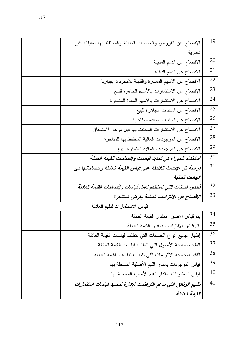|                                |  | الإفصاح عن القروض والحسابات المدينة والمحتفظ بها لغايات غير      | 19 |  |  |
|--------------------------------|--|------------------------------------------------------------------|----|--|--|
|                                |  | تجارية                                                           |    |  |  |
|                                |  | الإفصاح عن الذمم المدينة                                         | 20 |  |  |
|                                |  | الإفصاح عن الذمم الدائنة                                         | 21 |  |  |
|                                |  | الإفصاح عن الاسهم الممتازة والقابلة للاسترداد إجباريا            | 22 |  |  |
|                                |  | الإفصاح عن الاستثمارات بالأسهم الجاهزة للبيع                     | 23 |  |  |
|                                |  | الإفصاح عن الاستثمارات بالأسهم المعدة للمتاجرة                   | 24 |  |  |
|                                |  | الإفصاح عن السندات الجاهزة للبيع                                 | 25 |  |  |
|                                |  | الإفصاح عن السندات المعدة للمتاجرة                               | 26 |  |  |
|                                |  | الإفصاح عن الاستثمارات المحتفظ بها قبل موعد الاستحقاق            | 27 |  |  |
|                                |  | الإفصاح عن الموجودات المالية المحتفظ بها للمتاجرة                | 28 |  |  |
|                                |  | الإفصاح عن الموجودات المالية المنوفرة للبيع                      | 29 |  |  |
|                                |  | استخدام الخبراء في تحديد قياسات وإفصاحات القيمة العادلة          | 30 |  |  |
|                                |  | دراسة اثر الإحداث اللاحقة على قياس القيمة العادلة وافصاحاتها في  | 31 |  |  |
|                                |  | البيانات المالية                                                 |    |  |  |
|                                |  | فحص البيانات التى تستخدم لعمل قياسات وإفصاحات القيمة العادلة     | 32 |  |  |
|                                |  | الإفصاح عن الالتزامات المالية بغرض المتاجرة                      | 33 |  |  |
| قياس الاستثمارات للقيم العادلة |  |                                                                  |    |  |  |
|                                |  | بنم قياس الأصول بمقدار القيمة العادلة                            | 34 |  |  |
|                                |  | يتم قياس الالتزامات بمقدار القيمة العادلة                        | 35 |  |  |
|                                |  | إظهار جميع أنواع الحسابات التي نتطلب قياسات القيمة العادلة       | 36 |  |  |
|                                |  | النقيد بمحاسبة الأصول التى نتطلب فياسات القيمة العادلة           | 37 |  |  |
|                                |  | النقيد بمحاسبة الالنز امات النى نتطلب قياسات القيمة العادلة      | 38 |  |  |
|                                |  | قياس الموجودات بمقدار القيم الأصلية المسجلة بها                  | 39 |  |  |
|                                |  | قياس المطلوبات بمقدار القيم الأصلية المسجلة بها                  | 40 |  |  |
|                                |  | تقديم الوثائق التى تدعم افتراضات الإدارة لتحديد قياسات استثمارات | 41 |  |  |
|                                |  | القيمة العادلة                                                   |    |  |  |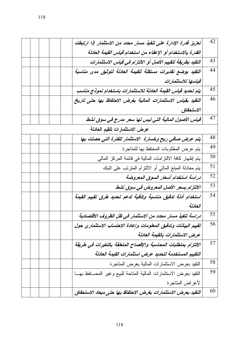| 42 | تعزيز قدرة الإدارة على تنفيذ مسار محدد من الاستثمار إذا ارتبطت     |  |
|----|--------------------------------------------------------------------|--|
|    | القدرة بالاستخدام أو الإعفاء من استخدام قياس القيمة العادلة        |  |
| 43 | التقيد بطريقة لتقييم الأصل أو الالتزام في قياس الاستثمارات         |  |
| 44 | التقيد بوضع تقديرات مستقلة للقيمة العادلة لتوثيق مدى مناسبة        |  |
|    | قياسها للاستثمارات                                                 |  |
| 45 | يتم تحديد قياس القيمة العادلة للاستثمارات باستخدام نموذج مناسب     |  |
| 46 | التقيد بقياس الاستثمارات المالية بغرض الاحتفاظ بها حتى تاريخ       |  |
|    | الاستحقاق                                                          |  |
| 47 | قياس الأصول المالية التي ليس لها سعر مدرج في سوق نشط               |  |
|    | عرض الاستثمارات للقيم العادلة                                      |  |
| 48 | يتم عرض صافى ربح وخسارة الاستثمار للفترة التي حصلت بها             |  |
| 49 | يتم عرض المطلوبات المحتفظ بها للمتاجرة                             |  |
| 50 | يتم إظهار كافة الالتزامات المالية في قائمة المركز المالي           |  |
| 51 | يتم معادلة المبلغ المالي أو الالنزام المنزنب على البنك             |  |
| 52 | دراسة استخدام أسعار السوق المعروضة                                 |  |
| 53 | الالتزام بسعر الأصل المعروض فى سوق نشط                             |  |
| 54 | استخدام أدلة تدقيق مناسبة وكافية لدعم تحديد طرق تقييم القيمة       |  |
|    | العادلة                                                            |  |
| 55 | دراسة تنفيذ مسار محدد من الاستثمار في ظل الظروف الاقتصادية         |  |
| 56 | تقييم البيانات وتدقيق المعلومات وإعادة الاحتساب الاستثماري حول     |  |
|    | عرض الاستثمارات بالقيمة العادلة                                    |  |
| 57 | الالتزام بمتطلبات المحاسبة والإفصاح المتعلقة بالتغيرات في طريقة    |  |
|    | التقييم المستخدمة لتحديد عرض استثمارات القيمة العادلة              |  |
| 58 | النقيد بعرض الاستثمارات المالية بغرض المناجرة                      |  |
| 59 | النقيد بعرض الاستثمارات المالية المتاحة للبيع وغير المحــنفظ بهــا |  |
|    | لأغراض المتاجرة                                                    |  |
| 60 | التقيد بعرض الاستثمارات بغرض الاحتفاظ بها حتى ميعاد الاستحقاق      |  |